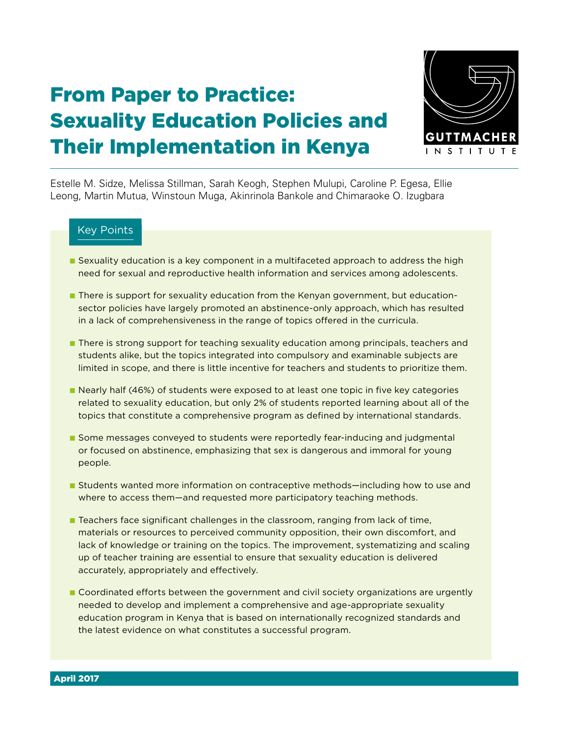# From Paper to Practice: Sexuality Education Policies and Their Implementation in Kenya



Estelle M. Sidze, Melissa Stillman, Sarah Keogh, Stephen Mulupi, Caroline P. Egesa, Ellie Leong, Martin Mutua, Winstoun Muga, Akinrinola Bankole and Chimaraoke O. Izugbara

# Key Points

- Sexuality education is a key component in a multifaceted approach to address the high need for sexual and reproductive health information and services among adolescents.
- There is support for sexuality education from the Kenyan government, but educationsector policies have largely promoted an abstinence-only approach, which has resulted in a lack of comprehensiveness in the range of topics offered in the curricula.
- There is strong support for teaching sexuality education among principals, teachers and students alike, but the topics integrated into compulsory and examinable subjects are limited in scope, and there is little incentive for teachers and students to prioritize them.
- Nearly half (46%) of students were exposed to at least one topic in five key categories related to sexuality education, but only 2% of students reported learning about all of the topics that constitute a comprehensive program as defined by international standards.
- Some messages conveyed to students were reportedly fear-inducing and judgmental or focused on abstinence, emphasizing that sex is dangerous and immoral for young people.
- Students wanted more information on contraceptive methods—including how to use and where to access them—and requested more participatory teaching methods.
- Teachers face significant challenges in the classroom, ranging from lack of time, materials or resources to perceived community opposition, their own discomfort, and lack of knowledge or training on the topics. The improvement, systematizing and scaling up of teacher training are essential to ensure that sexuality education is delivered accurately, appropriately and effectively.
- Coordinated efforts between the government and civil society organizations are urgently needed to develop and implement a comprehensive and age-appropriate sexuality education program in Kenya that is based on internationally recognized standards and the latest evidence on what constitutes a successful program.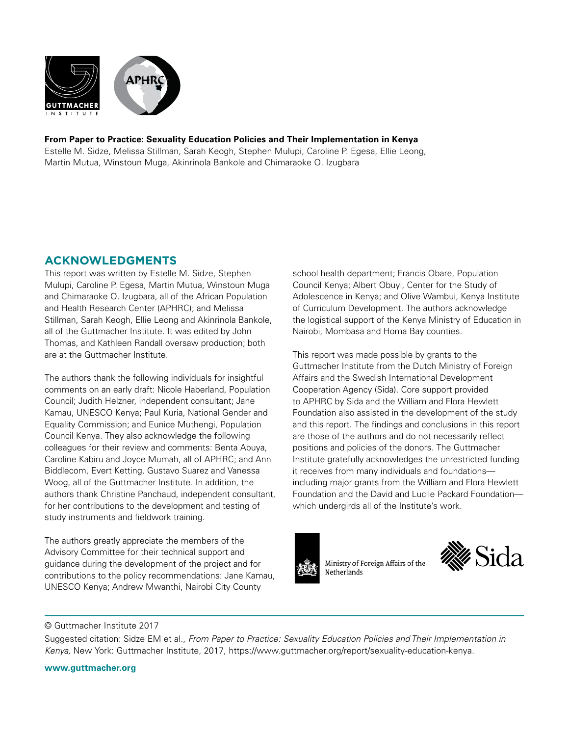

### **From Paper to Practice: Sexuality Education Policies and Their Implementation in Kenya**

Estelle M. Sidze, Melissa Stillman, Sarah Keogh, Stephen Mulupi, Caroline P. Egesa, Ellie Leong, Martin Mutua, Winstoun Muga, Akinrinola Bankole and Chimaraoke O. Izugbara

# **ACKNOWLEDGMENTS**

This report was written by Estelle M. Sidze, Stephen Mulupi, Caroline P. Egesa, Martin Mutua, Winstoun Muga and Chimaraoke O. Izugbara, all of the African Population and Health Research Center (APHRC); and Melissa Stillman, Sarah Keogh, Ellie Leong and Akinrinola Bankole, all of the Guttmacher Institute. It was edited by John Thomas, and Kathleen Randall oversaw production; both are at the Guttmacher Institute.

The authors thank the following individuals for insightful comments on an early draft: Nicole Haberland, Population Council; Judith Helzner, independent consultant; Jane Kamau, UNESCO Kenya; Paul Kuria, National Gender and Equality Commission; and Eunice Muthengi, Population Council Kenya. They also acknowledge the following colleagues for their review and comments: Benta Abuya, Caroline Kabiru and Joyce Mumah, all of APHRC; and Ann Biddlecom, Evert Ketting, Gustavo Suarez and Vanessa Woog, all of the Guttmacher Institute. In addition, the authors thank Christine Panchaud, independent consultant, for her contributions to the development and testing of study instruments and fieldwork training.

The authors greatly appreciate the members of the Advisory Committee for their technical support and guidance during the development of the project and for contributions to the policy recommendations: Jane Kamau, UNESCO Kenya; Andrew Mwanthi, Nairobi City County

school health department; Francis Obare, Population Council Kenya; Albert Obuyi, Center for the Study of Adolescence in Kenya; and Olive Wambui, Kenya Institute of Curriculum Development. The authors acknowledge the logistical support of the Kenya Ministry of Education in Nairobi, Mombasa and Homa Bay counties.

This report was made possible by grants to the Guttmacher Institute from the Dutch Ministry of Foreign Affairs and the Swedish International Development Cooperation Agency (Sida). Core support provided to APHRC by Sida and the William and Flora Hewlett Foundation also assisted in the development of the study and this report. The findings and conclusions in this report are those of the authors and do not necessarily reflect positions and policies of the donors. The Guttmacher Institute gratefully acknowledges the unrestricted funding it receives from many individuals and foundations including major grants from the William and Flora Hewlett Foundation and the David and Lucile Packard Foundation which undergirds all of the Institute's work.



Ministry of Foreign Affairs of the Netherlands



### © Guttmacher Institute 2017

Suggested citation: Sidze EM et al., *From Paper to Practice: Sexuality Education Policies and Their Implementation in Kenya,* New York: Guttmacher Institute, 2017, https://www.guttmacher.org/report/sexuality-education-kenya.

**www.guttmacher.org**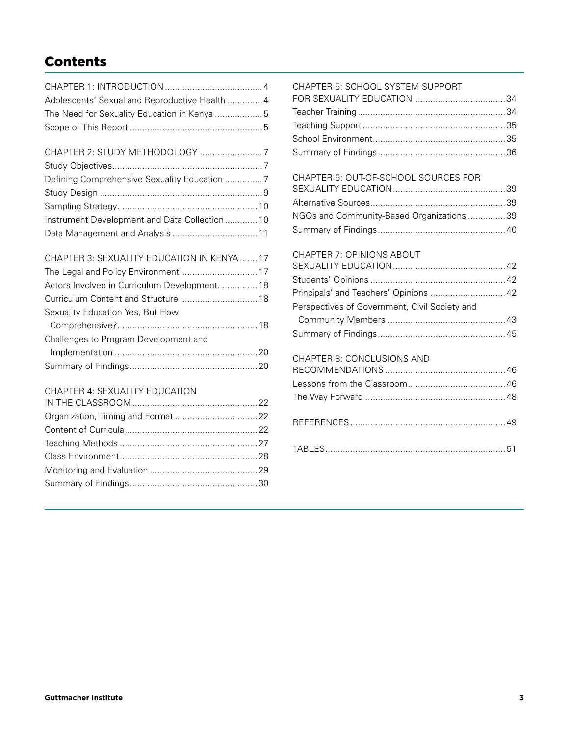# Contents

| Adolescents' Sexual and Reproductive Health  4 |
|------------------------------------------------|
|                                                |
|                                                |
|                                                |

| Instrument Development and Data Collection10 |  |
|----------------------------------------------|--|
|                                              |  |
|                                              |  |

# CHAPTER 3: SEXUALITY EDUCATION IN KENYA ....... 17

| Actors Involved in Curriculum Development 18 |  |
|----------------------------------------------|--|
|                                              |  |
| Sexuality Education Yes, But How             |  |
|                                              |  |
| Challenges to Program Development and        |  |
|                                              |  |
|                                              |  |
|                                              |  |

# CHAPTER 4: SEXUALITY EDUCATION

# CHAPTER 5: SCHOOL SYSTEM SUPPORT

| <u>ULIAL TEN 9. JULIUUL JTJTEM JULI UNIT</u> |  |
|----------------------------------------------|--|
|                                              |  |
|                                              |  |
|                                              |  |
|                                              |  |
|                                              |  |

## CHAPTER 6: OUT-OF-SCHOOL SOURCES FOR

| NGOs and Community-Based Organizations 39 |  |
|-------------------------------------------|--|
|                                           |  |

# CHAPTER 7: OPINIONS ABOUT

| Principals' and Teachers' Opinions  42        |  |
|-----------------------------------------------|--|
| Perspectives of Government, Civil Society and |  |
|                                               |  |
|                                               |  |
|                                               |  |

## CHAPTER 8: CONCLUSIONS AND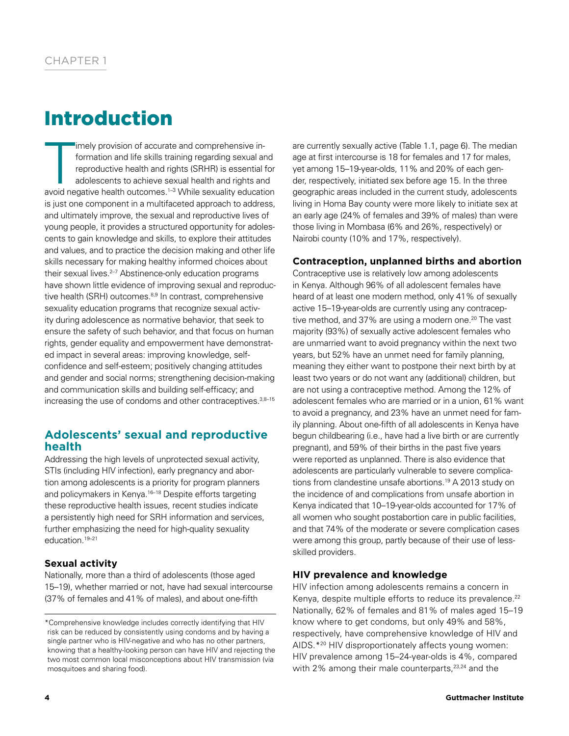# Introduction

imely provision of accurate and comprehensive in-<br>formation and life skills training regarding sexual and<br>reproductive health and rights (SRHR) is essential for<br>adolescents to achieve sexual health and rights and<br>avoid neg imely provision of accurate and comprehensive information and life skills training regarding sexual and reproductive health and rights (SRHR) is essential for adolescents to achieve sexual health and rights and is just one component in a multifaceted approach to address, and ultimately improve, the sexual and reproductive lives of young people, it provides a structured opportunity for adolescents to gain knowledge and skills, to explore their attitudes and values, and to practice the decision making and other life skills necessary for making healthy informed choices about their sexual lives.<sup>2-7</sup> Abstinence-only education programs have shown little evidence of improving sexual and reproductive health (SRH) outcomes.<sup>8,9</sup> In contrast, comprehensive sexuality education programs that recognize sexual activity during adolescence as normative behavior, that seek to ensure the safety of such behavior, and that focus on human rights, gender equality and empowerment have demonstrated impact in several areas: improving knowledge, selfconfidence and self-esteem; positively changing attitudes and gender and social norms; strengthening decision-making and communication skills and building self-efficacy; and increasing the use of condoms and other contraceptives.<sup>3,8-15</sup>

# **Adolescents' sexual and reproductive health**

Addressing the high levels of unprotected sexual activity, STIs (including HIV infection), early pregnancy and abortion among adolescents is a priority for program planners and policymakers in Kenya.<sup>16–18</sup> Despite efforts targeting these reproductive health issues, recent studies indicate a persistently high need for SRH information and services, further emphasizing the need for high-quality sexuality education.19–21

# **Sexual activity**

Nationally, more than a third of adolescents (those aged 15–19), whether married or not, have had sexual intercourse (37% of females and 41% of males), and about one-fifth

are currently sexually active (Table 1.1, page 6). The median age at first intercourse is 18 for females and 17 for males, yet among 15–19-year-olds, 11% and 20% of each gender, respectively, initiated sex before age 15. In the three geographic areas included in the current study, adolescents living in Homa Bay county were more likely to initiate sex at an early age (24% of females and 39% of males) than were those living in Mombasa (6% and 26%, respectively) or Nairobi county (10% and 17%, respectively).

### **Contraception, unplanned births and abortion**

Contraceptive use is relatively low among adolescents in Kenya. Although 96% of all adolescent females have heard of at least one modern method, only 41% of sexually active 15–19-year-olds are currently using any contraceptive method, and 37% are using a modern one.<sup>20</sup> The vast majority (93%) of sexually active adolescent females who are unmarried want to avoid pregnancy within the next two years, but 52% have an unmet need for family planning, meaning they either want to postpone their next birth by at least two years or do not want any (additional) children, but are not using a contraceptive method. Among the 12% of adolescent females who are married or in a union, 61% want to avoid a pregnancy, and 23% have an unmet need for family planning. About one-fifth of all adolescents in Kenya have begun childbearing (i.e., have had a live birth or are currently pregnant), and 59% of their births in the past five years were reported as unplanned. There is also evidence that adolescents are particularly vulnerable to severe complications from clandestine unsafe abortions.19 A 2013 study on the incidence of and complications from unsafe abortion in Kenya indicated that 10–19-year-olds accounted for 17% of all women who sought postabortion care in public facilities, and that 74% of the moderate or severe complication cases were among this group, partly because of their use of lessskilled providers.

# **HIV prevalence and knowledge**

HIV infection among adolescents remains a concern in Kenya, despite multiple efforts to reduce its prevalence.<sup>22</sup> Nationally, 62% of females and 81% of males aged 15–19 know where to get condoms, but only 49% and 58%, respectively, have comprehensive knowledge of HIV and AIDS.\*20 HIV disproportionately affects young women: HIV prevalence among 15–24-year-olds is 4%, compared with 2% among their male counterparts, $23,24$  and the

<sup>\*</sup>Comprehensive knowledge includes correctly identifying that HIV risk can be reduced by consistently using condoms and by having a single partner who is HIV-negative and who has no other partners, knowing that a healthy-looking person can have HIV and rejecting the two most common local misconceptions about HIV transmission (via mosquitoes and sharing food).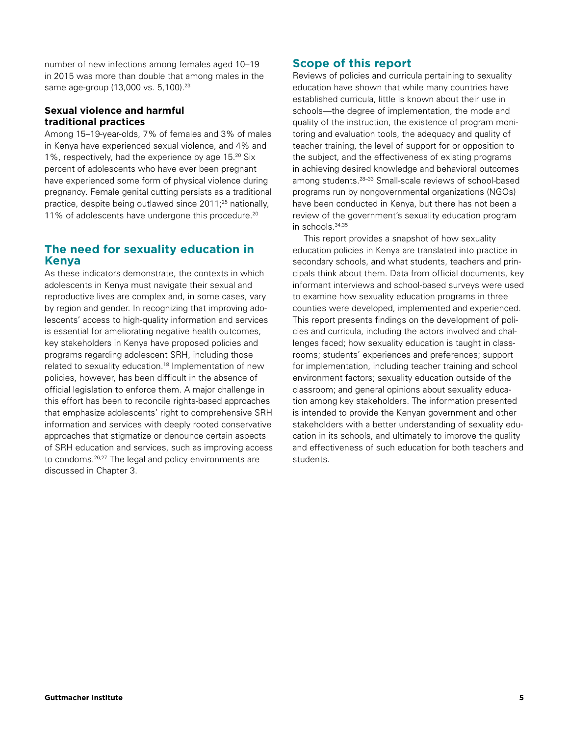number of new infections among females aged 10–19 in 2015 was more than double that among males in the same age-group (13,000 vs. 5,100).<sup>23</sup>

## **Sexual violence and harmful traditional practices**

Among 15–19-year-olds, 7% of females and 3% of males in Kenya have experienced sexual violence, and 4% and 1%, respectively, had the experience by age 15.20 Six percent of adolescents who have ever been pregnant have experienced some form of physical violence during pregnancy. Female genital cutting persists as a traditional practice, despite being outlawed since 2011;25 nationally, 11% of adolescents have undergone this procedure.<sup>20</sup>

# **The need for sexuality education in Kenya**

As these indicators demonstrate, the contexts in which adolescents in Kenya must navigate their sexual and reproductive lives are complex and, in some cases, vary by region and gender. In recognizing that improving adolescents' access to high-quality information and services is essential for ameliorating negative health outcomes, key stakeholders in Kenya have proposed policies and programs regarding adolescent SRH, including those related to sexuality education.18 Implementation of new policies, however, has been difficult in the absence of official legislation to enforce them. A major challenge in this effort has been to reconcile rights-based approaches that emphasize adolescents' right to comprehensive SRH information and services with deeply rooted conservative approaches that stigmatize or denounce certain aspects of SRH education and services, such as improving access to condoms.<sup>26,27</sup> The legal and policy environments are discussed in Chapter 3.

# **Scope of this report**

Reviews of policies and curricula pertaining to sexuality education have shown that while many countries have established curricula, little is known about their use in schools—the degree of implementation, the mode and quality of the instruction, the existence of program monitoring and evaluation tools, the adequacy and quality of teacher training, the level of support for or opposition to the subject, and the effectiveness of existing programs in achieving desired knowledge and behavioral outcomes among students.28–33 Small-scale reviews of school-based programs run by nongovernmental organizations (NGOs) have been conducted in Kenya, but there has not been a review of the government's sexuality education program in schools.34,35

This report provides a snapshot of how sexuality education policies in Kenya are translated into practice in secondary schools, and what students, teachers and principals think about them. Data from official documents, key informant interviews and school-based surveys were used to examine how sexuality education programs in three counties were developed, implemented and experienced. This report presents findings on the development of policies and curricula, including the actors involved and challenges faced; how sexuality education is taught in classrooms; students' experiences and preferences; support for implementation, including teacher training and school environment factors; sexuality education outside of the classroom; and general opinions about sexuality education among key stakeholders. The information presented is intended to provide the Kenyan government and other stakeholders with a better understanding of sexuality education in its schools, and ultimately to improve the quality and effectiveness of such education for both teachers and students.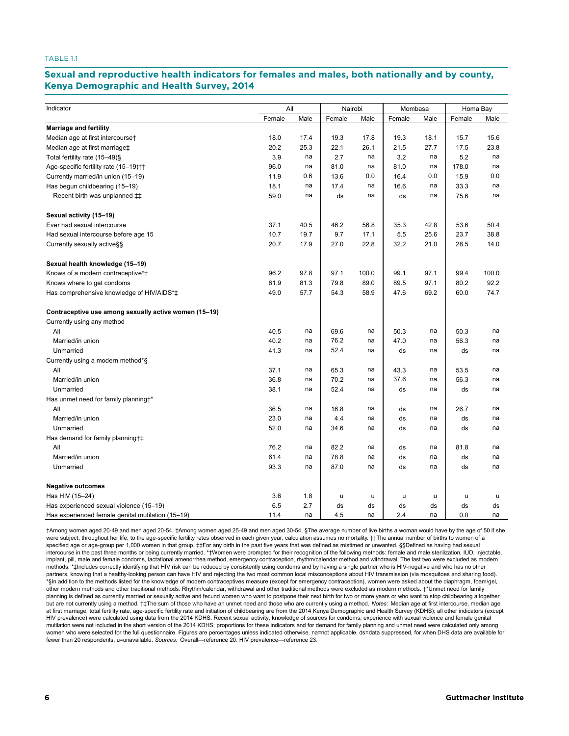#### TABLE 1.1

### Sexual and reproductive health indicators for females and males, both nationally and by county, **2014 Kenya Demographic and Health Survey, 2014**

| Indicator                                             | All    |      | Nairobi |       | Mombasa |      | Homa Bay |       |
|-------------------------------------------------------|--------|------|---------|-------|---------|------|----------|-------|
|                                                       | Female | Male | Female  | Male  | Female  | Male | Female   | Male  |
| <b>Marriage and fertility</b>                         |        |      |         |       |         |      |          |       |
| Median age at first intercourse†                      | 18.0   | 17.4 | 19.3    | 17.8  | 19.3    | 18.1 | 15.7     | 15.6  |
| Median age at first marriage‡                         | 20.2   | 25.3 | 22.1    | 26.1  | 21.5    | 27.7 | 17.5     | 23.8  |
| Total fertility rate (15-49)§                         | 3.9    | na   | 2.7     | na    | 3.2     | na   | 5.2      | na    |
| Age-specific fertility rate (15-19) <sup>++</sup>     | 96.0   | na   | 81.0    | na    | 81.0    | na   | 178.0    | na    |
| Currently married/in union (15-19)                    | 11.9   | 0.6  | 13.6    | 0.0   | 16.4    | 0.0  | 15.9     | 0.0   |
| Has begun childbearing (15-19)                        | 18.1   | na   | 17.4    | na    | 16.6    | na   | 33.3     | na    |
| Recent birth was unplanned $\ddagger\ddagger$         | 59.0   | na   | ds      | na    | ds      | na   | 75.6     | na    |
| Sexual activity (15-19)                               |        |      |         |       |         |      |          |       |
| Ever had sexual intercourse                           | 37.1   | 40.5 | 46.2    | 56.8  | 35.3    | 42.8 | 53.6     | 50.4  |
| Had sexual intercourse before age 15                  | 10.7   | 19.7 | 9.7     | 17.1  | 5.5     | 25.6 | 23.7     | 38.8  |
| Currently sexually active§§                           | 20.7   | 17.9 | 27.0    | 22.8  | 32.2    | 21.0 | 28.5     | 14.0  |
| Sexual health knowledge (15-19)                       |        |      |         |       |         |      |          |       |
| Knows of a modern contraceptive*†                     | 96.2   | 97.8 | 97.1    | 100.0 | 99.1    | 97.1 | 99.4     | 100.0 |
| Knows where to get condoms                            | 61.9   | 81.3 | 79.8    | 89.0  | 89.5    | 97.1 | 80.2     | 92.2  |
| Has comprehensive knowledge of HIV/AIDS*‡             | 49.0   | 57.7 | 54.3    | 58.9  | 47.6    | 69.2 | 60.0     | 74.7  |
| Contraceptive use among sexually active women (15-19) |        |      |         |       |         |      |          |       |
| Currently using any method                            |        |      |         |       |         |      |          |       |
| All                                                   | 40.5   | na   | 69.6    | na    | 50.3    | na   | 50.3     | na    |
| Married/in union                                      | 40.2   | na   | 76.2    | na    | 47.0    | na   | 56.3     | na    |
| Unmarried                                             | 41.3   | na   | 52.4    | na    | ds      | na   | ds       | na    |
| Currently using a modern method*§                     |        |      |         |       |         |      |          |       |
| All                                                   | 37.1   | na   | 65.3    | na    | 43.3    | na   | 53.5     | na    |
| Married/in union                                      | 36.8   | na   | 70.2    | na    | 37.6    | na   | 56.3     | na    |
| Unmarried                                             | 38.1   | na   | 52.4    | na    | ds      | na   | ds       | na    |
| Has unmet need for family planningt*                  |        |      |         |       |         |      |          |       |
| All                                                   | 36.5   | na   | 16.8    | na    | ds      | na   | 26.7     | na    |
| Married/in union                                      | 23.0   | na   | 4.4     | na    | ds      | na   | ds       | na    |
| Unmarried                                             | 52.0   | na   | 34.6    | na    | ds      | na   | ds       | na    |
| Has demand for family planning†‡                      |        |      |         |       |         |      |          |       |
| All                                                   | 76.2   | na   | 82.2    | na    | ds      | na   | 81.8     | na    |
| Married/in union                                      | 61.4   | na   | 78.8    | na    | ds      | na   | ds       | na    |
| Unmarried                                             | 93.3   | na   | 87.0    | na    | ds      | na   | ds       | na    |
| <b>Negative outcomes</b>                              |        |      |         |       |         |      |          |       |
| Has HIV (15-24)                                       | 3.6    | 1.8  | u       | u     | u       | u    | u        | u     |
| Has experienced sexual violence (15-19)               | 6.5    | 2.7  | ds      | ds    | ds      | ds   | ds       | ds    |
| Has experienced female genital mutilation (15-19)     | 11.4   | na   | 4.5     | na    | 2.4     | na   | 0.0      | na    |

†Among women aged 20-49 and men aged 20-54. ‡Among women aged 25-49 and men aged 30-54. §The average number of live births a woman would have by the age of 50 if she were subject, throughout her life, to the age-specific fertility rates observed in each given year; calculation assumes no mortality. ††The annual number of births to women of a specified age or age-group per 1,000 women in that group. ‡‡For any birth in the past five years that was defined as mistimed or unwanted. §§Defined as having had sexual intercourse in the past three months or being currently married. \*†Women were prompted for their recognition of the following methods: female and male sterilization, IUD, injectable, implant, pill, male and female condoms, lactational amenorrhea method, emergency contraception, rhythm/calendar method and withdrawal. The last two were excluded as modern methods. \*\* thickudes correctly identifying that HIV risk can be reduced by consistently using condoms and by having a single partner who is HIV-negative and who has no other partners, knowing that a healthy-looking person can have HIV and rejecting the two most common local misconceptions about HIV transmission (via mosquitoes and sharing food). \*§In addition to the methods listed for the knowledge of modern contraceptives measure (except for emergency contraception), women were asked about the diaphragm, foam/gel, other modern methods and other traditional methods. Rhythm/calendar, withdrawal and other traditional methods were excluded as modern methods. †\*Unmet need for family planning is defined as currently married or sexually active and fecund women who want to postpone their next birth for two or more years or who want to stop childbearing altogether but are not currently using a method. †‡The sum of those who have an unmet need and those who are currently using a method. *Notes:* Median age at first intercourse, median age at first marriage, total fertility rate, age-specific fertility rate and initiation of childbearing are from the 2014 Kenya Demographic and Health Survey (KDHS); all other indicators (except HIV prevalence) were calculated using data from the 2014 KDHS. Recent sexual activity, knowledge of sources for condoms, experience with sexual violence and female genital mutilation were not included in the short version of the 2014 KDHS; proportions for these indicators and for demand for family planning and unmet need were calculated only among women who were selected for the full questionnaire. Figures are percentages unless indicated otherwise. na=not applicable. ds=data suppressed, for when DHS data are available for fewer than 20 respondents. u=unavailable. *Sources:* Overall—reference 20. HIV prevalence—reference 23.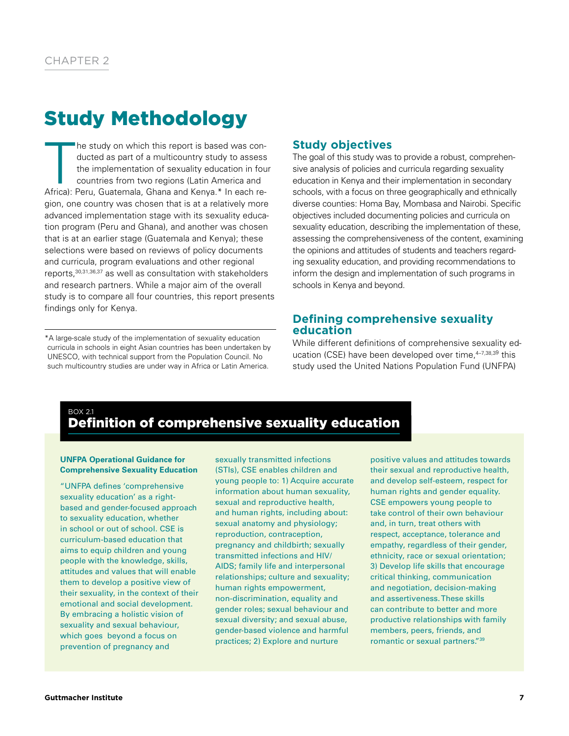# Study Methodology

 $\begin{bmatrix} \frac{1}{2} \\ \frac{1}{2} \\ \frac{1}{2} \\ \frac{1}{2} \\ \frac{1}{2} \\ \frac{1}{2} \\ \frac{1}{2} \\ \frac{1}{2} \\ \frac{1}{2} \\ \frac{1}{2} \\ \frac{1}{2} \\ \frac{1}{2} \\ \frac{1}{2} \\ \frac{1}{2} \\ \frac{1}{2} \\ \frac{1}{2} \\ \frac{1}{2} \\ \frac{1}{2} \\ \frac{1}{2} \\ \frac{1}{2} \\ \frac{1}{2} \\ \frac{1}{2} \\ \frac{1}{2} \\ \frac{1}{2} \\ \frac{1}{2} \\ \frac{1}{2} \\ \frac{1}{2$ he study on which this report is based was conducted as part of a multicountry study to assess the implementation of sexuality education in four countries from two regions (Latin America and Africa): Peru, Guatemala, Ghana and Kenya.\* In each region, one country was chosen that is at a relatively more advanced implementation stage with its sexuality education program (Peru and Ghana), and another was chosen that is at an earlier stage (Guatemala and Kenya); these selections were based on reviews of policy documents and curricula, program evaluations and other regional reports,30,31,36,37 as well as consultation with stakeholders and research partners. While a major aim of the overall study is to compare all four countries, this report presents findings only for Kenya.

\*A large-scale study of the implementation of sexuality education curricula in schools in eight Asian countries has been undertaken by UNESCO, with technical support from the Population Council. No such multicountry studies are under way in Africa or Latin America.

# **Study objectives**

The goal of this study was to provide a robust, comprehensive analysis of policies and curricula regarding sexuality education in Kenya and their implementation in secondary schools, with a focus on three geographically and ethnically diverse counties: Homa Bay, Mombasa and Nairobi. Specific objectives included documenting policies and curricula on sexuality education, describing the implementation of these, assessing the comprehensiveness of the content, examining the opinions and attitudes of students and teachers regarding sexuality education, and providing recommendations to inform the design and implementation of such programs in schools in Kenya and beyond.

# **Defining comprehensive sexuality education**

While different definitions of comprehensive sexuality education (CSE) have been developed over time, 4-7,38,39 this study used the United Nations Population Fund (UNFPA)

# BOX 2.1 Definition of comprehensive sexuality education

#### **UNFPA Operational Guidance for Comprehensive Sexuality Education**

"UNFPA defines 'comprehensive sexuality education' as a rightbased and gender-focused approach to sexuality education, whether in school or out of school. CSE is curriculum-based education that aims to equip children and young people with the knowledge, skills, attitudes and values that will enable them to develop a positive view of their sexuality, in the context of their emotional and social development. By embracing a holistic vision of sexuality and sexual behaviour, which goes beyond a focus on prevention of pregnancy and

sexually transmitted infections (STIs), CSE enables children and young people to: 1) Acquire accurate information about human sexuality, sexual and reproductive health, and human rights, including about: sexual anatomy and physiology; reproduction, contraception, pregnancy and childbirth; sexually transmitted infections and HIV/ AIDS; family life and interpersonal relationships; culture and sexuality; human rights empowerment, non-discrimination, equality and gender roles; sexual behaviour and sexual diversity; and sexual abuse, gender-based violence and harmful practices; 2) Explore and nurture

positive values and attitudes towards their sexual and reproductive health, and develop self-esteem, respect for human rights and gender equality. CSE empowers young people to take control of their own behaviour and, in turn, treat others with respect, acceptance, tolerance and empathy, regardless of their gender, ethnicity, race or sexual orientation; 3) Develop life skills that encourage critical thinking, communication and negotiation, decision-making and assertiveness. These skills can contribute to better and more productive relationships with family members, peers, friends, and romantic or sexual partners."39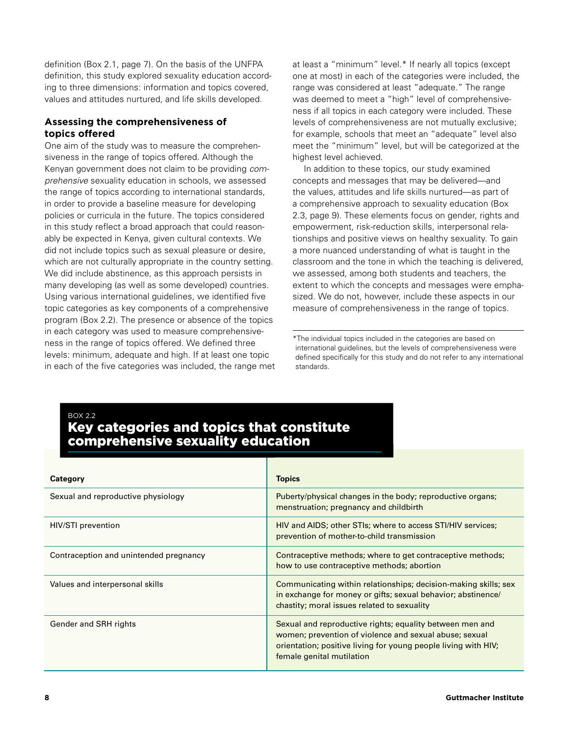definition (Box 2.1, page 7). On the basis of the UNFPA definition, this study explored sexuality education according to three dimensions: information and topics covered, values and attitudes nurtured, and life skills developed.

# **Assessing the comprehensiveness of topics offered**

One aim of the study was to measure the comprehensiveness in the range of topics offered. Although the Kenyan government does not claim to be providing *comprehensive* sexuality education in schools, we assessed the range of topics according to international standards, in order to provide a baseline measure for developing policies or curricula in the future. The topics considered in this study reflect a broad approach that could reasonably be expected in Kenya, given cultural contexts. We did not include topics such as sexual pleasure or desire, which are not culturally appropriate in the country setting. We did include abstinence, as this approach persists in many developing (as well as some developed) countries. Using various international guidelines, we identified five topic categories as key components of a comprehensive program (Box 2.2). The presence or absence of the topics in each category was used to measure comprehensiveness in the range of topics offered. We defined three levels: minimum, adequate and high. If at least one topic in each of the five categories was included, the range met at least a "minimum" level.\* If nearly all topics (except one at most) in each of the categories were included, the range was considered at least "adequate." The range was deemed to meet a "high" level of comprehensiveness if all topics in each category were included. These levels of comprehensiveness are not mutually exclusive; for example, schools that meet an "adequate" level also meet the "minimum" level, but will be categorized at the highest level achieved.

In addition to these topics, our study examined concepts and messages that may be delivered—and the values, attitudes and life skills nurtured—as part of a comprehensive approach to sexuality education (Box 2.3, page 9). These elements focus on gender, rights and empowerment, risk-reduction skills, interpersonal relationships and positive views on healthy sexuality. To gain a more nuanced understanding of what is taught in the classroom and the tone in which the teaching is delivered, we assessed, among both students and teachers, the extent to which the concepts and messages were emphasized. We do not, however, include these aspects in our measure of comprehensiveness in the range of topics.

\*The individual topics included in the categories are based on international guidelines, but the levels of comprehensiveness were defined specifically for this study and do not refer to any international standards.

# BOX 2.2

# Key categories and topics that constitute comprehensive sexuality education

| Category                               | <b>Topics</b>                                                                                                                                                                                                     |
|----------------------------------------|-------------------------------------------------------------------------------------------------------------------------------------------------------------------------------------------------------------------|
| Sexual and reproductive physiology     | Puberty/physical changes in the body; reproductive organs;<br>menstruation; pregnancy and childbirth                                                                                                              |
| HIV/STI prevention                     | HIV and AIDS; other STIs; where to access STI/HIV services;<br>prevention of mother-to-child transmission                                                                                                         |
| Contraception and unintended pregnancy | Contraceptive methods; where to get contraceptive methods;<br>how to use contraceptive methods; abortion                                                                                                          |
| Values and interpersonal skills        | Communicating within relationships; decision-making skills; sex<br>in exchange for money or gifts; sexual behavior; abstinence/<br>chastity; moral issues related to sexuality                                    |
| Gender and SRH rights                  | Sexual and reproductive rights; equality between men and<br>women; prevention of violence and sexual abuse; sexual<br>orientation; positive living for young people living with HIV;<br>female genital mutilation |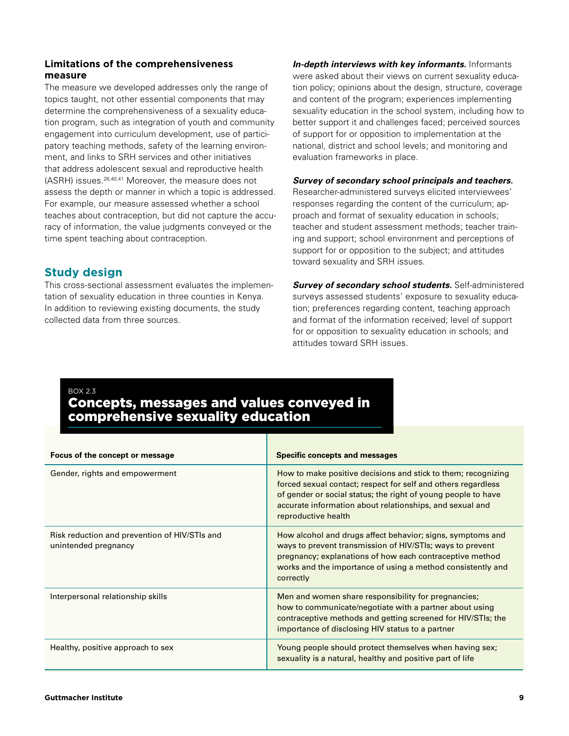# **Limitations of the comprehensiveness measure**

The measure we developed addresses only the range of topics taught, not other essential components that may determine the comprehensiveness of a sexuality education program, such as integration of youth and community engagement into curriculum development, use of participatory teaching methods, safety of the learning environment, and links to SRH services and other initiatives that address adolescent sexual and reproductive health (ASRH) issues.26,40,41 Moreover, the measure does not assess the depth or manner in which a topic is addressed. For example, our measure assessed whether a school teaches about contraception, but did not capture the accuracy of information, the value judgments conveyed or the time spent teaching about contraception.

# **Study design**

This cross-sectional assessment evaluates the implementation of sexuality education in three counties in Kenya. In addition to reviewing existing documents, the study collected data from three sources.

*In-depth interviews with key informants.* Informants were asked about their views on current sexuality education policy; opinions about the design, structure, coverage and content of the program; experiences implementing sexuality education in the school system, including how to better support it and challenges faced; perceived sources of support for or opposition to implementation at the national, district and school levels; and monitoring and evaluation frameworks in place.

#### *Survey of secondary school principals and teachers.*

Researcher-administered surveys elicited interviewees' responses regarding the content of the curriculum; approach and format of sexuality education in schools; teacher and student assessment methods; teacher training and support; school environment and perceptions of support for or opposition to the subject; and attitudes toward sexuality and SRH issues.

*Survey of secondary school students.* Self-administered surveys assessed students' exposure to sexuality education; preferences regarding content, teaching approach and format of the information received; level of support for or opposition to sexuality education in schools; and attitudes toward SRH issues.

BOX 2.3

# Concepts, messages and values conveyed in comprehensive sexuality education

| Focus of the concept or message                                       | <b>Specific concepts and messages</b>                                                                                                                                                                                                                                              |
|-----------------------------------------------------------------------|------------------------------------------------------------------------------------------------------------------------------------------------------------------------------------------------------------------------------------------------------------------------------------|
| Gender, rights and empowerment                                        | How to make positive decisions and stick to them; recognizing<br>forced sexual contact; respect for self and others regardless<br>of gender or social status; the right of young people to have<br>accurate information about relationships, and sexual and<br>reproductive health |
| Risk reduction and prevention of HIV/STIs and<br>unintended pregnancy | How alcohol and drugs affect behavior; signs, symptoms and<br>ways to prevent transmission of HIV/STIs; ways to prevent<br>pregnancy; explanations of how each contraceptive method<br>works and the importance of using a method consistently and<br>correctly                    |
| Interpersonal relationship skills                                     | Men and women share responsibility for pregnancies;<br>how to communicate/negotiate with a partner about using<br>contraceptive methods and getting screened for HIV/STIs; the<br>importance of disclosing HIV status to a partner                                                 |
| Healthy, positive approach to sex                                     | Young people should protect themselves when having sex;<br>sexuality is a natural, healthy and positive part of life                                                                                                                                                               |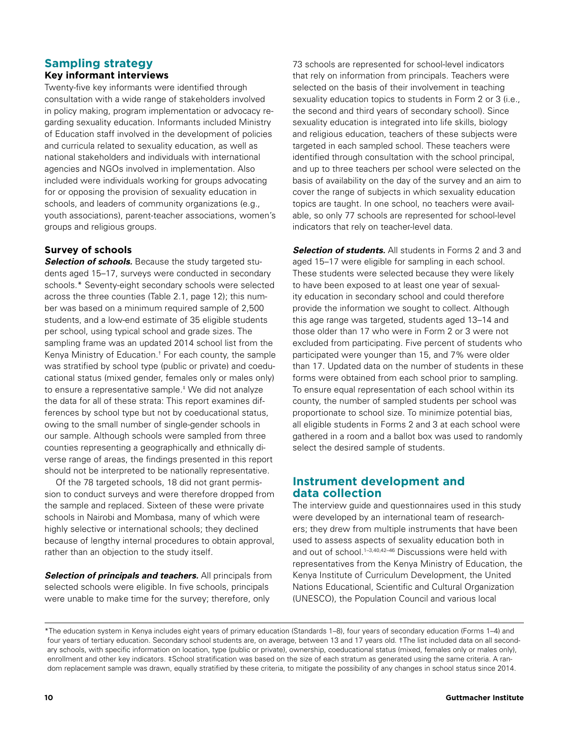# **Sampling strategy Key informant interviews**

Twenty-five key informants were identified through consultation with a wide range of stakeholders involved in policy making, program implementation or advocacy regarding sexuality education. Informants included Ministry of Education staff involved in the development of policies and curricula related to sexuality education, as well as national stakeholders and individuals with international agencies and NGOs involved in implementation. Also included were individuals working for groups advocating for or opposing the provision of sexuality education in schools, and leaders of community organizations (e.g., youth associations), parent-teacher associations, women's groups and religious groups.

# **Survey of schools**

**Selection of schools.** Because the study targeted students aged 15–17, surveys were conducted in secondary schools.\* Seventy-eight secondary schools were selected across the three counties (Table 2.1, page 12); this number was based on a minimum required sample of 2,500 students, and a low-end estimate of 35 eligible students per school, using typical school and grade sizes. The sampling frame was an updated 2014 school list from the Kenya Ministry of Education.† For each county, the sample was stratified by school type (public or private) and coeducational status (mixed gender, females only or males only) to ensure a representative sample.‡ We did not analyze the data for all of these strata: This report examines differences by school type but not by coeducational status, owing to the small number of single-gender schools in our sample. Although schools were sampled from three counties representing a geographically and ethnically diverse range of areas, the findings presented in this report should not be interpreted to be nationally representative.

Of the 78 targeted schools, 18 did not grant permission to conduct surveys and were therefore dropped from the sample and replaced. Sixteen of these were private schools in Nairobi and Mombasa, many of which were highly selective or international schools; they declined because of lengthy internal procedures to obtain approval, rather than an objection to the study itself.

*Selection of principals and teachers.* All principals from selected schools were eligible. In five schools, principals were unable to make time for the survey; therefore, only

73 schools are represented for school-level indicators that rely on information from principals. Teachers were selected on the basis of their involvement in teaching sexuality education topics to students in Form 2 or 3 (i.e., the second and third years of secondary school). Since sexuality education is integrated into life skills, biology and religious education, teachers of these subjects were targeted in each sampled school. These teachers were identified through consultation with the school principal, and up to three teachers per school were selected on the basis of availability on the day of the survey and an aim to cover the range of subjects in which sexuality education topics are taught. In one school, no teachers were available, so only 77 schools are represented for school-level indicators that rely on teacher-level data.

**Selection of students.** All students in Forms 2 and 3 and aged 15–17 were eligible for sampling in each school. These students were selected because they were likely to have been exposed to at least one year of sexuality education in secondary school and could therefore provide the information we sought to collect. Although this age range was targeted, students aged 13–14 and those older than 17 who were in Form 2 or 3 were not excluded from participating. Five percent of students who participated were younger than 15, and 7% were older than 17. Updated data on the number of students in these forms were obtained from each school prior to sampling. To ensure equal representation of each school within its county, the number of sampled students per school was proportionate to school size. To minimize potential bias, all eligible students in Forms 2 and 3 at each school were gathered in a room and a ballot box was used to randomly select the desired sample of students.

# **Instrument development and data collection**

The interview guide and questionnaires used in this study were developed by an international team of researchers; they drew from multiple instruments that have been used to assess aspects of sexuality education both in and out of school.<sup>1-3,40,42-46</sup> Discussions were held with representatives from the Kenya Ministry of Education, the Kenya Institute of Curriculum Development, the United Nations Educational, Scientific and Cultural Organization (UNESCO), the Population Council and various local

<sup>\*</sup>The education system in Kenya includes eight years of primary education (Standards 1–8), four years of secondary education (Forms 1–4) and four years of tertiary education. Secondary school students are, on average, between 13 and 17 years old. †The list included data on all secondary schools, with specific information on location, type (public or private), ownership, coeducational status (mixed, females only or males only), enrollment and other key indicators. ‡School stratification was based on the size of each stratum as generated using the same criteria. A random replacement sample was drawn, equally stratified by these criteria, to mitigate the possibility of any changes in school status since 2014.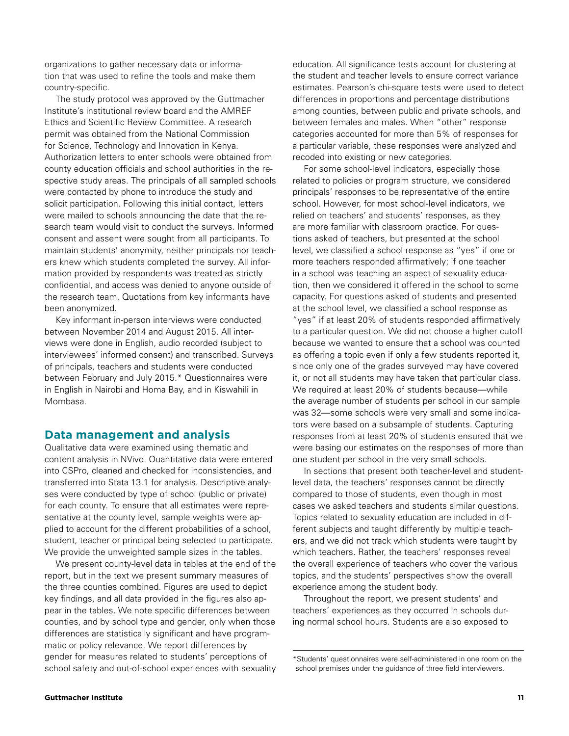organizations to gather necessary data or information that was used to refine the tools and make them country-specific.

The study protocol was approved by the Guttmacher Institute's institutional review board and the AMREF Ethics and Scientific Review Committee. A research permit was obtained from the National Commission for Science, Technology and Innovation in Kenya. Authorization letters to enter schools were obtained from county education officials and school authorities in the respective study areas. The principals of all sampled schools were contacted by phone to introduce the study and solicit participation. Following this initial contact, letters were mailed to schools announcing the date that the research team would visit to conduct the surveys. Informed consent and assent were sought from all participants. To maintain students' anonymity, neither principals nor teachers knew which students completed the survey. All information provided by respondents was treated as strictly confidential, and access was denied to anyone outside of the research team. Quotations from key informants have been anonymized.

Key informant in-person interviews were conducted between November 2014 and August 2015. All interviews were done in English, audio recorded (subject to interviewees' informed consent) and transcribed. Surveys of principals, teachers and students were conducted between February and July 2015.\* Questionnaires were in English in Nairobi and Homa Bay, and in Kiswahili in Mombasa.

## **Data management and analysis**

Qualitative data were examined using thematic and content analysis in NVivo. Quantitative data were entered into CSPro, cleaned and checked for inconsistencies, and transferred into Stata 13.1 for analysis. Descriptive analyses were conducted by type of school (public or private) for each county. To ensure that all estimates were representative at the county level, sample weights were applied to account for the different probabilities of a school, student, teacher or principal being selected to participate. We provide the unweighted sample sizes in the tables.

We present county-level data in tables at the end of the report, but in the text we present summary measures of the three counties combined. Figures are used to depict key findings, and all data provided in the figures also appear in the tables. We note specific differences between counties, and by school type and gender, only when those differences are statistically significant and have programmatic or policy relevance. We report differences by gender for measures related to students' perceptions of school safety and out-of-school experiences with sexuality education. All significance tests account for clustering at the student and teacher levels to ensure correct variance estimates. Pearson's chi-square tests were used to detect differences in proportions and percentage distributions among counties, between public and private schools, and between females and males. When "other" response categories accounted for more than 5% of responses for a particular variable, these responses were analyzed and recoded into existing or new categories.

For some school-level indicators, especially those related to policies or program structure, we considered principals' responses to be representative of the entire school. However, for most school-level indicators, we relied on teachers' and students' responses, as they are more familiar with classroom practice. For questions asked of teachers, but presented at the school level, we classified a school response as "yes" if one or more teachers responded affirmatively; if one teacher in a school was teaching an aspect of sexuality education, then we considered it offered in the school to some capacity. For questions asked of students and presented at the school level, we classified a school response as "yes" if at least 20% of students responded affirmatively to a particular question. We did not choose a higher cutoff because we wanted to ensure that a school was counted as offering a topic even if only a few students reported it, since only one of the grades surveyed may have covered it, or not all students may have taken that particular class. We required at least 20% of students because—while the average number of students per school in our sample was 32—some schools were very small and some indicators were based on a subsample of students. Capturing responses from at least 20% of students ensured that we were basing our estimates on the responses of more than one student per school in the very small schools.

In sections that present both teacher-level and studentlevel data, the teachers' responses cannot be directly compared to those of students, even though in most cases we asked teachers and students similar questions. Topics related to sexuality education are included in different subjects and taught differently by multiple teachers, and we did not track which students were taught by which teachers. Rather, the teachers' responses reveal the overall experience of teachers who cover the various topics, and the students' perspectives show the overall experience among the student body.

Throughout the report, we present students' and teachers' experiences as they occurred in schools during normal school hours. Students are also exposed to

<sup>\*</sup>Students' questionnaires were self-administered in one room on the school premises under the guidance of three field interviewers.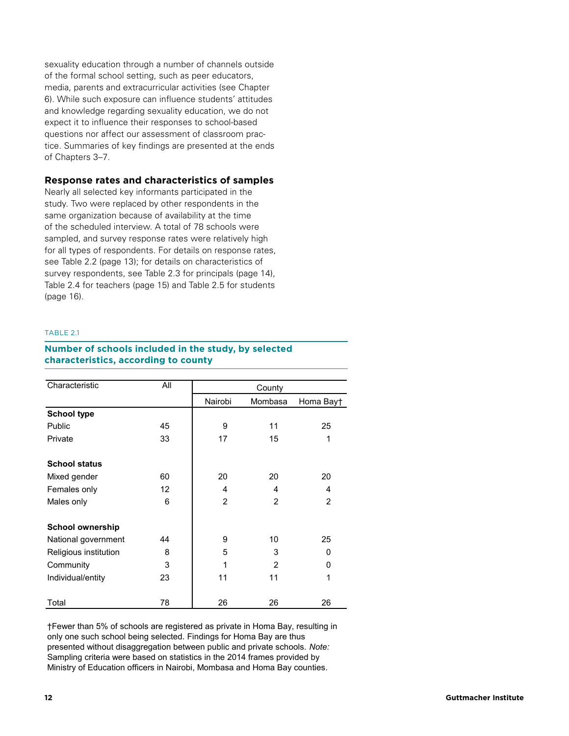sexuality education through a number of channels outside of the formal school setting, such as peer educators, media, parents and extracurricular activities (see Chapter 6). While such exposure can influence students' attitudes and knowledge regarding sexuality education, we do not expect it to influence their responses to school-based questions nor affect our assessment of classroom practice. Summaries of key findings are presented at the ends of Chapters 3–7.

## **Response rates and characteristics of samples**

Nearly all selected key informants participated in the study. Two were replaced by other respondents in the same organization because of availability at the time of the scheduled interview. A total of 78 schools were sampled, and survey response rates were relatively high for all types of respondents. For details on response rates, see Table 2.2 (page 13); for details on characteristics of survey respondents, see Table 2.3 for principals (page 14), Table 2.4 for teachers (page 15) and Table 2.5 for students (page 16).

#### TABLE 21

# **TABLE 2.1. Number of schools included in the study, by selected Number of schools included in the study, by selected characteristics, according to county characteristics, according to county**

| Characteristic          | All | County         |         |           |  |
|-------------------------|-----|----------------|---------|-----------|--|
|                         |     | Nairobi        | Mombasa | Homa Bayt |  |
| <b>School type</b>      |     |                |         |           |  |
| Public                  | 45  | 9              | 11      | 25        |  |
| Private                 | 33  | 17             | 15      | 1         |  |
| <b>School status</b>    |     |                |         |           |  |
| Mixed gender            | 60  | 20             | 20      | 20        |  |
| Females only            | 12  | 4              | 4       | 4         |  |
| Males only              | 6   | $\overline{2}$ | 2       | 2         |  |
| <b>School ownership</b> |     |                |         |           |  |
| National government     | 44  | 9              | 10      | 25        |  |
| Religious institution   | 8   | 5              | 3       | 0         |  |
| Community               | 3   | 1              | 2       | 0         |  |
| Individual/entity       | 23  | 11             | 11      | 1         |  |
| Total                   | 78  | 26             | 26      | 26        |  |

†Fewer than 5% of schools are registered as private in Homa Bay, resulting in only one such school being selected. Findings for Homa Bay are thus presented without disaggregation between public and private schools. *Note:*  Sampling criteria were based on statistics in the 2014 frames provided by Ministry of Education officers in Nairobi, Mombasa and Homa Bay counties.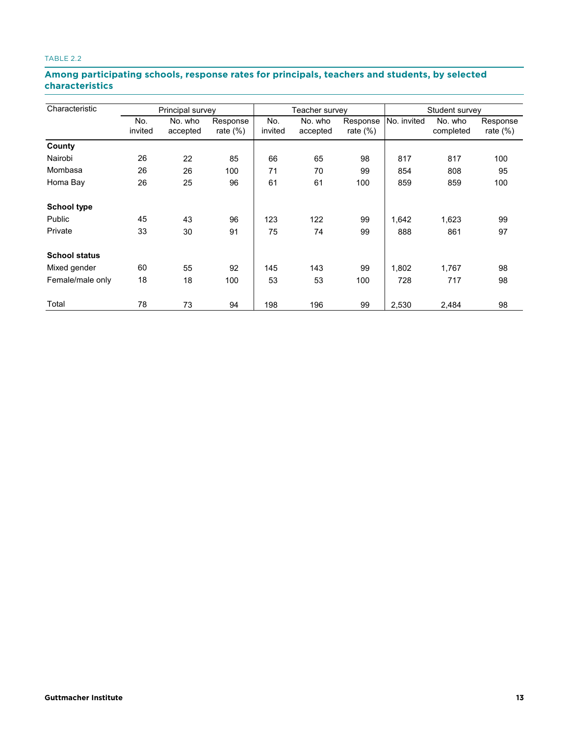# **TABLE 2.2. Among participating schools, response rates for principals, teachers and students, by selected characteristics characteristicsAmong participating schools, response rates for principals, teachers and students, by selected**

| Characteristic       | Principal survey |          |             | Teacher survey |          |             | Student survey |           |             |
|----------------------|------------------|----------|-------------|----------------|----------|-------------|----------------|-----------|-------------|
|                      | No.              | No. who  | Response    | No.            | No. who  | Response    | No. invited    | No. who   | Response    |
|                      | invited          | accepted | rate $(\%)$ | invited        | accepted | rate $(\%)$ |                | completed | rate $(\%)$ |
| County               |                  |          |             |                |          |             |                |           |             |
| Nairobi              | 26               | 22       | 85          | 66             | 65       | 98          | 817            | 817       | 100         |
| Mombasa              | 26               | 26       | 100         | 71             | 70       | 99          | 854            | 808       | 95          |
| Homa Bay             | 26               | 25       | 96          | 61             | 61       | 100         | 859            | 859       | 100         |
| <b>School type</b>   |                  |          |             |                |          |             |                |           |             |
| Public               | 45               | 43       | 96          | 123            | 122      | 99          | 1,642          | 1,623     | 99          |
| Private              | 33               | 30       | 91          | 75             | 74       | 99          | 888            | 861       | 97          |
| <b>School status</b> |                  |          |             |                |          |             |                |           |             |
| Mixed gender         | 60               | 55       | 92          | 145            | 143      | 99          | 1,802          | 1,767     | 98          |
| Female/male only     | 18               | 18       | 100         | 53             | 53       | 100         | 728            | 717       | 98          |
| Total                | 78               | 73       | 94          | 198            | 196      | 99          | 2,530          | 2,484     | 98          |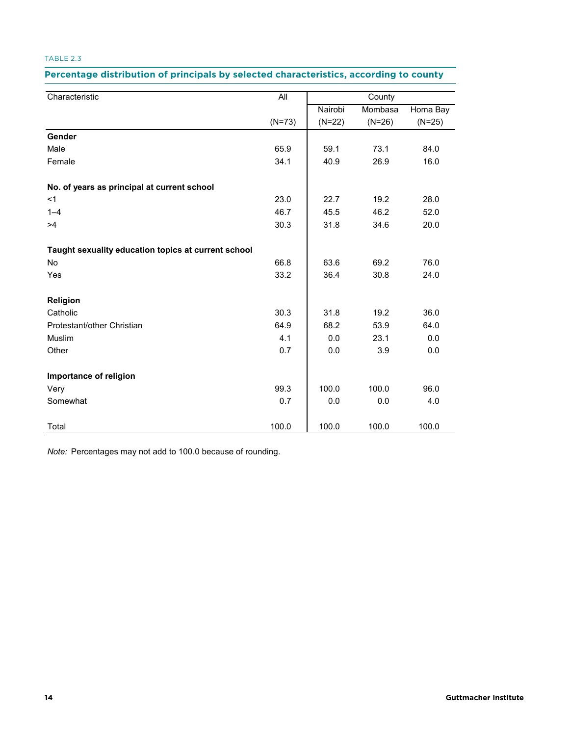### Percentage distribution of principals by selected characteristics, according to county

| Characteristic                                      | All      |          | County   |          |
|-----------------------------------------------------|----------|----------|----------|----------|
|                                                     |          | Nairobi  | Mombasa  | Homa Bay |
|                                                     | $(N=73)$ | $(N=22)$ | $(N=26)$ | $(N=25)$ |
| Gender                                              |          |          |          |          |
| Male                                                | 65.9     | 59.1     | 73.1     | 84.0     |
| Female                                              | 34.1     | 40.9     | 26.9     | 16.0     |
| No. of years as principal at current school         |          |          |          |          |
| <1                                                  | 23.0     | 22.7     | 19.2     | 28.0     |
| $1 - 4$                                             | 46.7     | 45.5     | 46.2     | 52.0     |
| >4                                                  | 30.3     | 31.8     | 34.6     | 20.0     |
| Taught sexuality education topics at current school |          |          |          |          |
| No                                                  | 66.8     | 63.6     | 69.2     | 76.0     |
| Yes                                                 | 33.2     | 36.4     | 30.8     | 24.0     |
| Religion                                            |          |          |          |          |
| Catholic                                            | 30.3     | 31.8     | 19.2     | 36.0     |
| Protestant/other Christian                          | 64.9     | 68.2     | 53.9     | 64.0     |
| Muslim                                              | 4.1      | 0.0      | 23.1     | 0.0      |
| Other                                               | 0.7      | 0.0      | 3.9      | 0.0      |
| Importance of religion                              |          |          |          |          |
| Very                                                | 99.3     | 100.0    | 100.0    | 96.0     |
| Somewhat                                            | 0.7      | 0.0      | 0.0      | 4.0      |
| Total                                               | 100.0    | 100.0    | 100.0    | 100.0    |

*Note:* Percentages may not add to 100.0 because of rounding.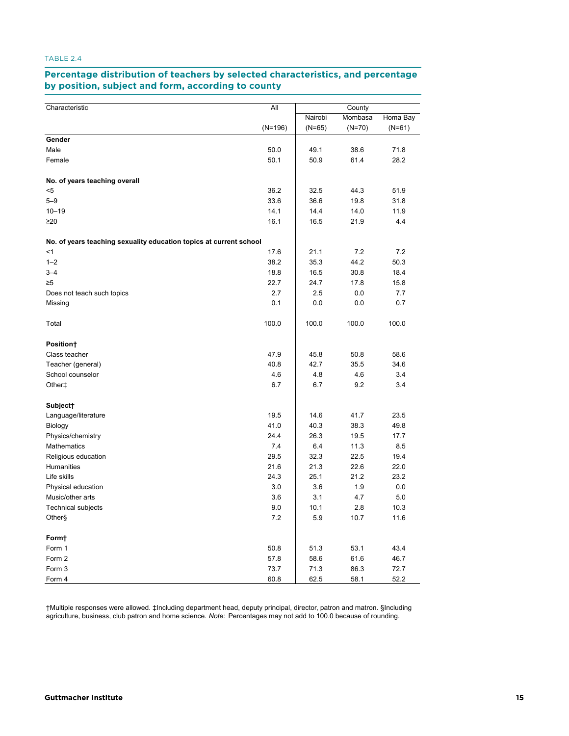#### **Percentage distribution of teachers by selected characteristics, and percentage TABLE 2.4. Percentage distribution of teachers by selected characteristics, and percentage**<br>by position, subject and form, according to county and <mark>position, subject</mark> and

| Characteristic                                                     | All       | County   |          |          |
|--------------------------------------------------------------------|-----------|----------|----------|----------|
|                                                                    |           | Nairobi  | Mombasa  | Homa Bay |
|                                                                    | $(N=196)$ | $(N=65)$ | $(N=70)$ | $(N=61)$ |
| Gender                                                             |           |          |          |          |
| Male                                                               | 50.0      | 49.1     | 38.6     | 71.8     |
| Female                                                             | 50.1      | 50.9     | 61.4     | 28.2     |
| No. of years teaching overall                                      |           |          |          |          |
| <5                                                                 | 36.2      | 32.5     | 44.3     | 51.9     |
| $5 - 9$                                                            | 33.6      | 36.6     | 19.8     | 31.8     |
| $10 - 19$                                                          | 14.1      | 14.4     | 14.0     | 11.9     |
| $\geq 20$                                                          | 16.1      | 16.5     | 21.9     | 4.4      |
| No. of years teaching sexuality education topics at current school |           |          |          |          |
| $<$ 1                                                              | 17.6      | 21.1     | 7.2      | 7.2      |
| $1 - 2$                                                            | 38.2      | 35.3     | 44.2     | 50.3     |
| $3 - 4$                                                            | 18.8      | 16.5     | 30.8     | 18.4     |
| $\geq 5$                                                           | 22.7      | 24.7     | 17.8     | 15.8     |
| Does not teach such topics                                         | 2.7       | 2.5      | 0.0      | 7.7      |
| Missing                                                            | 0.1       | 0.0      | 0.0      | 0.7      |
| Total                                                              | 100.0     | 100.0    | 100.0    | 100.0    |
| Position†                                                          |           |          |          |          |
| Class teacher                                                      | 47.9      | 45.8     | 50.8     | 58.6     |
| Teacher (general)                                                  | 40.8      | 42.7     | 35.5     | 34.6     |
| School counselor                                                   | 4.6       | 4.8      | 4.6      | 3.4      |
| Other <sup>+</sup>                                                 | 6.7       | 6.7      | 9.2      | 3.4      |
| Subject <sup>+</sup>                                               |           |          |          |          |
| Language/literature                                                | 19.5      | 14.6     | 41.7     | 23.5     |
| Biology                                                            | 41.0      | 40.3     | 38.3     | 49.8     |
| Physics/chemistry                                                  | 24.4      | 26.3     | 19.5     | 17.7     |
| <b>Mathematics</b>                                                 | 7.4       | 6.4      | 11.3     | 8.5      |
| Religious education                                                | 29.5      | 32.3     | 22.5     | 19.4     |
| Humanities                                                         | 21.6      | 21.3     | 22.6     | 22.0     |
| Life skills                                                        | 24.3      | 25.1     | 21.2     | 23.2     |
| Physical education                                                 | 3.0       | 3.6      | 1.9      | 0.0      |
| Music/other arts                                                   | 3.6       | 3.1      | 4.7      | 5.0      |
| <b>Technical subjects</b>                                          | 9.0       | 10.1     | 2.8      | 10.3     |
| Other§                                                             | 7.2       | 5.9      | 10.7     | 11.6     |
| Form+                                                              |           |          |          |          |
| Form 1                                                             | 50.8      | 51.3     | 53.1     | 43.4     |
| Form 2                                                             | 57.8      | 58.6     | 61.6     | 46.7     |
| Form 3                                                             | 73.7      | 71.3     | 86.3     | 72.7     |
| Form 4                                                             | 60.8      | 62.5     | 58.1     | 52.2     |

†Multiple responses were allowed. ‡Including department head, deputy principal, director, patron and matron. §Including agriculture, business, club patron and home science. *Note:* Percentages may not add to 100.0 because of rounding.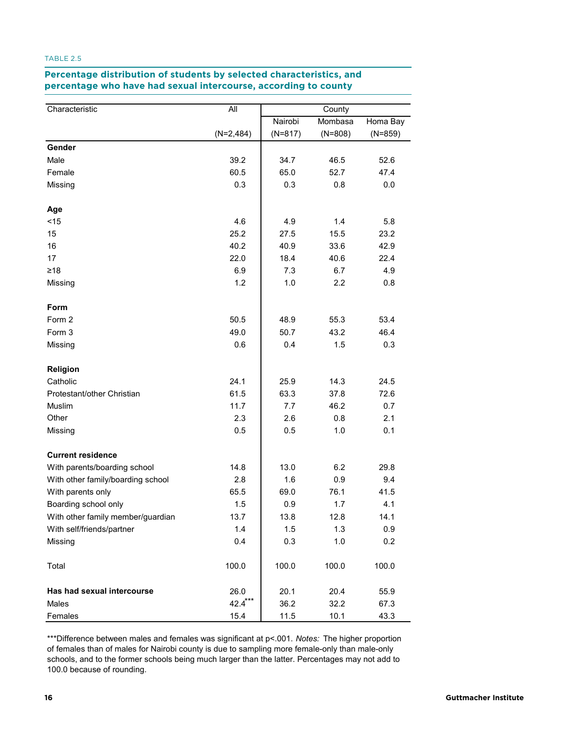## **TABLE 2.5. Percentage distribution of students by selected characteristics, and percentage Percentage distribution of students by selected characteristics, and who have had sexual intercourse, according to county percentage who have had sexual intercourse, according to county**

| Characteristic                    | All         | County    |           |           |  |
|-----------------------------------|-------------|-----------|-----------|-----------|--|
|                                   |             | Nairobi   | Mombasa   | Homa Bay  |  |
|                                   | $(N=2,484)$ | $(N=817)$ | $(N=808)$ | $(N=859)$ |  |
| Gender                            |             |           |           |           |  |
| Male                              | 39.2        | 34.7      | 46.5      | 52.6      |  |
| Female                            | 60.5        | 65.0      | 52.7      | 47.4      |  |
| Missing                           | 0.3         | 0.3       | 0.8       | 0.0       |  |
| Age                               |             |           |           |           |  |
| $<$ 15                            | 4.6         | 4.9       | 1.4       | 5.8       |  |
| 15                                | 25.2        | 27.5      | 15.5      | 23.2      |  |
| 16                                | 40.2        | 40.9      | 33.6      | 42.9      |  |
| 17                                | 22.0        | 18.4      | 40.6      | 22.4      |  |
| $\geq 18$                         | 6.9         | 7.3       | 6.7       | 4.9       |  |
| Missing                           | 1.2         | 1.0       | 2.2       | 0.8       |  |
| Form                              |             |           |           |           |  |
| Form 2                            | 50.5        | 48.9      | 55.3      | 53.4      |  |
| Form 3                            | 49.0        | 50.7      | 43.2      | 46.4      |  |
| Missing                           | 0.6         | 0.4       | 1.5       | 0.3       |  |
| Religion                          |             |           |           |           |  |
| Catholic                          | 24.1        | 25.9      | 14.3      | 24.5      |  |
| Protestant/other Christian        | 61.5        | 63.3      | 37.8      | 72.6      |  |
| Muslim                            | 11.7        | 7.7       | 46.2      | 0.7       |  |
| Other                             | 2.3         | 2.6       | 0.8       | 2.1       |  |
| Missing                           | 0.5         | 0.5       | 1.0       | 0.1       |  |
| <b>Current residence</b>          |             |           |           |           |  |
| With parents/boarding school      | 14.8        | 13.0      | 6.2       | 29.8      |  |
| With other family/boarding school | 2.8         | 1.6       | 0.9       | 9.4       |  |
| With parents only                 | 65.5        | 69.0      | 76.1      | 41.5      |  |
| Boarding school only              | 1.5         | 0.9       | 1.7       | 4.1       |  |
| With other family member/guardian | 13.7        | 13.8      | 12.8      | 14.1      |  |
| With self/friends/partner         | 1.4         | 1.5       | 1.3       | 0.9       |  |
| Missing                           | 0.4         | 0.3       | 1.0       | 0.2       |  |
| Total                             | 100.0       | 100.0     | 100.0     | 100.0     |  |
| Has had sexual intercourse        | 26.0        | 20.1      | 20.4      | 55.9      |  |
| Males                             | $42.4***$   | 36.2      | 32.2      | 67.3      |  |
| Females                           | 15.4        | 11.5      | 10.1      | 43.3      |  |

\*\*\*Difference between males and females was significant at p<.001. *Notes:* The higher proportion of females than of males for Nairobi county is due to sampling more female-only than male-only schools, and to the former schools being much larger than the latter. Percentages may not add to 100.0 because of rounding.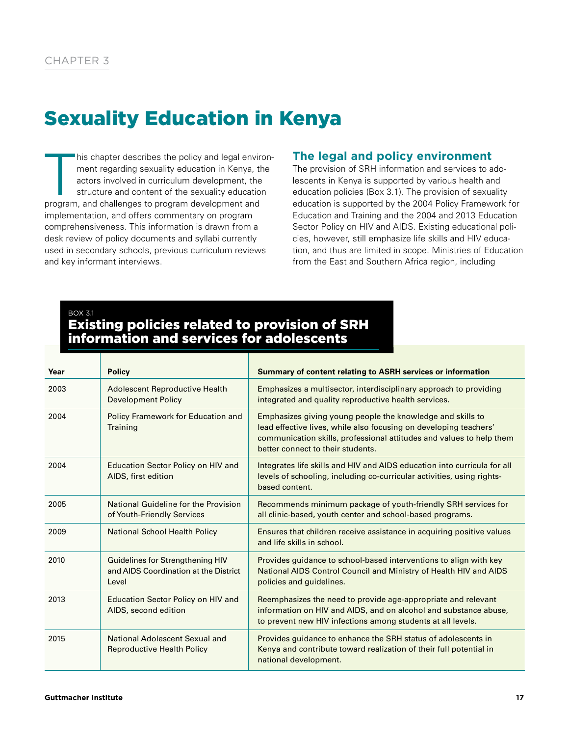# Sexuality Education in Kenya

his chapter describes the policy and legal envir<br>ment regarding sexuality education in Kenya, the<br>actors involved in curriculum development, the<br>structure and content of the sexuality educatio<br>program, and challenges to pr his chapter describes the policy and legal environment regarding sexuality education in Kenya, the actors involved in curriculum development, the structure and content of the sexuality education implementation, and offers commentary on program comprehensiveness. This information is drawn from a desk review of policy documents and syllabi currently used in secondary schools, previous curriculum reviews and key informant interviews.

# **The legal and policy environment**

The provision of SRH information and services to adolescents in Kenya is supported by various health and education policies (Box 3.1). The provision of sexuality education is supported by the 2004 Policy Framework for Education and Training and the 2004 and 2013 Education Sector Policy on HIV and AIDS. Existing educational policies, however, still emphasize life skills and HIV education, and thus are limited in scope. Ministries of Education from the East and Southern Africa region, including

# BOX 3.1 Existing policies related to provision of SRH information and services for adolescents

| Year | <b>Policy</b>                                                                      | Summary of content relating to ASRH services or information                                                                                                                                                                                  |
|------|------------------------------------------------------------------------------------|----------------------------------------------------------------------------------------------------------------------------------------------------------------------------------------------------------------------------------------------|
| 2003 | Adolescent Reproductive Health<br><b>Development Policy</b>                        | Emphasizes a multisector, interdisciplinary approach to providing<br>integrated and quality reproductive health services.                                                                                                                    |
| 2004 | Policy Framework for Education and<br>Training                                     | Emphasizes giving young people the knowledge and skills to<br>lead effective lives, while also focusing on developing teachers'<br>communication skills, professional attitudes and values to help them<br>better connect to their students. |
| 2004 | <b>Education Sector Policy on HIV and</b><br>AIDS, first edition                   | Integrates life skills and HIV and AIDS education into curricula for all<br>levels of schooling, including co-curricular activities, using rights-<br>based content.                                                                         |
| 2005 | National Guideline for the Provision<br>of Youth-Friendly Services                 | Recommends minimum package of youth-friendly SRH services for<br>all clinic-based, youth center and school-based programs.                                                                                                                   |
| 2009 | <b>National School Health Policy</b>                                               | Ensures that children receive assistance in acquiring positive values<br>and life skills in school.                                                                                                                                          |
| 2010 | Guidelines for Strengthening HIV<br>and AIDS Coordination at the District<br>Level | Provides guidance to school-based interventions to align with key<br>National AIDS Control Council and Ministry of Health HIV and AIDS<br>policies and guidelines.                                                                           |
| 2013 | <b>Education Sector Policy on HIV and</b><br>AIDS, second edition                  | Reemphasizes the need to provide age-appropriate and relevant<br>information on HIV and AIDS, and on alcohol and substance abuse,<br>to prevent new HIV infections among students at all levels.                                             |
| 2015 | National Adolescent Sexual and<br><b>Reproductive Health Policy</b>                | Provides guidance to enhance the SRH status of adolescents in<br>Kenya and contribute toward realization of their full potential in<br>national development.                                                                                 |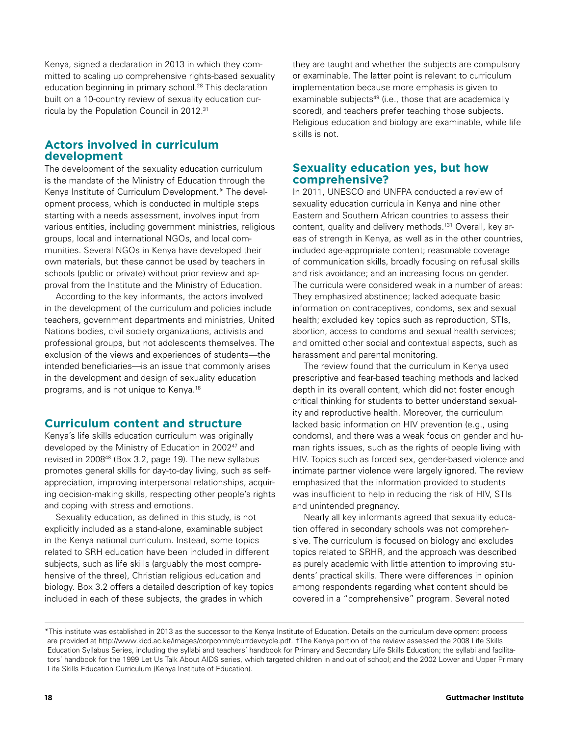Kenya, signed a declaration in 2013 in which they committed to scaling up comprehensive rights-based sexuality education beginning in primary school.<sup>28</sup> This declaration built on a 10-country review of sexuality education curricula by the Population Council in 2012.31

# **Actors involved in curriculum development**

The development of the sexuality education curriculum is the mandate of the Ministry of Education through the Kenya Institute of Curriculum Development.\* The development process, which is conducted in multiple steps starting with a needs assessment, involves input from various entities, including government ministries, religious groups, local and international NGOs, and local communities. Several NGOs in Kenya have developed their own materials, but these cannot be used by teachers in schools (public or private) without prior review and approval from the Institute and the Ministry of Education.

According to the key informants, the actors involved in the development of the curriculum and policies include teachers, government departments and ministries, United Nations bodies, civil society organizations, activists and professional groups, but not adolescents themselves. The exclusion of the views and experiences of students—the intended beneficiaries—is an issue that commonly arises in the development and design of sexuality education programs, and is not unique to Kenya.18

# **Curriculum content and structure**

Kenya's life skills education curriculum was originally developed by the Ministry of Education in 200247 and revised in 2008<sup>48</sup> (Box 3.2, page 19). The new syllabus promotes general skills for day-to-day living, such as selfappreciation, improving interpersonal relationships, acquiring decision-making skills, respecting other people's rights and coping with stress and emotions.

Sexuality education, as defined in this study, is not explicitly included as a stand-alone, examinable subject in the Kenya national curriculum. Instead, some topics related to SRH education have been included in different subjects, such as life skills (arguably the most comprehensive of the three), Christian religious education and biology. Box 3.2 offers a detailed description of key topics included in each of these subjects, the grades in which

they are taught and whether the subjects are compulsory or examinable. The latter point is relevant to curriculum implementation because more emphasis is given to examinable subjects<sup>49</sup> (i.e., those that are academically scored), and teachers prefer teaching those subjects. Religious education and biology are examinable, while life skills is not.

# **Sexuality education yes, but how comprehensive?**

In 2011, UNESCO and UNFPA conducted a review of sexuality education curricula in Kenya and nine other Eastern and Southern African countries to assess their content, quality and delivery methods.†31 Overall, key areas of strength in Kenya, as well as in the other countries, included age-appropriate content; reasonable coverage of communication skills, broadly focusing on refusal skills and risk avoidance; and an increasing focus on gender. The curricula were considered weak in a number of areas: They emphasized abstinence; lacked adequate basic information on contraceptives, condoms, sex and sexual health; excluded key topics such as reproduction, STIs, abortion, access to condoms and sexual health services; and omitted other social and contextual aspects, such as harassment and parental monitoring.

The review found that the curriculum in Kenya used prescriptive and fear-based teaching methods and lacked depth in its overall content, which did not foster enough critical thinking for students to better understand sexuality and reproductive health. Moreover, the curriculum lacked basic information on HIV prevention (e.g., using condoms), and there was a weak focus on gender and human rights issues, such as the rights of people living with HIV. Topics such as forced sex, gender-based violence and intimate partner violence were largely ignored. The review emphasized that the information provided to students was insufficient to help in reducing the risk of HIV, STIs and unintended pregnancy.

Nearly all key informants agreed that sexuality education offered in secondary schools was not comprehensive. The curriculum is focused on biology and excludes topics related to SRHR, and the approach was described as purely academic with little attention to improving students' practical skills. There were differences in opinion among respondents regarding what content should be covered in a "comprehensive" program. Several noted

<sup>\*</sup>This institute was established in 2013 as the successor to the Kenya Institute of Education. Details on the curriculum development process are provided at http://www.kicd.ac.ke/images/corpcomm/currdevcycle.pdf. †The Kenya portion of the review assessed the 2008 Life Skills Education Syllabus Series, including the syllabi and teachers' handbook for Primary and Secondary Life Skills Education; the syllabi and facilitators' handbook for the 1999 Let Us Talk About AIDS series, which targeted children in and out of school; and the 2002 Lower and Upper Primary Life Skills Education Curriculum (Kenya Institute of Education).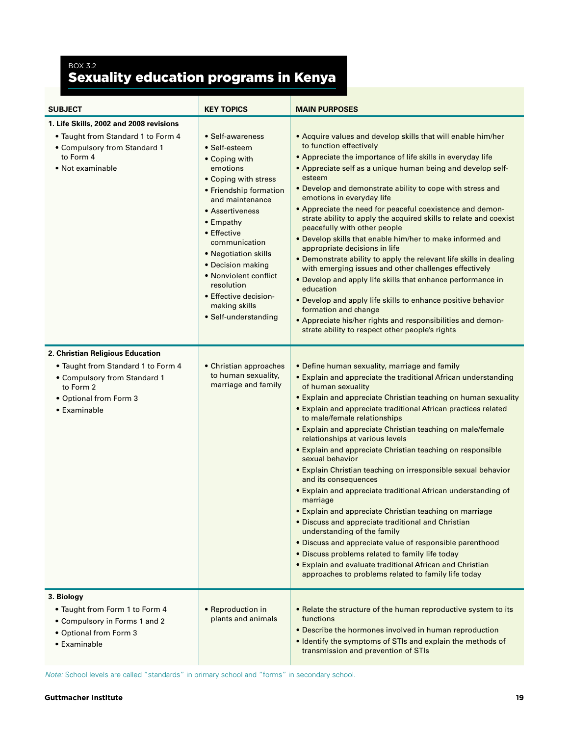# BOX 3.2 Sexuality education programs in Kenya

| <b>SUBJECT</b>                                                                                                                                                | <b>KEY TOPICS</b>                                                                                                                                                                                                                                                                                                                                         | <b>MAIN PURPOSES</b>                                                                                                                                                                                                                                                                                                                                                                                                                                                                                                                                                                                                                                                                                                                                                                                                                                                                                                                                                                                                                                |
|---------------------------------------------------------------------------------------------------------------------------------------------------------------|-----------------------------------------------------------------------------------------------------------------------------------------------------------------------------------------------------------------------------------------------------------------------------------------------------------------------------------------------------------|-----------------------------------------------------------------------------------------------------------------------------------------------------------------------------------------------------------------------------------------------------------------------------------------------------------------------------------------------------------------------------------------------------------------------------------------------------------------------------------------------------------------------------------------------------------------------------------------------------------------------------------------------------------------------------------------------------------------------------------------------------------------------------------------------------------------------------------------------------------------------------------------------------------------------------------------------------------------------------------------------------------------------------------------------------|
| 1. Life Skills, 2002 and 2008 revisions<br>• Taught from Standard 1 to Form 4<br>• Compulsory from Standard 1<br>to Form 4<br>• Not examinable                | • Self-awareness<br>• Self-esteem<br>• Coping with<br>emotions<br>• Coping with stress<br>• Friendship formation<br>and maintenance<br>• Assertiveness<br>• Empathy<br>• Effective<br>communication<br>• Negotiation skills<br>• Decision making<br>• Nonviolent conflict<br>resolution<br>• Effective decision-<br>making skills<br>• Self-understanding | • Acquire values and develop skills that will enable him/her<br>to function effectively<br>• Appreciate the importance of life skills in everyday life<br>• Appreciate self as a unique human being and develop self-<br>esteem<br>. Develop and demonstrate ability to cope with stress and<br>emotions in everyday life<br>• Appreciate the need for peaceful coexistence and demon-<br>strate ability to apply the acquired skills to relate and coexist<br>peacefully with other people<br>. Develop skills that enable him/her to make informed and<br>appropriate decisions in life<br>• Demonstrate ability to apply the relevant life skills in dealing<br>with emerging issues and other challenges effectively<br>• Develop and apply life skills that enhance performance in<br>education<br>• Develop and apply life skills to enhance positive behavior<br>formation and change<br>• Appreciate his/her rights and responsibilities and demon-<br>strate ability to respect other people's rights                                      |
| 2. Christian Religious Education<br>• Taught from Standard 1 to Form 4<br>• Compulsory from Standard 1<br>to Form 2<br>• Optional from Form 3<br>• Examinable | • Christian approaches<br>to human sexuality,<br>marriage and family                                                                                                                                                                                                                                                                                      | • Define human sexuality, marriage and family<br>• Explain and appreciate the traditional African understanding<br>of human sexuality<br>• Explain and appreciate Christian teaching on human sexuality<br>• Explain and appreciate traditional African practices related<br>to male/female relationships<br>• Explain and appreciate Christian teaching on male/female<br>relationships at various levels<br>• Explain and appreciate Christian teaching on responsible<br>sexual behavior<br>• Explain Christian teaching on irresponsible sexual behavior<br>and its consequences<br>• Explain and appreciate traditional African understanding of<br>marriage<br>• Explain and appreciate Christian teaching on marriage<br>• Discuss and appreciate traditional and Christian<br>understanding of the family<br>• Discuss and appreciate value of responsible parenthood<br>• Discuss problems related to family life today<br>• Explain and evaluate traditional African and Christian<br>approaches to problems related to family life today |
| 3. Biology<br>• Taught from Form 1 to Form 4<br>• Compulsory in Forms 1 and 2<br>• Optional from Form 3<br>• Examinable                                       | • Reproduction in<br>plants and animals                                                                                                                                                                                                                                                                                                                   | . Relate the structure of the human reproductive system to its<br>functions<br>• Describe the hormones involved in human reproduction<br>• Identify the symptoms of STIs and explain the methods of<br>transmission and prevention of STIs                                                                                                                                                                                                                                                                                                                                                                                                                                                                                                                                                                                                                                                                                                                                                                                                          |

*Note:* School levels are called "standards" in primary school and "forms" in secondary school.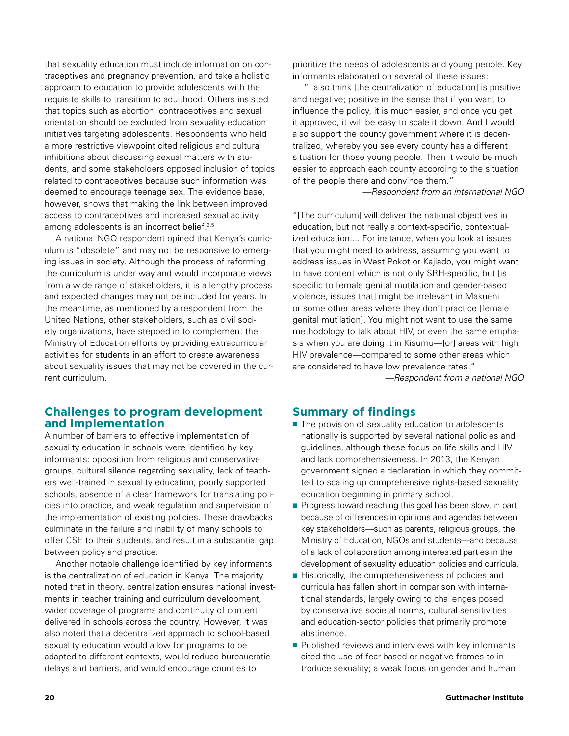that sexuality education must include information on contraceptives and pregnancy prevention, and take a holistic approach to education to provide adolescents with the requisite skills to transition to adulthood. Others insisted that topics such as abortion, contraceptives and sexual orientation should be excluded from sexuality education initiatives targeting adolescents. Respondents who held a more restrictive viewpoint cited religious and cultural inhibitions about discussing sexual matters with students, and some stakeholders opposed inclusion of topics related to contraceptives because such information was deemed to encourage teenage sex. The evidence base, however, shows that making the link between improved access to contraceptives and increased sexual activity among adolescents is an incorrect belief.<sup>2,5</sup>

A national NGO respondent opined that Kenya's curriculum is "obsolete" and may not be responsive to emerging issues in society. Although the process of reforming the curriculum is under way and would incorporate views from a wide range of stakeholders, it is a lengthy process and expected changes may not be included for years. In the meantime, as mentioned by a respondent from the United Nations, other stakeholders, such as civil society organizations, have stepped in to complement the Ministry of Education efforts by providing extracurricular activities for students in an effort to create awareness about sexuality issues that may not be covered in the current curriculum.

# **Challenges to program development and implementation**

A number of barriers to effective implementation of sexuality education in schools were identified by key informants: opposition from religious and conservative groups, cultural silence regarding sexuality, lack of teachers well-trained in sexuality education, poorly supported schools, absence of a clear framework for translating policies into practice, and weak regulation and supervision of the implementation of existing policies. These drawbacks culminate in the failure and inability of many schools to offer CSE to their students, and result in a substantial gap between policy and practice.

Another notable challenge identified by key informants is the centralization of education in Kenya. The majority noted that in theory, centralization ensures national investments in teacher training and curriculum development, wider coverage of programs and continuity of content delivered in schools across the country. However, it was also noted that a decentralized approach to school-based sexuality education would allow for programs to be adapted to different contexts, would reduce bureaucratic delays and barriers, and would encourage counties to

prioritize the needs of adolescents and young people. Key informants elaborated on several of these issues:

"I also think [the centralization of education] is positive and negative; positive in the sense that if you want to influence the policy, it is much easier, and once you get it approved, it will be easy to scale it down. And I would also support the county government where it is decentralized, whereby you see every county has a different situation for those young people. Then it would be much easier to approach each county according to the situation of the people there and convince them."

*—Respondent from an international NGO*

"[The curriculum] will deliver the national objectives in education, but not really a context-specific, contextualized education.... For instance, when you look at issues that you might need to address, assuming you want to address issues in West Pokot or Kajiado, you might want to have content which is not only SRH-specific, but [is specific to female genital mutilation and gender-based violence, issues that] might be irrelevant in Makueni or some other areas where they don't practice [female genital mutilation]. You might not want to use the same methodology to talk about HIV, or even the same emphasis when you are doing it in Kisumu—[or] areas with high HIV prevalence—compared to some other areas which are considered to have low prevalence rates." *—Respondent from a national NGO*

### **Summary of findings**

- The provision of sexuality education to adolescents nationally is supported by several national policies and guidelines, although these focus on life skills and HIV and lack comprehensiveness. In 2013, the Kenyan government signed a declaration in which they committed to scaling up comprehensive rights-based sexuality education beginning in primary school.
- Progress toward reaching this goal has been slow, in part because of differences in opinions and agendas between key stakeholders—such as parents, religious groups, the Ministry of Education, NGOs and students—and because of a lack of collaboration among interested parties in the development of sexuality education policies and curricula.
- Historically, the comprehensiveness of policies and curricula has fallen short in comparison with international standards, largely owing to challenges posed by conservative societal norms, cultural sensitivities and education-sector policies that primarily promote abstinence.
- Published reviews and interviews with key informants cited the use of fear-based or negative frames to introduce sexuality; a weak focus on gender and human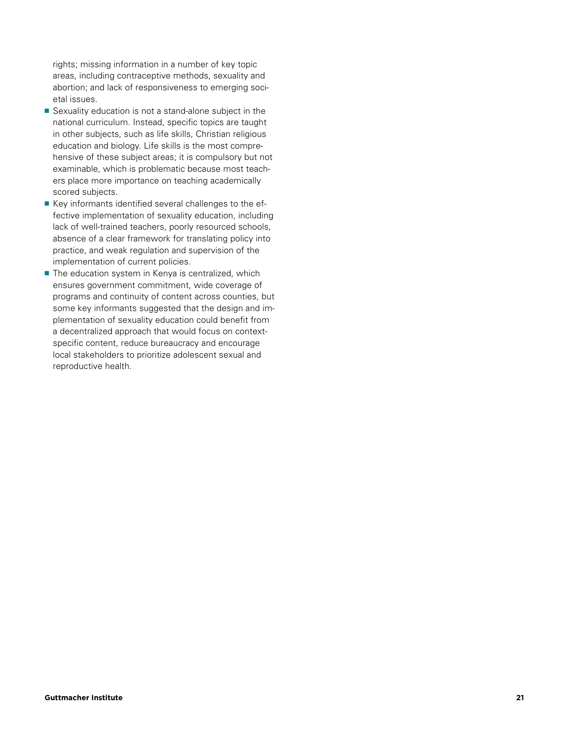rights; missing information in a number of key topic areas, including contraceptive methods, sexuality and abortion; and lack of responsiveness to emerging societal issues.

- Sexuality education is not a stand-alone subject in the national curriculum. Instead, specific topics are taught in other subjects, such as life skills, Christian religious education and biology. Life skills is the most comprehensive of these subject areas; it is compulsory but not examinable, which is problematic because most teachers place more importance on teaching academically scored subjects.
- Key informants identified several challenges to the effective implementation of sexuality education, including lack of well-trained teachers, poorly resourced schools, absence of a clear framework for translating policy into practice, and weak regulation and supervision of the implementation of current policies.
- The education system in Kenya is centralized, which ensures government commitment, wide coverage of programs and continuity of content across counties, but some key informants suggested that the design and implementation of sexuality education could benefit from a decentralized approach that would focus on contextspecific content, reduce bureaucracy and encourage local stakeholders to prioritize adolescent sexual and reproductive health.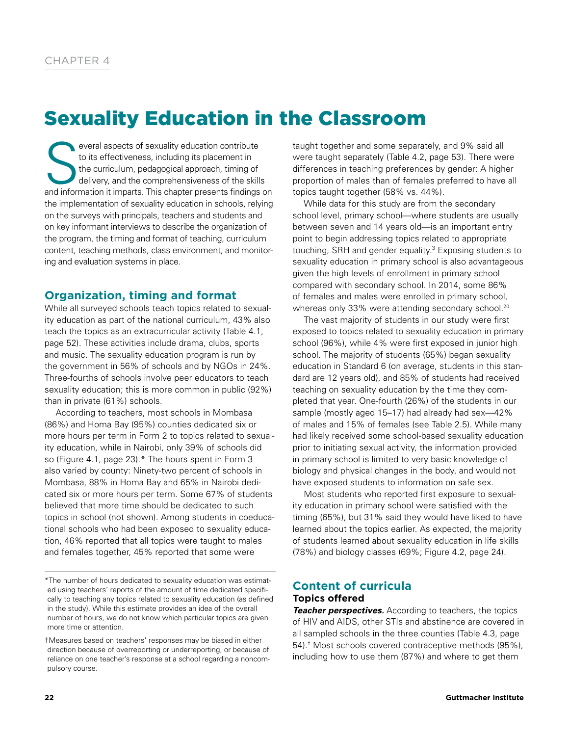# Sexuality Education in the Classroom

S everal aspects of sexuality education contribute to its effectiveness, including its placement in the curriculum, pedagogical approach, timing of delivery, and the comprehensiveness of the skills and information it imparts. This chapter presents findings on the implementation of sexuality education in schools, relying on the surveys with principals, teachers and students and on key informant interviews to describe the organization of the program, the timing and format of teaching, curriculum content, teaching methods, class environment, and monitoring and evaluation systems in place.

# **Organization, timing and format**

While all surveyed schools teach topics related to sexuality education as part of the national curriculum, 43% also teach the topics as an extracurricular activity (Table 4.1, page 52). These activities include drama, clubs, sports and music. The sexuality education program is run by the government in 56% of schools and by NGOs in 24%. Three-fourths of schools involve peer educators to teach sexuality education; this is more common in public (92%) than in private (61%) schools.

According to teachers, most schools in Mombasa (86%) and Homa Bay (95%) counties dedicated six or more hours per term in Form 2 to topics related to sexuality education, while in Nairobi, only 39% of schools did so (Figure 4.1, page 23).\* The hours spent in Form 3 also varied by county: Ninety-two percent of schools in Mombasa, 88% in Homa Bay and 65% in Nairobi dedicated six or more hours per term. Some 67% of students believed that more time should be dedicated to such topics in school (not shown). Among students in coeducational schools who had been exposed to sexuality education, 46% reported that all topics were taught to males and females together, 45% reported that some were

\*The number of hours dedicated to sexuality education was estimated using teachers' reports of the amount of time dedicated specifically to teaching any topics related to sexuality education (as defined in the study). While this estimate provides an idea of the overall number of hours, we do not know which particular topics are given more time or attention.

†Measures based on teachers' responses may be biased in either direction because of overreporting or underreporting, or because of reliance on one teacher's response at a school regarding a noncompulsory course.

taught together and some separately, and 9% said all were taught separately (Table 4.2, page 53). There were differences in teaching preferences by gender: A higher proportion of males than of females preferred to have all topics taught together (58% vs. 44%).

While data for this study are from the secondary school level, primary school—where students are usually between seven and 14 years old—is an important entry point to begin addressing topics related to appropriate touching, SRH and gender equality.<sup>3</sup> Exposing students to sexuality education in primary school is also advantageous given the high levels of enrollment in primary school compared with secondary school. In 2014, some 86% of females and males were enrolled in primary school, whereas only 33% were attending secondary school.<sup>20</sup>

The vast majority of students in our study were first exposed to topics related to sexuality education in primary school (96%), while 4% were first exposed in junior high school. The majority of students (65%) began sexuality education in Standard 6 (on average, students in this standard are 12 years old), and 85% of students had received teaching on sexuality education by the time they completed that year. One-fourth (26%) of the students in our sample (mostly aged 15–17) had already had sex—42% of males and 15% of females (see Table 2.5). While many had likely received some school-based sexuality education prior to initiating sexual activity, the information provided in primary school is limited to very basic knowledge of biology and physical changes in the body, and would not have exposed students to information on safe sex.

Most students who reported first exposure to sexuality education in primary school were satisfied with the timing (65%), but 31% said they would have liked to have learned about the topics earlier. As expected, the majority of students learned about sexuality education in life skills (78%) and biology classes (69%; Figure 4.2, page 24).

# **Content of curricula**

# **Topics offered**

*Teacher perspectives.* According to teachers, the topics of HIV and AIDS, other STIs and abstinence are covered in all sampled schools in the three counties (Table 4.3, page 54).† Most schools covered contraceptive methods (95%), including how to use them (87%) and where to get them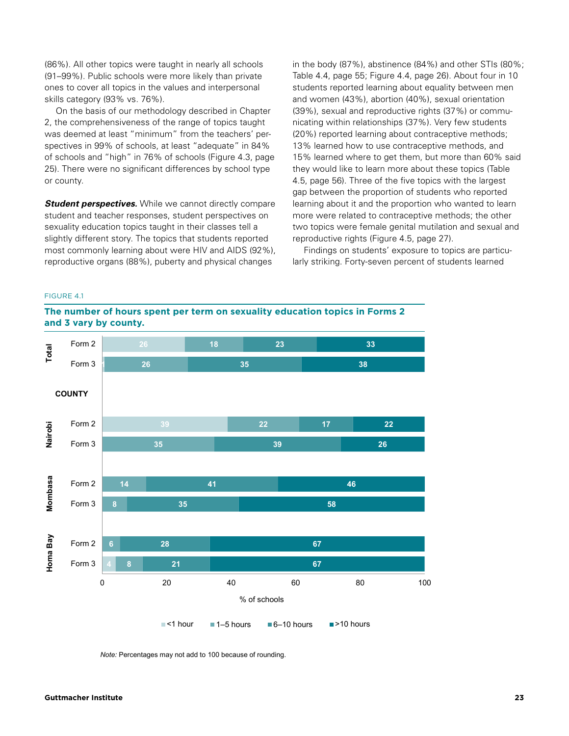(86%). All other topics were taught in nearly all schools (91–99%). Public schools were more likely than private ones to cover all topics in the values and interpersonal skills category (93% vs. 76%).

On the basis of our methodology described in Chapter 2, the comprehensiveness of the range of topics taught was deemed at least "minimum" from the teachers' perspectives in 99% of schools, at least "adequate" in 84% of schools and "high" in 76% of schools (Figure 4.3, page 25). There were no significant differences by school type or county.

*Student perspectives.* While we cannot directly compare student and teacher responses, student perspectives on sexuality education topics taught in their classes tell a slightly different story. The topics that students reported most commonly learning about were HIV and AIDS (92%), reproductive organs (88%), puberty and physical changes

in the body (87%), abstinence (84%) and other STIs (80%; Table 4.4, page 55; Figure 4.4, page 26). About four in 10 students reported learning about equality between men and women (43%), abortion (40%), sexual orientation (39%), sexual and reproductive rights (37%) or communicating within relationships (37%). Very few students (20%) reported learning about contraceptive methods; 13% learned how to use contraceptive methods, and 15% learned where to get them, but more than 60% said they would like to learn more about these topics (Table 4.5, page 56). Three of the five topics with the largest gap between the proportion of students who reported learning about it and the proportion who wanted to learn more were related to contraceptive methods; the other two topics were female genital mutilation and sexual and reproductive rights (Figure 4.5, page 27).

Findings on students' exposure to topics are particularly striking. Forty-seven percent of students learned

#### **sexuality education topics in Forms 2 and 3 vary by**  FIGURE 4.1





*Note:* Percentages may not add to 100 because of rounding.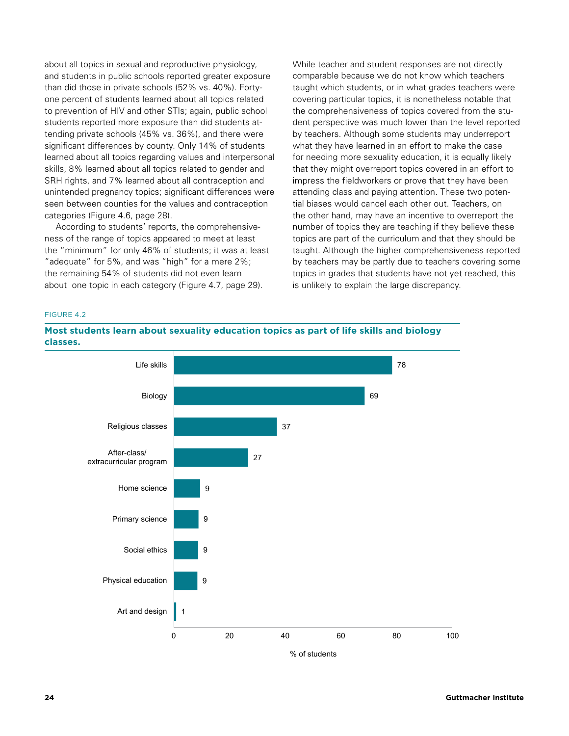about all topics in sexual and reproductive physiology, and students in public schools reported greater exposure than did those in private schools (52% vs. 40%). Fortyone percent of students learned about all topics related to prevention of HIV and other STIs; again, public school students reported more exposure than did students attending private schools (45% vs. 36%), and there were significant differences by county. Only 14% of students learned about all topics regarding values and interpersonal skills, 8% learned about all topics related to gender and SRH rights, and 7% learned about all contraception and unintended pregnancy topics; significant differences were seen between counties for the values and contraception categories (Figure 4.6, page 28).

According to students' reports, the comprehensiveness of the range of topics appeared to meet at least the "minimum" for only 46% of students; it was at least "adequate" for 5%, and was "high" for a mere 2%; the remaining 54% of students did not even learn about one topic in each category (Figure 4.7, page 29).

While teacher and student responses are not directly comparable because we do not know which teachers taught which students, or in what grades teachers were covering particular topics, it is nonetheless notable that the comprehensiveness of topics covered from the student perspective was much lower than the level reported by teachers. Although some students may underreport what they have learned in an effort to make the case for needing more sexuality education, it is equally likely that they might overreport topics covered in an effort to impress the fieldworkers or prove that they have been attending class and paying attention. These two potential biases would cancel each other out. Teachers, on the other hand, may have an incentive to overreport the number of topics they are teaching if they believe these topics are part of the curriculum and that they should be taught. Although the higher comprehensiveness reported by teachers may be partly due to teachers covering some topics in grades that students have not yet reached, this is unlikely to explain the large discrepancy.

# **topics as part of life skills and biology classes.** FIGURE 4.2

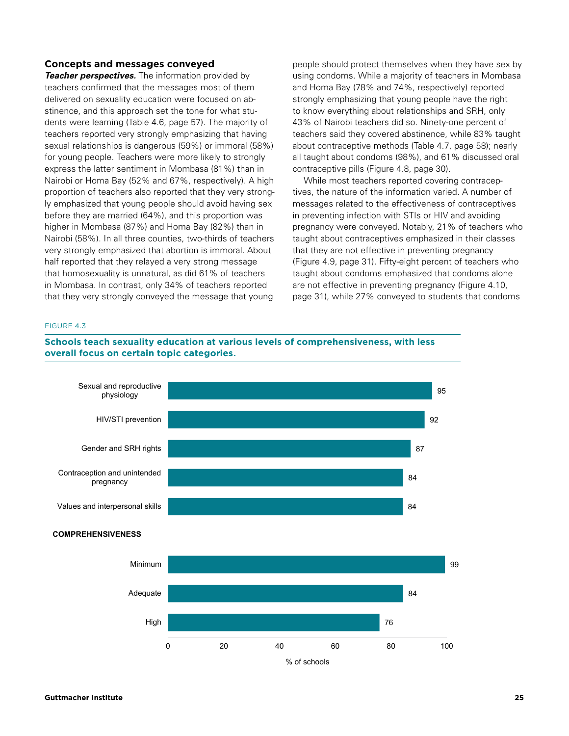## **Concepts and messages conveyed**

*Teacher perspectives.* The information provided by teachers confirmed that the messages most of them delivered on sexuality education were focused on abstinence, and this approach set the tone for what students were learning (Table 4.6, page 57). The majority of teachers reported very strongly emphasizing that having sexual relationships is dangerous (59%) or immoral (58%) for young people. Teachers were more likely to strongly express the latter sentiment in Mombasa (81%) than in Nairobi or Homa Bay (52% and 67%, respectively). A high proportion of teachers also reported that they very strongly emphasized that young people should avoid having sex before they are married (64%), and this proportion was higher in Mombasa (87%) and Homa Bay (82%) than in Nairobi (58%). In all three counties, two-thirds of teachers very strongly emphasized that abortion is immoral. About half reported that they relayed a very strong message that homosexuality is unnatural, as did 61% of teachers in Mombasa. In contrast, only 34% of teachers reported that they very strongly conveyed the message that young

people should protect themselves when they have sex by using condoms. While a majority of teachers in Mombasa and Homa Bay (78% and 74%, respectively) reported strongly emphasizing that young people have the right to know everything about relationships and SRH, only 43% of Nairobi teachers did so. Ninety-one percent of teachers said they covered abstinence, while 83% taught about contraceptive methods (Table 4.7, page 58); nearly all taught about condoms (98%), and 61% discussed oral contraceptive pills (Figure 4.8, page 30).

While most teachers reported covering contraceptives, the nature of the information varied. A number of messages related to the effectiveness of contraceptives in preventing infection with STIs or HIV and avoiding pregnancy were conveyed. Notably, 21% of teachers who taught about contraceptives emphasized in their classes that they are not effective in preventing pregnancy (Figure 4.9, page 31). Fifty-eight percent of teachers who taught about condoms emphasized that condoms alone are not effective in preventing pregnancy (Figure 4.10, page 31), while 27% conveyed to students that condoms

#### FIGURE 4.3

**Schools teach sexuality education at various levels of comprehensiveness, with less certain topic categories. overall focus on certain topic categories.**

**FIGURE 4.3. Schools teach sexuality education at various** 

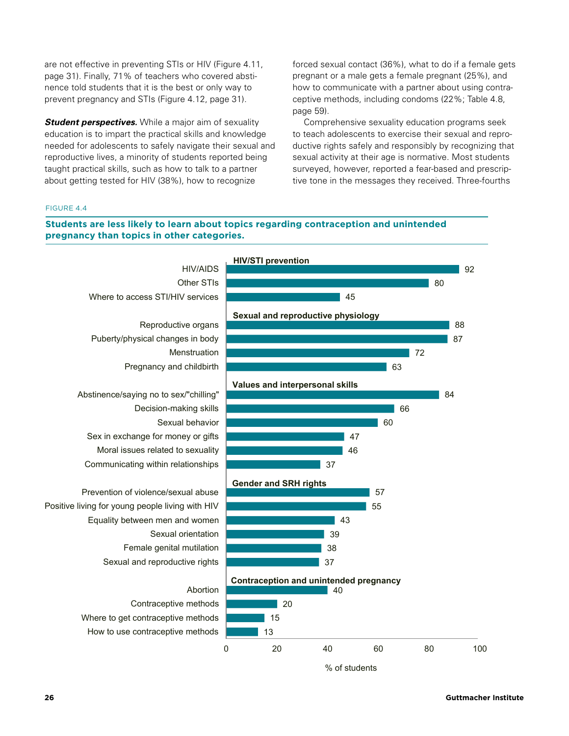are not effective in preventing STIs or HIV (Figure 4.11, page 31). Finally, 71% of teachers who covered abstinence told students that it is the best or only way to prevent pregnancy and STIs (Figure 4.12, page 31).

*Student perspectives.* While a major aim of sexuality education is to impart the practical skills and knowledge needed for adolescents to safely navigate their sexual and reproductive lives, a minority of students reported being taught practical skills, such as how to talk to a partner about getting tested for HIV (38%), how to recognize

forced sexual contact (36%), what to do if a female gets pregnant or a male gets a female pregnant (25%), and how to communicate with a partner about using contraceptive methods, including condoms (22%; Table 4.8, page 59).

Comprehensive sexuality education programs seek to teach adolescents to exercise their sexual and reproductive rights safely and responsibly by recognizing that sexual activity at their age is normative. Most students surveyed, however, reported a fear-based and prescriptive tone in the messages they received. Three-fourths

#### **FIGURE 4.4. Students are less likely to learn about topics**  FIGURE 4.4

# Students are less likely to learn about topics regarding contraception and unintended<br>pregnancy than topics in other othersies

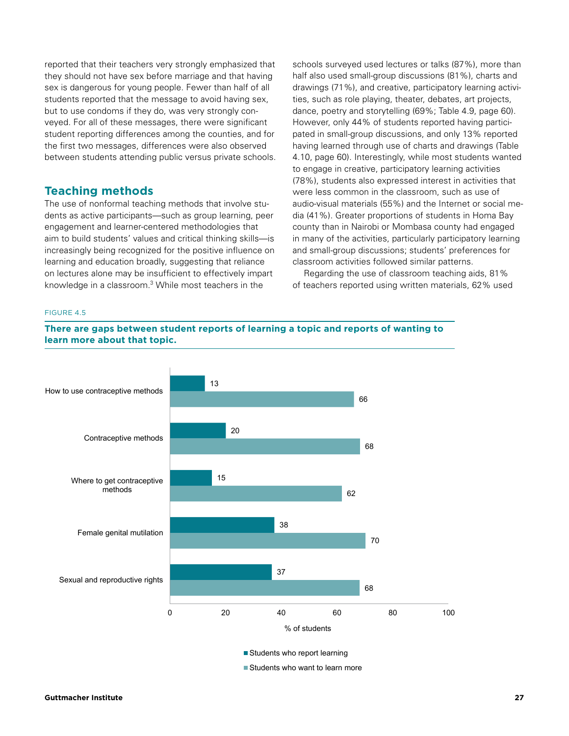reported that their teachers very strongly emphasized that they should not have sex before marriage and that having sex is dangerous for young people. Fewer than half of all students reported that the message to avoid having sex, but to use condoms if they do, was very strongly conveyed. For all of these messages, there were significant student reporting differences among the counties, and for the first two messages, differences were also observed between students attending public versus private schools.

# **Teaching methods**

The use of nonformal teaching methods that involve students as active participants—such as group learning, peer engagement and learner-centered methodologies that aim to build students' values and critical thinking skills—is increasingly being recognized for the positive influence on learning and education broadly, suggesting that reliance on lectures alone may be insufficient to effectively impart knowledge in a classroom.3 While most teachers in the

schools surveyed used lectures or talks (87%), more than half also used small-group discussions (81%), charts and drawings (71%), and creative, participatory learning activities, such as role playing, theater, debates, art projects, dance, poetry and storytelling (69%; Table 4.9, page 60). However, only 44% of students reported having participated in small-group discussions, and only 13% reported having learned through use of charts and drawings (Table 4.10, page 60). Interestingly, while most students wanted to engage in creative, participatory learning activities (78%), students also expressed interest in activities that were less common in the classroom, such as use of audio-visual materials (55%) and the Internet or social media (41%). Greater proportions of students in Homa Bay county than in Nairobi or Mombasa county had engaged in many of the activities, particularly participatory learning and small-group discussions; students' preferences for classroom activities followed similar patterns.

Regarding the use of classroom teaching aids, 81% of teachers reported using written materials, 62% used

#### FIGURE 4.5

**FIGURE 4.5. There are gaps between student reports of**  There are gaps between student reports of learning a topic and reports of wanting to<br>Isam mare about that tanja **that topic. learn more about that topic.**

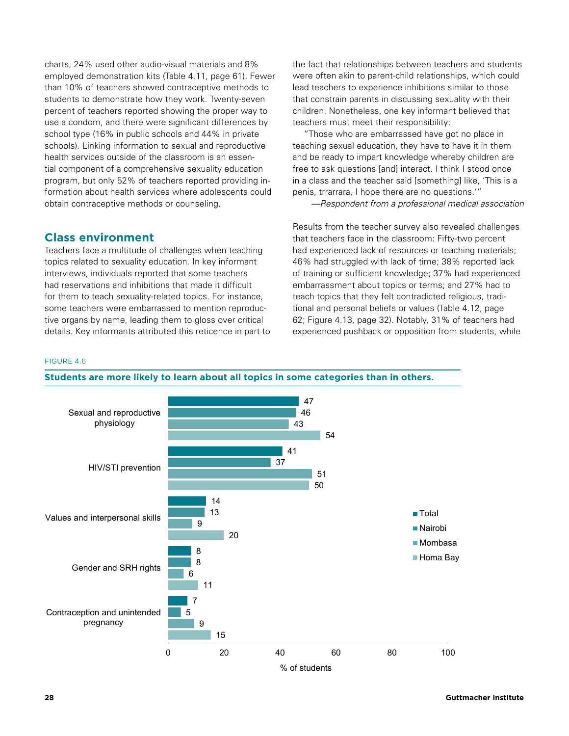charts, 24% used other audio-visual materials and 8% employed demonstration kits (Table 4.11, page 61). Fewer than 10% of teachers showed contraceptive methods to students to demonstrate how they work. Twenty-seven percent of teachers reported showing the proper way to use a condom, and there were significant differences by school type (16% in public schools and 44% in private schools). Linking information to sexual and reproductive health services outside of the classroom is an essential component of a comprehensive sexuality education program, but only 52% of teachers reported providing information about health services where adolescents could obtain contraceptive methods or counseling.

# **Class environment**

Teachers face a multitude of challenges when teaching topics related to sexuality education. In key informant interviews, individuals reported that some teachers had reservations and inhibitions that made it difficult for them to teach sexuality-related topics. For instance, some teachers were embarrassed to mention reproductive organs by name, leading them to gloss over critical details. Key informants attributed this reticence in part to the fact that relationships between teachers and students were often akin to parent-child relationships, which could lead teachers to experience inhibitions similar to those that constrain parents in discussing sexuality with their children. Nonetheless, one key informant believed that teachers must meet their responsibility:

"Those who are embarrassed have got no place in teaching sexual education, they have to have it in them and be ready to impart knowledge whereby children are free to ask questions [and] interact. I think I stood once in a class and the teacher said [something] like, 'This is a penis, trrarrara, I hope there are no questions.'"

*—Respondent from a professional medical association*

Results from the teacher survey also revealed challenges that teachers face in the classroom: Fifty-two percent had experienced lack of resources or teaching materials; 46% had struggled with lack of time; 38% reported lack of training or sufficient knowledge; 37% had experienced embarrassment about topics or terms; and 27% had to teach topics that they felt contradicted religious, traditional and personal beliefs or values (Table 4.12, page 62; Figure 4.13, page 32). Notably, 31% of teachers had experienced pushback or opposition from students, while

#### FIGURE 4.6



**Students are more likely to learn about all topics in some categories than in others.**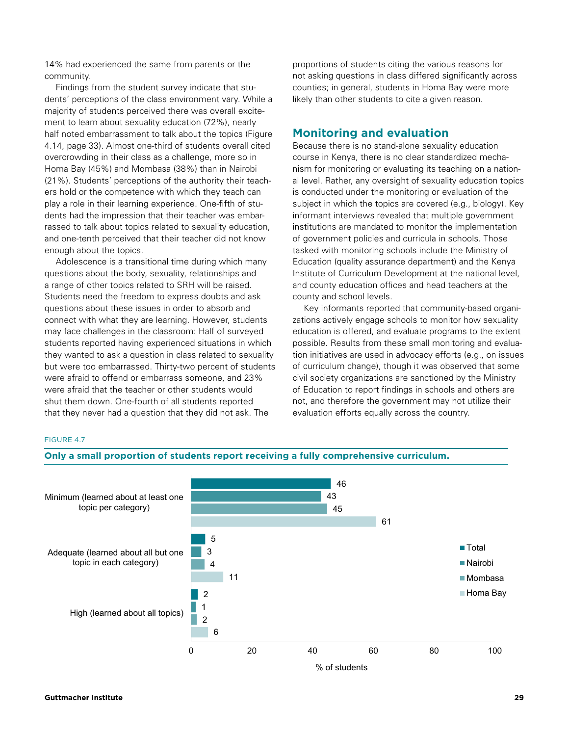14% had experienced the same from parents or the community.

Findings from the student survey indicate that students' perceptions of the class environment vary. While a majority of students perceived there was overall excitement to learn about sexuality education (72%), nearly half noted embarrassment to talk about the topics (Figure 4.14, page 33). Almost one-third of students overall cited overcrowding in their class as a challenge, more so in Homa Bay (45%) and Mombasa (38%) than in Nairobi (21%). Students' perceptions of the authority their teachers hold or the competence with which they teach can play a role in their learning experience. One-fifth of students had the impression that their teacher was embarrassed to talk about topics related to sexuality education, and one-tenth perceived that their teacher did not know enough about the topics.

Adolescence is a transitional time during which many questions about the body, sexuality, relationships and a range of other topics related to SRH will be raised. Students need the freedom to express doubts and ask questions about these issues in order to absorb and connect with what they are learning. However, students may face challenges in the classroom: Half of surveyed students reported having experienced situations in which they wanted to ask a question in class related to sexuality but were too embarrassed. Thirty-two percent of students were afraid to offend or embarrass someone, and 23% were afraid that the teacher or other students would shut them down. One-fourth of all students reported that they never had a question that they did not ask. The **FIGURE 4.7. Only a small proportion of students report** 

proportions of students citing the various reasons for not asking questions in class differed significantly across counties; in general, students in Homa Bay were more likely than other students to cite a given reason.

# **Monitoring and evaluation**

Because there is no stand-alone sexuality education course in Kenya, there is no clear standardized mechanism for monitoring or evaluating its teaching on a national level. Rather, any oversight of sexuality education topics is conducted under the monitoring or evaluation of the subject in which the topics are covered (e.g., biology). Key informant interviews revealed that multiple government institutions are mandated to monitor the implementation of government policies and curricula in schools. Those tasked with monitoring schools include the Ministry of Education (quality assurance department) and the Kenya Institute of Curriculum Development at the national level, and county education offices and head teachers at the county and school levels.

Key informants reported that community-based organizations actively engage schools to monitor how sexuality education is offered, and evaluate programs to the extent possible. Results from these small monitoring and evaluation initiatives are used in advocacy efforts (e.g., on issues of curriculum change), though it was observed that some civil society organizations are sanctioned by the Ministry of Education to report findings in schools and others are not, and therefore the government may not utilize their evaluation efforts equally across the country.

### FIGURE 4.7

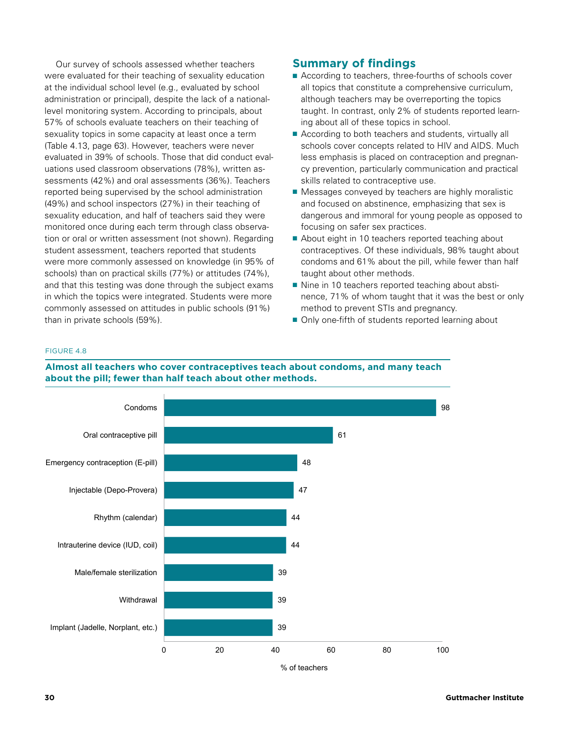Our survey of schools assessed whether teachers were evaluated for their teaching of sexuality education at the individual school level (e.g., evaluated by school administration or principal), despite the lack of a nationallevel monitoring system. According to principals, about 57% of schools evaluate teachers on their teaching of sexuality topics in some capacity at least once a term (Table 4.13, page 63). However, teachers were never evaluated in 39% of schools. Those that did conduct evaluations used classroom observations (78%), written assessments (42%) and oral assessments (36%). Teachers reported being supervised by the school administration (49%) and school inspectors (27%) in their teaching of sexuality education, and half of teachers said they were monitored once during each term through class observation or oral or written assessment (not shown). Regarding student assessment, teachers reported that students were more commonly assessed on knowledge (in 95% of schools) than on practical skills (77%) or attitudes (74%), and that this testing was done through the subject exams in which the topics were integrated. Students were more commonly assessed on attitudes in public schools (91%) than in private schools (59%).

# **Summary of findings**

- According to teachers, three-fourths of schools cover all topics that constitute a comprehensive curriculum, although teachers may be overreporting the topics taught. In contrast, only 2% of students reported learning about all of these topics in school.
- According to both teachers and students, virtually all schools cover concepts related to HIV and AIDS. Much less emphasis is placed on contraception and pregnancy prevention, particularly communication and practical skills related to contraceptive use.
- Messages conveyed by teachers are highly moralistic and focused on abstinence, emphasizing that sex is dangerous and immoral for young people as opposed to focusing on safer sex practices.
- About eight in 10 teachers reported teaching about contraceptives. Of these individuals, 98% taught about condoms and 61% about the pill, while fewer than half taught about other methods.
- Nine in 10 teachers reported teaching about abstinence, 71% of whom taught that it was the best or only method to prevent STIs and pregnancy.
- Only one-fifth of students reported learning about

#### **teach about condoms, and many teach about the pill;**  FIGURE 4.8



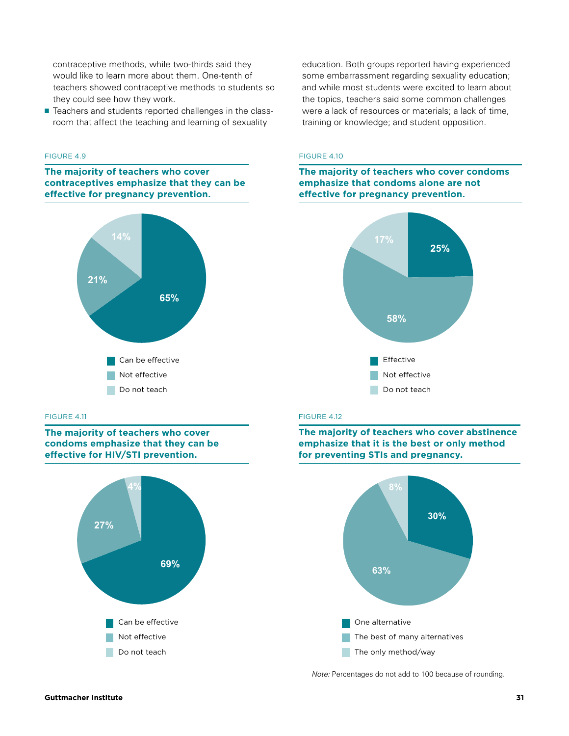contraceptive methods, while two-thirds said they would like to learn more about them. One-tenth of teachers showed contraceptive methods to students so they could see how they work.

■ Teachers and students reported challenges in the classroom that affect the teaching and learning of sexuality

#### **FIGURE 4.9. The majority of teachers who cover**  FIGURE 4.9

**contrace the majority of teachers who cover effectives** emphasize that they can be **effective for pregnancy prevention.**



#### **FIGURE 4.11.** The majority of the majority of the majority of the majority of the majority of the majority of the majority of the majority of the majority of the majority of the majority of the majority of the majority of

**The majority of teachers who cover condoms emphasize that they can be effective for HIV/STI prevention.**



education. Both groups reported having experienced some embarrassment regarding sexuality education; and while most students were excited to learn about the topics, teachers said some common challenges were a lack of resources or materials; a lack of time, training or knowledge; and student opposition.

# **FIGURE 4.10. The majority of teachers who**  FIGURE 4.10

**cover condoms emphasize that condoms alone**  The majority of teachers who cover condoms **emphasize that condoms alone are not effective for pregnancy prevention.**



#### FIGURE 4.12 **FIGURE 4.12. The majority of teachers who**

**The majority of teachers who cover abstinence** emphasize that it is the best or only method **for preventing STIs and pregnancy.**



*Note:* Percentages do not add to 100 because of rounding.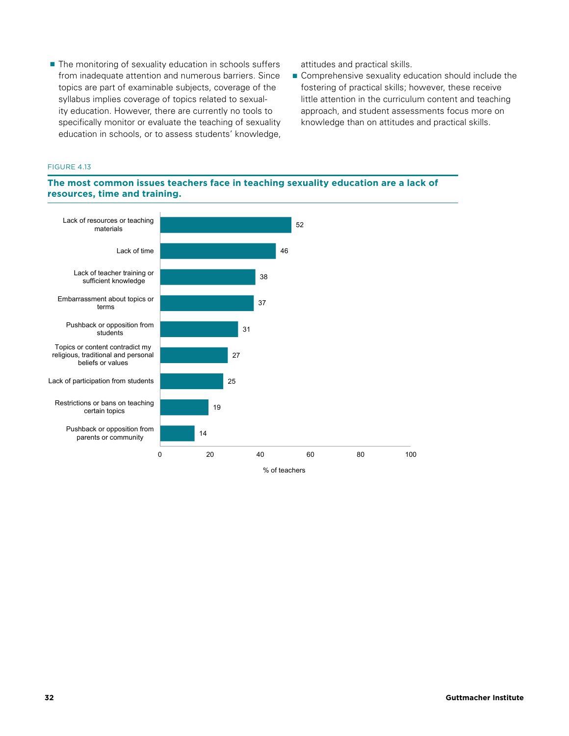■ The monitoring of sexuality education in schools suffers from inadequate attention and numerous barriers. Since topics are part of examinable subjects, coverage of the syllabus implies coverage of topics related to sexuality education. However, there are currently no tools to specifically monitor or evaluate the teaching of sexuality education in schools, or to assess students' knowledge, attitudes and practical skills.

■ Comprehensive sexuality education should include the fostering of practical skills; however, these receive little attention in the curriculum content and teaching approach, and student assessments focus more on knowledge than on attitudes and practical skills.

#### **FIGURE 4.13. The most common issues teachers face in**  FIGURE 4.13

# The most common issues teachers face in teaching sexuality education are a lack of **and training. resources, time and training.**

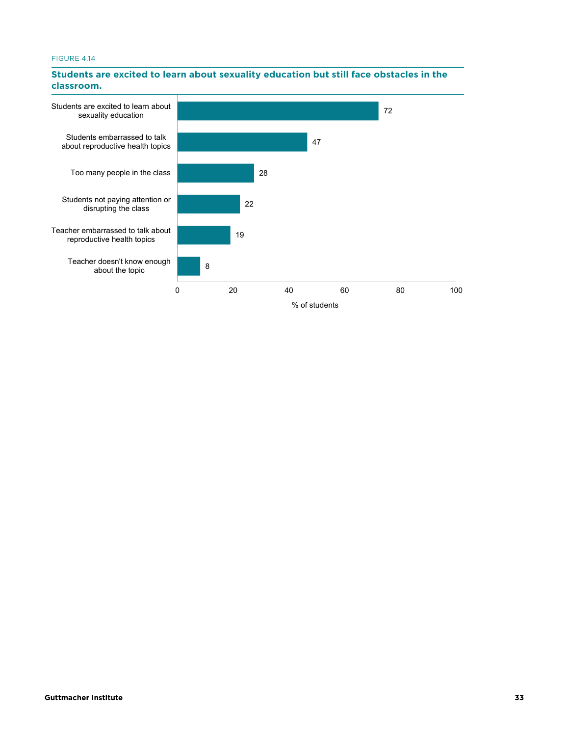# **education but still face obstacles in the classroom.** FIGURE 4.14



#### **Students are excited to learn about sexuality education but still face obstacles in the classroom.**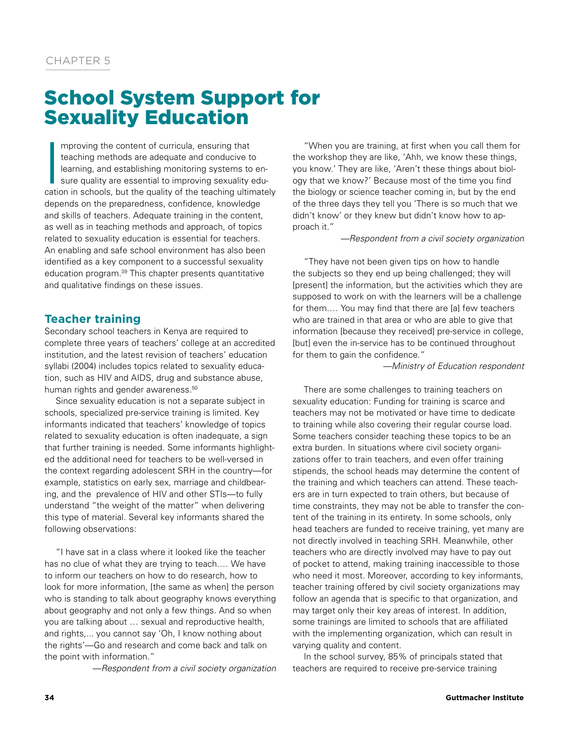# School System Support for Sexuality Education

|<br>|<br>Catic mproving the content of curricula, ensuring that teaching methods are adequate and conducive to learning, and establishing monitoring systems to ensure quality are essential to improving sexuality education in schools, but the quality of the teaching ultimately depends on the preparedness, confidence, knowledge and skills of teachers. Adequate training in the content, as well as in teaching methods and approach, of topics related to sexuality education is essential for teachers. An enabling and safe school environment has also been identified as a key component to a successful sexuality education program.39 This chapter presents quantitative and qualitative findings on these issues.

# **Teacher training**

Secondary school teachers in Kenya are required to complete three years of teachers' college at an accredited institution, and the latest revision of teachers' education syllabi (2004) includes topics related to sexuality education, such as HIV and AIDS, drug and substance abuse, human rights and gender awareness.<sup>50</sup>

Since sexuality education is not a separate subject in schools, specialized pre-service training is limited. Key informants indicated that teachers' knowledge of topics related to sexuality education is often inadequate, a sign that further training is needed. Some informants highlighted the additional need for teachers to be well-versed in the context regarding adolescent SRH in the country—for example, statistics on early sex, marriage and childbearing, and the prevalence of HIV and other STIs—to fully understand "the weight of the matter" when delivering this type of material. Several key informants shared the following observations:

"I have sat in a class where it looked like the teacher has no clue of what they are trying to teach.… We have to inform our teachers on how to do research, how to look for more information, [the same as when] the person who is standing to talk about geography knows everything about geography and not only a few things. And so when you are talking about … sexual and reproductive health, and rights,... you cannot say 'Oh, I know nothing about the rights'—Go and research and come back and talk on the point with information."

*—Respondent from a civil society organization*

"When you are training, at first when you call them for the workshop they are like, 'Ahh, we know these things, you know.' They are like, 'Aren't these things about biology that we know?' Because most of the time you find the biology or science teacher coming in, but by the end of the three days they tell you 'There is so much that we didn't know' or they knew but didn't know how to approach it."

#### *—Respondent from a civil society organization*

"They have not been given tips on how to handle the subjects so they end up being challenged; they will [present] the information, but the activities which they are supposed to work on with the learners will be a challenge for them.… You may find that there are [a] few teachers who are trained in that area or who are able to give that information [because they received] pre-service in college, [but] even the in-service has to be continued throughout for them to gain the confidence."

*—Ministry of Education respondent*

There are some challenges to training teachers on sexuality education: Funding for training is scarce and teachers may not be motivated or have time to dedicate to training while also covering their regular course load. Some teachers consider teaching these topics to be an extra burden. In situations where civil society organizations offer to train teachers, and even offer training stipends, the school heads may determine the content of the training and which teachers can attend. These teachers are in turn expected to train others, but because of time constraints, they may not be able to transfer the content of the training in its entirety. In some schools, only head teachers are funded to receive training, yet many are not directly involved in teaching SRH. Meanwhile, other teachers who are directly involved may have to pay out of pocket to attend, making training inaccessible to those who need it most. Moreover, according to key informants, teacher training offered by civil society organizations may follow an agenda that is specific to that organization, and may target only their key areas of interest. In addition, some trainings are limited to schools that are affiliated with the implementing organization, which can result in varying quality and content.

In the school survey, 85% of principals stated that teachers are required to receive pre-service training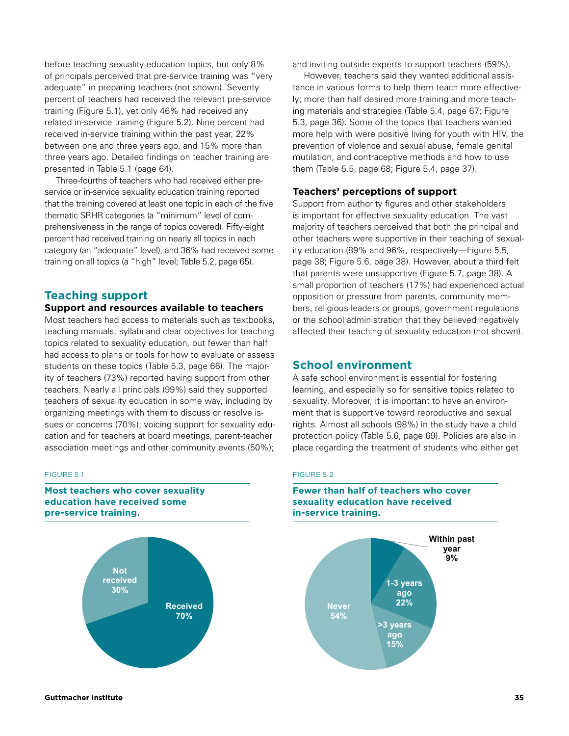before teaching sexuality education topics, but only 8% of principals perceived that pre-service training was "very adequate" in preparing teachers (not shown). Seventy percent of teachers had received the relevant pre-service training (Figure 5.1), yet only 46% had received any related in-service training (Figure 5.2). Nine percent had received in-service training within the past year, 22% between one and three years ago, and 15% more than three years ago. Detailed findings on teacher training are presented in Table 5.1 (page 64).

Three-fourths of teachers who had received either preservice or in-service sexuality education training reported that the training covered at least one topic in each of the five thematic SRHR categories (a "minimum" level of comprehensiveness in the range of topics covered). Fifty-eight percent had received training on nearly all topics in each category (an "adequate" level), and 36% had received some training on all topics (a "high" level; Table 5.2, page 65).

## **Teaching support**

## **Support and resources available to teachers**

Most teachers had access to materials such as textbooks, teaching manuals, syllabi and clear objectives for teaching topics related to sexuality education, but fewer than half had access to plans or tools for how to evaluate or assess students on these topics (Table 5.3, page 66). The majority of teachers (73%) reported having support from other teachers. Nearly all principals (99%) said they supported teachers of sexuality education in some way, including by organizing meetings with them to discuss or resolve issues or concerns (70%); voicing support for sexuality education and for teachers at board meetings, parent-teacher association meetings and other community events (50%);

#### FIGURE 5.1

#### **FIGST teachers who cover sexuality**<br>education have received some **sexuality education have received pre-service training. some pre-service training. Most teachers who cover sexuality**



and inviting outside experts to support teachers (59%).

However, teachers said they wanted additional assistance in various forms to help them teach more effectively; more than half desired more training and more teaching materials and strategies (Table 5.4, page 67; Figure 5.3, page 36). Some of the topics that teachers wanted more help with were positive living for youth with HIV, the prevention of violence and sexual abuse, female genital mutilation, and contraceptive methods and how to use them (Table 5.5, page 68; Figure 5.4, page 37).

#### **Teachers' perceptions of support**

Support from authority figures and other stakeholders is important for effective sexuality education. The vast majority of teachers perceived that both the principal and other teachers were supportive in their teaching of sexuality education (89% and 96%, respectively—Figure 5.5, page 38; Figure 5.6, page 38). However, about a third felt that parents were unsupportive (Figure 5.7, page 38). A small proportion of teachers (17%) had experienced actual opposition or pressure from parents, community members, religious leaders or groups, government regulations or the school administration that they believed negatively affected their teaching of sexuality education (not shown).

# **School environment**

A safe school environment is essential for fostering learning, and especially so for sensitive topics related to sexuality. Moreover, it is important to have an environment that is supportive toward reproductive and sexual rights. Almost all schools (98%) in the study have a child protection policy (Table 5.6, page 69). Policies are also in place regarding the treatment of students who either get **FIGURE 5.2. Fewer than half of** 

## **FIGURE 5.2 EXECUTE 3.2**<br> **EXECUTE 2.**

#### **Fewer than half of teachers who cover sexuality education have received in-service training.**

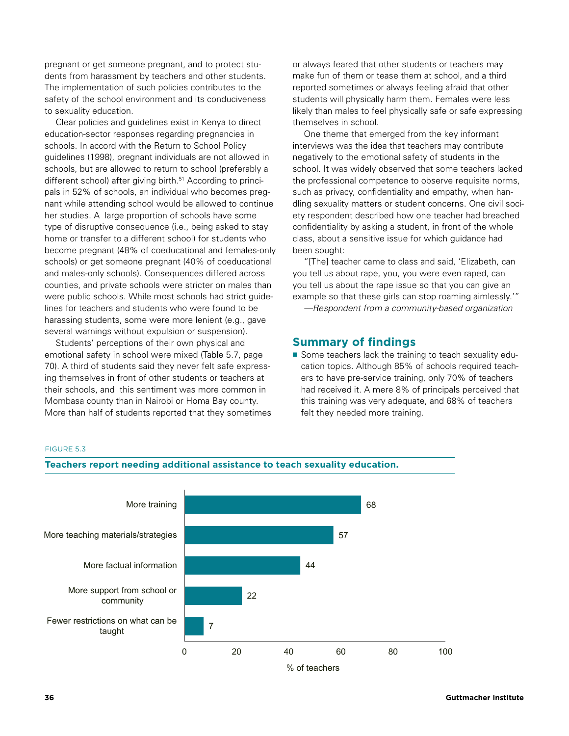pregnant or get someone pregnant, and to protect students from harassment by teachers and other students. The implementation of such policies contributes to the safety of the school environment and its conduciveness to sexuality education.

Clear policies and guidelines exist in Kenya to direct education-sector responses regarding pregnancies in schools. In accord with the Return to School Policy guidelines (1998), pregnant individuals are not allowed in schools, but are allowed to return to school (preferably a different school) after giving birth.<sup>51</sup> According to principals in 52% of schools, an individual who becomes pregnant while attending school would be allowed to continue her studies. A large proportion of schools have some type of disruptive consequence (i.e., being asked to stay home or transfer to a different school) for students who become pregnant (48% of coeducational and females-only schools) or get someone pregnant (40% of coeducational and males-only schools). Consequences differed across counties, and private schools were stricter on males than were public schools. While most schools had strict guidelines for teachers and students who were found to be harassing students, some were more lenient (e.g., gave several warnings without expulsion or suspension).

Students' perceptions of their own physical and emotional safety in school were mixed (Table 5.7, page 70). A third of students said they never felt safe expressing themselves in front of other students or teachers at their schools, and this sentiment was more common in Mombasa county than in Nairobi or Homa Bay county. More than half of students reported that they sometimes or always feared that other students or teachers may make fun of them or tease them at school, and a third reported sometimes or always feeling afraid that other students will physically harm them. Females were less likely than males to feel physically safe or safe expressing themselves in school.

One theme that emerged from the key informant interviews was the idea that teachers may contribute negatively to the emotional safety of students in the school. It was widely observed that some teachers lacked the professional competence to observe requisite norms, such as privacy, confidentiality and empathy, when handling sexuality matters or student concerns. One civil society respondent described how one teacher had breached confidentiality by asking a student, in front of the whole class, about a sensitive issue for which guidance had been sought:

"[The] teacher came to class and said, 'Elizabeth, can you tell us about rape, you, you were even raped, can you tell us about the rape issue so that you can give an example so that these girls can stop roaming aimlessly.'"

*—Respondent from a community-based organization*

### **Summary of findings**

■ Some teachers lack the training to teach sexuality education topics. Although 85% of schools required teachers to have pre-service training, only 70% of teachers had received it. A mere 8% of principals perceived that this training was very adequate, and 68% of teachers felt they needed more training.

#### FIGURE 5.3



**FIGURE 5.3. Teachers report needing additional** 

**36 Guttmacher Institute**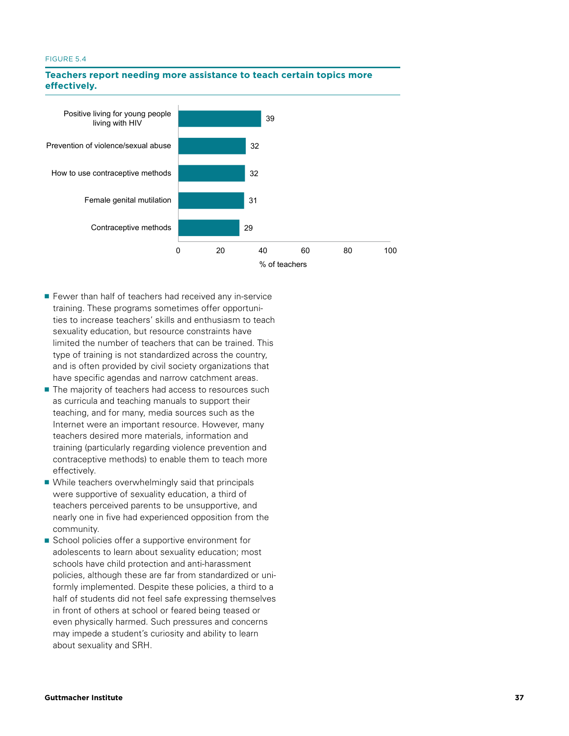#### **FIGURE 5.4.** Teachers report need to a state to a state to a state of the state of the state of the state of the state of the state of the state of the state of the state of the state of the state of the state of the stat FIGURE 5.4



# Teachers report needing more assistance to teach certain topics more **effectively.**

- Fewer than half of teachers had received any in-service training. These programs sometimes offer opportunities to increase teachers' skills and enthusiasm to teach sexuality education, but resource constraints have limited the number of teachers that can be trained. This type of training is not standardized across the country, and is often provided by civil society organizations that have specific agendas and narrow catchment areas.
- The majority of teachers had access to resources such as curricula and teaching manuals to support their teaching, and for many, media sources such as the Internet were an important resource. However, many teachers desired more materials, information and training (particularly regarding violence prevention and contraceptive methods) to enable them to teach more effectively.
- While teachers overwhelmingly said that principals were supportive of sexuality education, a third of teachers perceived parents to be unsupportive, and nearly one in five had experienced opposition from the community.
- School policies offer a supportive environment for adolescents to learn about sexuality education; most schools have child protection and anti-harassment policies, although these are far from standardized or uniformly implemented. Despite these policies, a third to a half of students did not feel safe expressing themselves in front of others at school or feared being teased or even physically harmed. Such pressures and concerns may impede a student's curiosity and ability to learn about sexuality and SRH.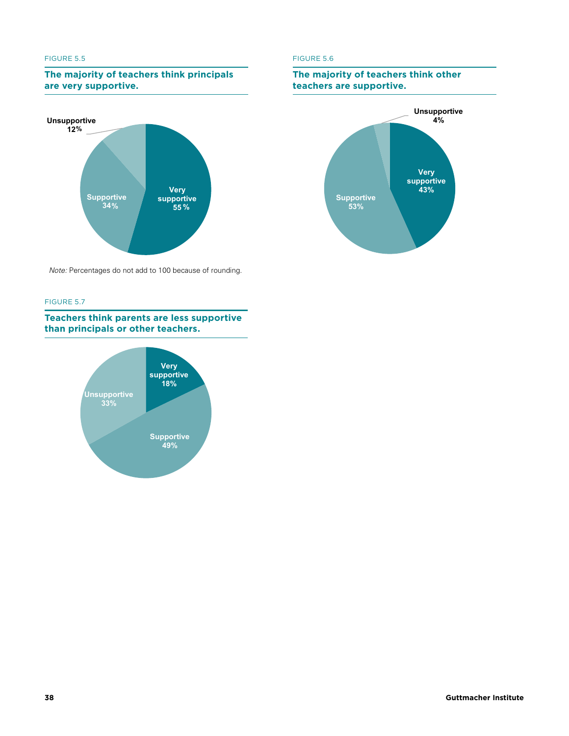#### FIGURE 5.5

### **The majority of teachers think principals FIGURE 5.5. The majority of the majority of the majority of the majority of the majority of the majority of the majority of the majority of the majority of the majority of the majority of the majority of the majority of t think principals are very supportive.**



*Note*: Percentages do not add to 100 because of rounding. *Note:* Percentages do not add to 100 because of rounding.

#### FIGURE 5.7 **FIGURE 5.7**<br><u>Teachers think parameters in this parameter</u> is a particular particular of the particular particular in the particular of the particular of the particular of the particular of the particular of the particular

**Teachers think parents are less supportive are less supportive than principals or than principals or other teachers. other teachers.**



#### FIGURE 5.6

# **FIGURE 5.6. The major of the major of the major of the major of the major of the major of the major of the major of the major of the major of the major of the major of the major of the major of the major of the major of t The majority of teachers think other**

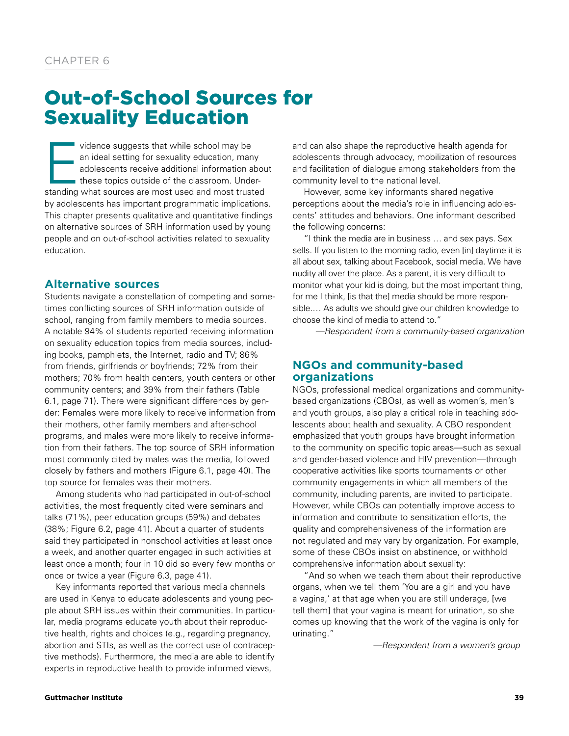# Out-of-School Sources for Sexuality Education

vidence suggests that while school may be<br>an ideal setting for sexuality education, man<br>adolescents receive additional information a<br>these topics outside of the classroom. Under<br>standing what sources are most used and most an ideal setting for sexuality education, many adolescents receive additional information about these topics outside of the classroom. Understanding what sources are most used and most trusted by adolescents has important programmatic implications. This chapter presents qualitative and quantitative findings on alternative sources of SRH information used by young people and on out-of-school activities related to sexuality education.

# **Alternative sources**

Students navigate a constellation of competing and sometimes conflicting sources of SRH information outside of school, ranging from family members to media sources. A notable 94% of students reported receiving information on sexuality education topics from media sources, including books, pamphlets, the Internet, radio and TV; 86% from friends, girlfriends or boyfriends; 72% from their mothers; 70% from health centers, youth centers or other community centers; and 39% from their fathers (Table 6.1, page 71). There were significant differences by gender: Females were more likely to receive information from their mothers, other family members and after-school programs, and males were more likely to receive information from their fathers. The top source of SRH information most commonly cited by males was the media, followed closely by fathers and mothers (Figure 6.1, page 40). The top source for females was their mothers.

Among students who had participated in out-of-school activities, the most frequently cited were seminars and talks (71%), peer education groups (59%) and debates (38%; Figure 6.2, page 41). About a quarter of students said they participated in nonschool activities at least once a week, and another quarter engaged in such activities at least once a month; four in 10 did so every few months or once or twice a year (Figure 6.3, page 41).

Key informants reported that various media channels are used in Kenya to educate adolescents and young people about SRH issues within their communities. In particular, media programs educate youth about their reproductive health, rights and choices (e.g., regarding pregnancy, abortion and STIs, as well as the correct use of contraceptive methods). Furthermore, the media are able to identify experts in reproductive health to provide informed views,

and can also shape the reproductive health agenda for adolescents through advocacy, mobilization of resources and facilitation of dialogue among stakeholders from the community level to the national level.

However, some key informants shared negative perceptions about the media's role in influencing adolescents' attitudes and behaviors. One informant described the following concerns:

"I think the media are in business … and sex pays. Sex sells. If you listen to the morning radio, even [in] daytime it is all about sex, talking about Facebook, social media. We have nudity all over the place. As a parent, it is very difficult to monitor what your kid is doing, but the most important thing, for me I think, [is that the] media should be more responsible.… As adults we should give our children knowledge to choose the kind of media to attend to."

*—Respondent from a community-based organization*

# **NGOs and community-based organizations**

NGOs, professional medical organizations and communitybased organizations (CBOs), as well as women's, men's and youth groups, also play a critical role in teaching adolescents about health and sexuality. A CBO respondent emphasized that youth groups have brought information to the community on specific topic areas—such as sexual and gender-based violence and HIV prevention—through cooperative activities like sports tournaments or other community engagements in which all members of the community, including parents, are invited to participate. However, while CBOs can potentially improve access to information and contribute to sensitization efforts, the quality and comprehensiveness of the information are not regulated and may vary by organization. For example, some of these CBOs insist on abstinence, or withhold comprehensive information about sexuality:

"And so when we teach them about their reproductive organs, when we tell them 'You are a girl and you have a vagina,' at that age when you are still underage, [we tell them] that your vagina is meant for urination, so she comes up knowing that the work of the vagina is only for urinating."

*—Respondent from a women's group*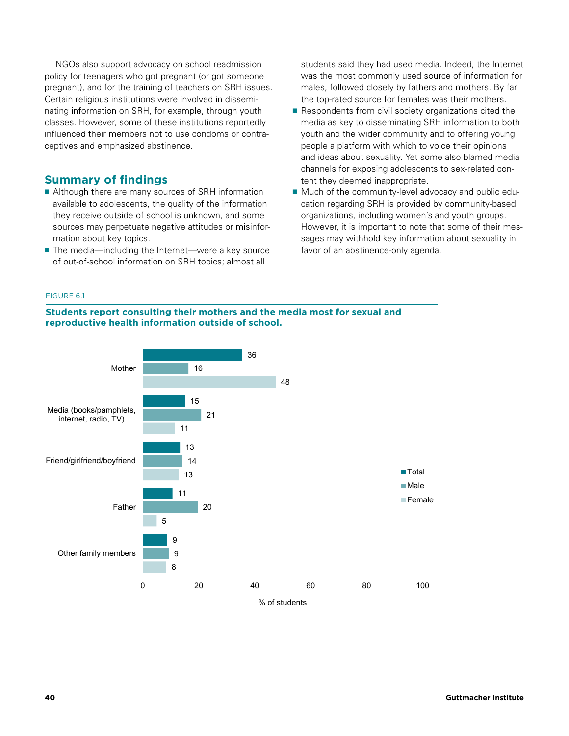NGOs also support advocacy on school readmission policy for teenagers who got pregnant (or got someone pregnant), and for the training of teachers on SRH issues. Certain religious institutions were involved in disseminating information on SRH, for example, through youth classes. However, some of these institutions reportedly influenced their members not to use condoms or contraceptives and emphasized abstinence.

# **Summary of findings**

- Although there are many sources of SRH information available to adolescents, the quality of the information they receive outside of school is unknown, and some sources may perpetuate negative attitudes or misinformation about key topics.
- The media—including the Internet—were a key source of out-of-school information on SRH topics; almost all

students said they had used media. Indeed, the Internet was the most commonly used source of information for males, followed closely by fathers and mothers. By far the top-rated source for females was their mothers.

- Respondents from civil society organizations cited the media as key to disseminating SRH information to both youth and the wider community and to offering young people a platform with which to voice their opinions and ideas about sexuality. Yet some also blamed media channels for exposing adolescents to sex-related content they deemed inappropriate.
- Much of the community-level advocacy and public education regarding SRH is provided by community-based organizations, including women's and youth groups. However, it is important to note that some of their messages may withhold key information about sexuality in favor of an abstinence-only agenda.

#### **FIGURE 6.1. Students report consulting their mothers**  FIGURE 6.1

**Students report consulting their mothers and the media most for sexual and information outside of school. reproductive health information outside of school.**

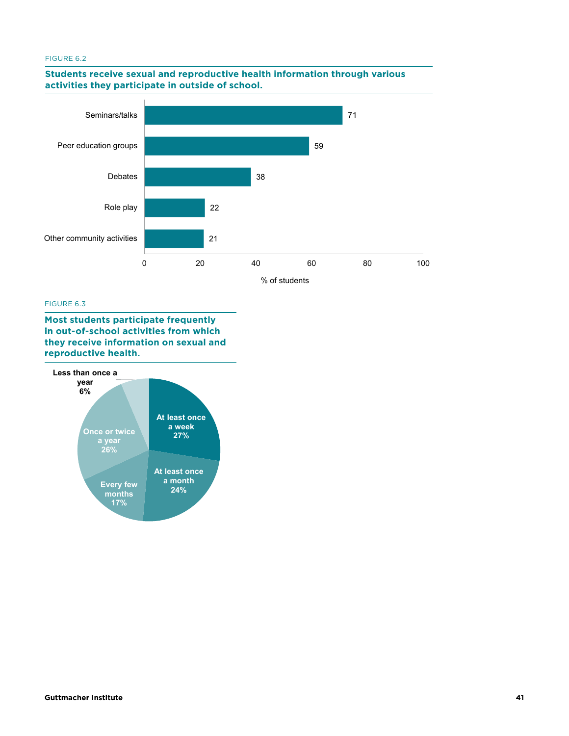#### FIGURE 6.2 **FIGURE 6.2. Students receive sexual and reproductive**

# <u>students receive sexual and reproductive health information through various  $\overline{\phantom{a}}$ </u> **activities they participate in outside of school. participate in outside of school.**



#### FIGURE 6.3

**Most students participate frequently in out-of-school activities from which they receive information on sexual and information on sexual and reproductive health.** 

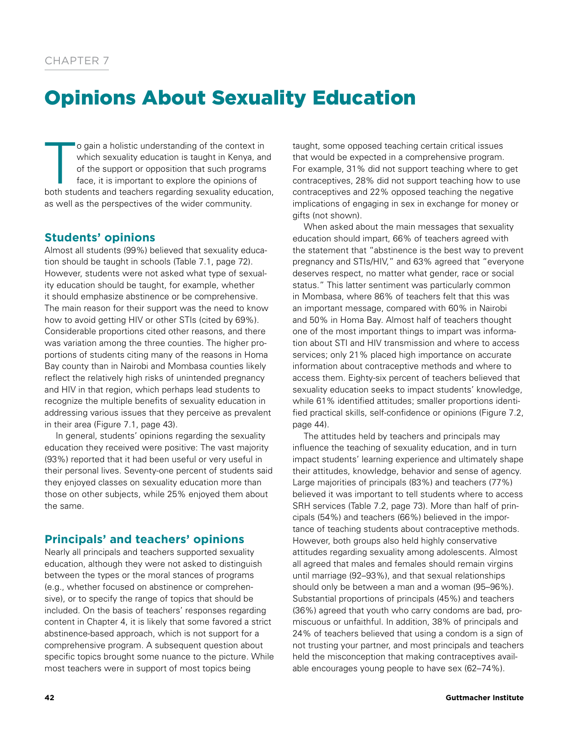# Opinions About Sexuality Education

 $\begin{array}{c}\n\hline\n\end{array}$ o gain a holistic understanding of the context in which sexuality education is taught in Kenya, and of the support or opposition that such programs face, it is important to explore the opinions of both students and teachers regarding sexuality education, as well as the perspectives of the wider community.

# **Students' opinions**

Almost all students (99%) believed that sexuality education should be taught in schools (Table 7.1, page 72). However, students were not asked what type of sexuality education should be taught, for example, whether it should emphasize abstinence or be comprehensive. The main reason for their support was the need to know how to avoid getting HIV or other STIs (cited by 69%). Considerable proportions cited other reasons, and there was variation among the three counties. The higher proportions of students citing many of the reasons in Homa Bay county than in Nairobi and Mombasa counties likely reflect the relatively high risks of unintended pregnancy and HIV in that region, which perhaps lead students to recognize the multiple benefits of sexuality education in addressing various issues that they perceive as prevalent in their area (Figure 7.1, page 43).

In general, students' opinions regarding the sexuality education they received were positive: The vast majority (93%) reported that it had been useful or very useful in their personal lives. Seventy-one percent of students said they enjoyed classes on sexuality education more than those on other subjects, while 25% enjoyed them about the same.

# **Principals' and teachers' opinions**

Nearly all principals and teachers supported sexuality education, although they were not asked to distinguish between the types or the moral stances of programs (e.g., whether focused on abstinence or comprehensive), or to specify the range of topics that should be included. On the basis of teachers' responses regarding content in Chapter 4, it is likely that some favored a strict abstinence-based approach, which is not support for a comprehensive program. A subsequent question about specific topics brought some nuance to the picture. While most teachers were in support of most topics being

taught, some opposed teaching certain critical issues that would be expected in a comprehensive program. For example, 31% did not support teaching where to get contraceptives, 28% did not support teaching how to use contraceptives and 22% opposed teaching the negative implications of engaging in sex in exchange for money or gifts (not shown).

When asked about the main messages that sexuality education should impart, 66% of teachers agreed with the statement that "abstinence is the best way to prevent pregnancy and STIs/HIV," and 63% agreed that "everyone deserves respect, no matter what gender, race or social status." This latter sentiment was particularly common in Mombasa, where 86% of teachers felt that this was an important message, compared with 60% in Nairobi and 50% in Homa Bay. Almost half of teachers thought one of the most important things to impart was information about STI and HIV transmission and where to access services; only 21% placed high importance on accurate information about contraceptive methods and where to access them. Eighty-six percent of teachers believed that sexuality education seeks to impact students' knowledge, while 61% identified attitudes; smaller proportions identified practical skills, self-confidence or opinions (Figure 7.2, page 44).

The attitudes held by teachers and principals may influence the teaching of sexuality education, and in turn impact students' learning experience and ultimately shape their attitudes, knowledge, behavior and sense of agency. Large majorities of principals (83%) and teachers (77%) believed it was important to tell students where to access SRH services (Table 7.2, page 73). More than half of principals (54%) and teachers (66%) believed in the importance of teaching students about contraceptive methods. However, both groups also held highly conservative attitudes regarding sexuality among adolescents. Almost all agreed that males and females should remain virgins until marriage (92–93%), and that sexual relationships should only be between a man and a woman (95–96%). Substantial proportions of principals (45%) and teachers (36%) agreed that youth who carry condoms are bad, promiscuous or unfaithful. In addition, 38% of principals and 24% of teachers believed that using a condom is a sign of not trusting your partner, and most principals and teachers held the misconception that making contraceptives available encourages young people to have sex (62–74%).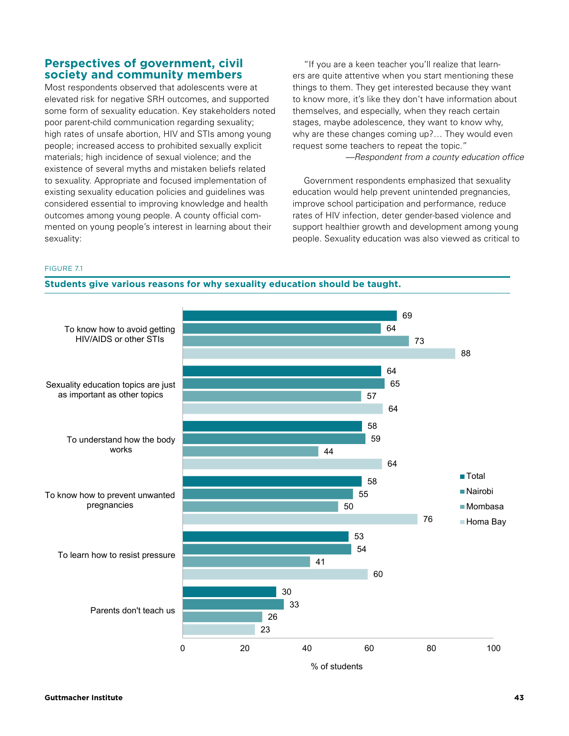Most respondents observed that adolescents were at elevated risk for negative SRH outcomes, and supported some form of sexuality education. Key stakeholders noted poor parent-child communication regarding sexuality; high rates of unsafe abortion, HIV and STIs among young people; increased access to prohibited sexually explicit materials; high incidence of sexual violence; and the existence of several myths and mistaken beliefs related to sexuality. Appropriate and focused implementation of existing sexuality education policies and guidelines was considered essential to improving knowledge and health outcomes among young people. A county official commented on young people's interest in learning about their sexuality:

"If you are a keen teacher you'll realize that learners are quite attentive when you start mentioning these things to them. They get interested because they want to know more, it's like they don't have information about themselves, and especially, when they reach certain stages, maybe adolescence, they want to know why, why are these changes coming up?… They would even request some teachers to repeat the topic."

 *—Respondent from a county education office*

Government respondents emphasized that sexuality education would help prevent unintended pregnancies, improve school participation and performance, reduce rates of HIV infection, deter gender-based violence and support healthier growth and development among young people. Sexuality education was also viewed as critical to

FIGURE 7.1



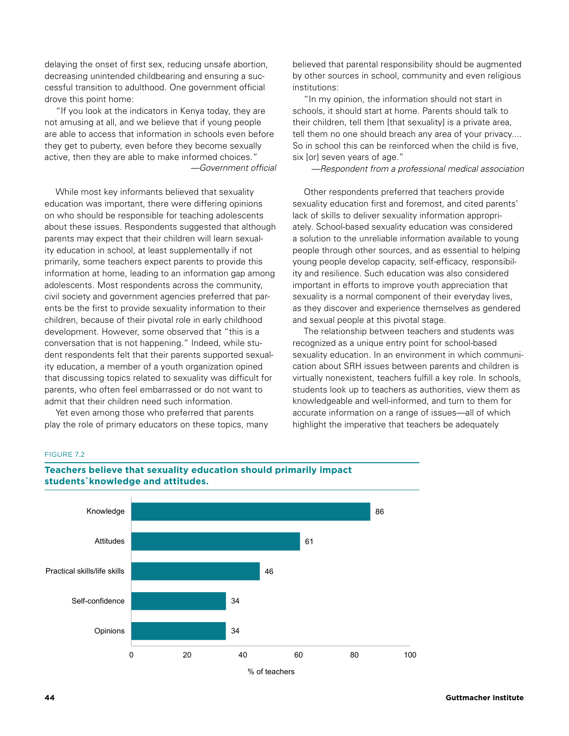delaying the onset of first sex, reducing unsafe abortion, decreasing unintended childbearing and ensuring a successful transition to adulthood. One government official drove this point home:

"If you look at the indicators in Kenya today, they are not amusing at all, and we believe that if young people are able to access that information in schools even before they get to puberty, even before they become sexually active, then they are able to make informed choices." *—Government official*

While most key informants believed that sexuality education was important, there were differing opinions on who should be responsible for teaching adolescents about these issues. Respondents suggested that although parents may expect that their children will learn sexuality education in school, at least supplementally if not primarily, some teachers expect parents to provide this information at home, leading to an information gap among adolescents. Most respondents across the community, civil society and government agencies preferred that parents be the first to provide sexuality information to their children, because of their pivotal role in early childhood development. However, some observed that "this is a conversation that is not happening." Indeed, while student respondents felt that their parents supported sexuality education, a member of a youth organization opined that discussing topics related to sexuality was difficult for parents, who often feel embarrassed or do not want to admit that their children need such information.

Yet even among those who preferred that parents play the role of primary educators on these topics, many believed that parental responsibility should be augmented by other sources in school, community and even religious institutions:

"In my opinion, the information should not start in schools, it should start at home. Parents should talk to their children, tell them [that sexuality] is a private area, tell them no one should breach any area of your privacy.... So in school this can be reinforced when the child is five, six [or] seven years of age."

*—Respondent from a professional medical association*

Other respondents preferred that teachers provide sexuality education first and foremost, and cited parents' lack of skills to deliver sexuality information appropriately. School-based sexuality education was considered a solution to the unreliable information available to young people through other sources, and as essential to helping young people develop capacity, self-efficacy, responsibility and resilience. Such education was also considered important in efforts to improve youth appreciation that sexuality is a normal component of their everyday lives, as they discover and experience themselves as gendered and sexual people at this pivotal stage.

The relationship between teachers and students was recognized as a unique entry point for school-based sexuality education. In an environment in which communication about SRH issues between parents and children is virtually nonexistent, teachers fulfill a key role. In schools, students look up to teachers as authorities, view them as knowledgeable and well-informed, and turn to them for accurate information on a range of issues—all of which highlight the imperative that teachers be adequately

#### FIGURE 7.2 **FIGURE 7.2. Teachers believe that sexuality education**



**TEACHERE**<br>Teachers believe that sexuality education should primarily impact **students´knowledge and attitudes. attitudes.**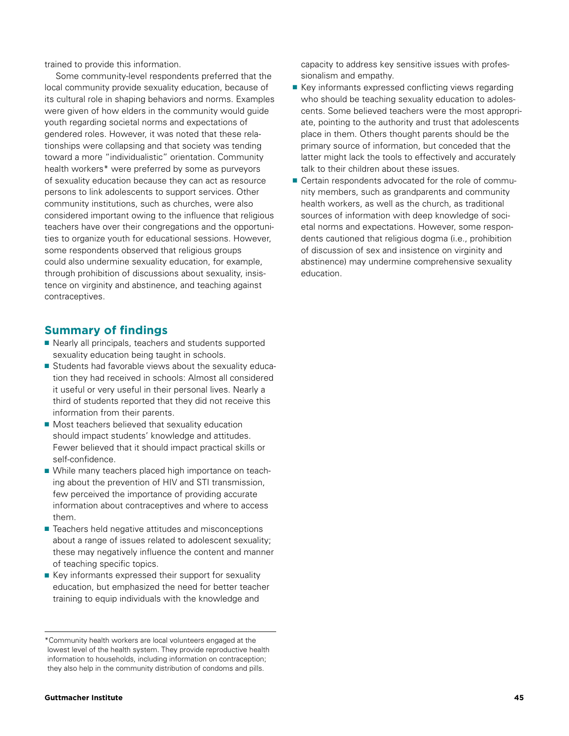trained to provide this information.

Some community-level respondents preferred that the local community provide sexuality education, because of its cultural role in shaping behaviors and norms. Examples were given of how elders in the community would guide youth regarding societal norms and expectations of gendered roles. However, it was noted that these relationships were collapsing and that society was tending toward a more "individualistic" orientation. Community health workers\* were preferred by some as purveyors of sexuality education because they can act as resource persons to link adolescents to support services. Other community institutions, such as churches, were also considered important owing to the influence that religious teachers have over their congregations and the opportunities to organize youth for educational sessions. However, some respondents observed that religious groups could also undermine sexuality education, for example, through prohibition of discussions about sexuality, insistence on virginity and abstinence, and teaching against contraceptives.

# **Summary of findings**

- Nearly all principals, teachers and students supported sexuality education being taught in schools.
- Students had favorable views about the sexuality education they had received in schools: Almost all considered it useful or very useful in their personal lives. Nearly a third of students reported that they did not receive this information from their parents.
- Most teachers believed that sexuality education should impact students' knowledge and attitudes. Fewer believed that it should impact practical skills or self-confidence.
- While many teachers placed high importance on teaching about the prevention of HIV and STI transmission, few perceived the importance of providing accurate information about contraceptives and where to access them.
- Teachers held negative attitudes and misconceptions about a range of issues related to adolescent sexuality; these may negatively influence the content and manner of teaching specific topics.
- Key informants expressed their support for sexuality education, but emphasized the need for better teacher training to equip individuals with the knowledge and
- Key informants expressed conflicting views regarding who should be teaching sexuality education to adolescents. Some believed teachers were the most appropriate, pointing to the authority and trust that adolescents place in them. Others thought parents should be the primary source of information, but conceded that the latter might lack the tools to effectively and accurately talk to their children about these issues.
- Certain respondents advocated for the role of community members, such as grandparents and community health workers, as well as the church, as traditional sources of information with deep knowledge of societal norms and expectations. However, some respondents cautioned that religious dogma (i.e., prohibition of discussion of sex and insistence on virginity and abstinence) may undermine comprehensive sexuality education.

<sup>\*</sup>Community health workers are local volunteers engaged at the lowest level of the health system. They provide reproductive health information to households, including information on contraception; they also help in the community distribution of condoms and pills.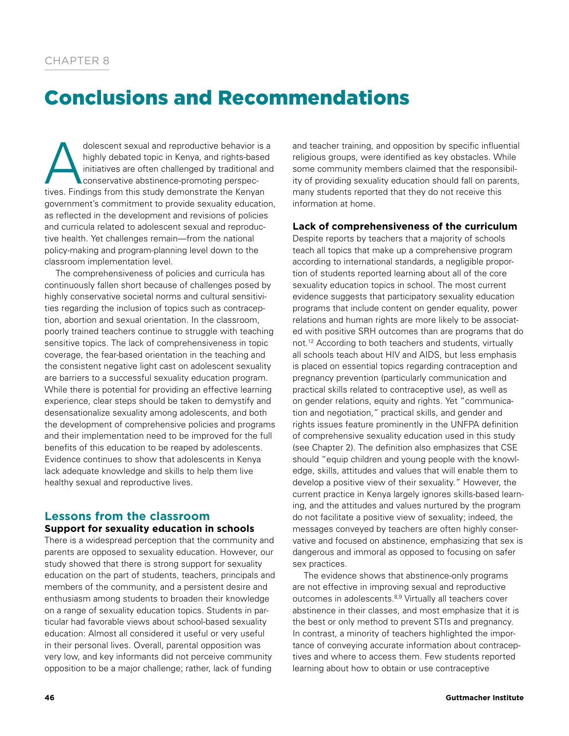# Conclusions and Recommendations

dolescent sexual and reproductive behavior is a<br>highly debated topic in Kenya, and rights-based<br>initiatives are often challenged by traditional and<br>conservative abstinence-promoting perspec-<br>tives Findings from this study highly debated topic in Kenya, and rights-based initiatives are often challenged by traditional and conservative abstinence-promoting perspectives. Findings from this study demonstrate the Kenyan government's commitment to provide sexuality education, as reflected in the development and revisions of policies and curricula related to adolescent sexual and reproductive health. Yet challenges remain—from the national policy-making and program-planning level down to the classroom implementation level.

The comprehensiveness of policies and curricula has continuously fallen short because of challenges posed by highly conservative societal norms and cultural sensitivities regarding the inclusion of topics such as contraception, abortion and sexual orientation. In the classroom, poorly trained teachers continue to struggle with teaching sensitive topics. The lack of comprehensiveness in topic coverage, the fear-based orientation in the teaching and the consistent negative light cast on adolescent sexuality are barriers to a successful sexuality education program. While there is potential for providing an effective learning experience, clear steps should be taken to demystify and desensationalize sexuality among adolescents, and both the development of comprehensive policies and programs and their implementation need to be improved for the full benefits of this education to be reaped by adolescents. Evidence continues to show that adolescents in Kenya lack adequate knowledge and skills to help them live healthy sexual and reproductive lives.

# **Lessons from the classroom Support for sexuality education in schools**

There is a widespread perception that the community and parents are opposed to sexuality education. However, our study showed that there is strong support for sexuality education on the part of students, teachers, principals and members of the community, and a persistent desire and enthusiasm among students to broaden their knowledge on a range of sexuality education topics. Students in particular had favorable views about school-based sexuality education: Almost all considered it useful or very useful in their personal lives. Overall, parental opposition was very low, and key informants did not perceive community opposition to be a major challenge; rather, lack of funding

and teacher training, and opposition by specific influential religious groups, were identified as key obstacles. While some community members claimed that the responsibility of providing sexuality education should fall on parents, many students reported that they do not receive this information at home.

# **Lack of comprehensiveness of the curriculum**

Despite reports by teachers that a majority of schools teach all topics that make up a comprehensive program according to international standards, a negligible proportion of students reported learning about all of the core sexuality education topics in school. The most current evidence suggests that participatory sexuality education programs that include content on gender equality, power relations and human rights are more likely to be associated with positive SRH outcomes than are programs that do not.12 According to both teachers and students, virtually all schools teach about HIV and AIDS, but less emphasis is placed on essential topics regarding contraception and pregnancy prevention (particularly communication and practical skills related to contraceptive use), as well as on gender relations, equity and rights. Yet "communication and negotiation," practical skills, and gender and rights issues feature prominently in the UNFPA definition of comprehensive sexuality education used in this study (see Chapter 2). The definition also emphasizes that CSE should "equip children and young people with the knowledge, skills, attitudes and values that will enable them to develop a positive view of their sexuality." However, the current practice in Kenya largely ignores skills-based learning, and the attitudes and values nurtured by the program do not facilitate a positive view of sexuality; indeed, the messages conveyed by teachers are often highly conservative and focused on abstinence, emphasizing that sex is dangerous and immoral as opposed to focusing on safer sex practices.

The evidence shows that abstinence-only programs are not effective in improving sexual and reproductive outcomes in adolescents.8,9 Virtually all teachers cover abstinence in their classes, and most emphasize that it is the best or only method to prevent STIs and pregnancy. In contrast, a minority of teachers highlighted the importance of conveying accurate information about contraceptives and where to access them. Few students reported learning about how to obtain or use contraceptive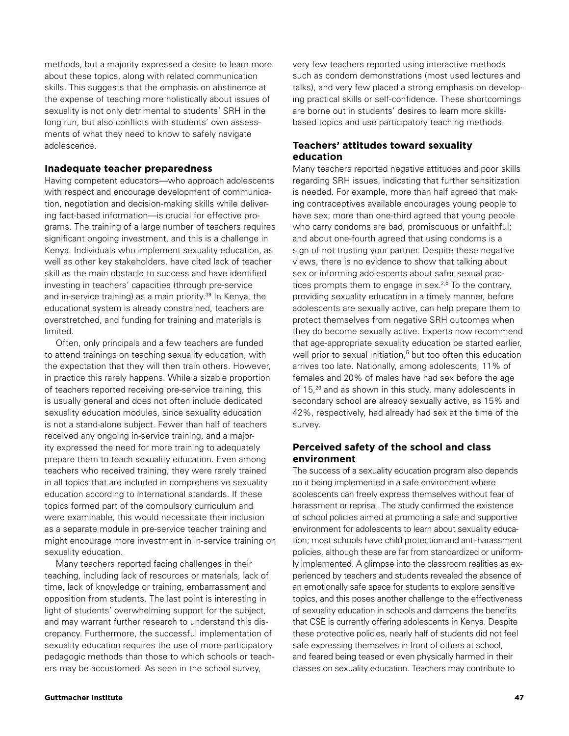methods, but a majority expressed a desire to learn more about these topics, along with related communication skills. This suggests that the emphasis on abstinence at the expense of teaching more holistically about issues of sexuality is not only detrimental to students' SRH in the long run, but also conflicts with students' own assessments of what they need to know to safely navigate adolescence.

### **Inadequate teacher preparedness**

Having competent educators—who approach adolescents with respect and encourage development of communication, negotiation and decision-making skills while delivering fact-based information—is crucial for effective programs. The training of a large number of teachers requires significant ongoing investment, and this is a challenge in Kenya. Individuals who implement sexuality education, as well as other key stakeholders, have cited lack of teacher skill as the main obstacle to success and have identified investing in teachers' capacities (through pre-service and in-service training) as a main priority.<sup>39</sup> In Kenya, the educational system is already constrained, teachers are overstretched, and funding for training and materials is limited.

Often, only principals and a few teachers are funded to attend trainings on teaching sexuality education, with the expectation that they will then train others. However, in practice this rarely happens. While a sizable proportion of teachers reported receiving pre-service training, this is usually general and does not often include dedicated sexuality education modules, since sexuality education is not a stand-alone subject. Fewer than half of teachers received any ongoing in-service training, and a majority expressed the need for more training to adequately prepare them to teach sexuality education. Even among teachers who received training, they were rarely trained in all topics that are included in comprehensive sexuality education according to international standards. If these topics formed part of the compulsory curriculum and were examinable, this would necessitate their inclusion as a separate module in pre-service teacher training and might encourage more investment in in-service training on sexuality education.

Many teachers reported facing challenges in their teaching, including lack of resources or materials, lack of time, lack of knowledge or training, embarrassment and opposition from students. The last point is interesting in light of students' overwhelming support for the subject, and may warrant further research to understand this discrepancy. Furthermore, the successful implementation of sexuality education requires the use of more participatory pedagogic methods than those to which schools or teachers may be accustomed. As seen in the school survey,

very few teachers reported using interactive methods such as condom demonstrations (most used lectures and talks), and very few placed a strong emphasis on developing practical skills or self-confidence. These shortcomings are borne out in students' desires to learn more skillsbased topics and use participatory teaching methods.

# **Teachers' attitudes toward sexuality education**

Many teachers reported negative attitudes and poor skills regarding SRH issues, indicating that further sensitization is needed. For example, more than half agreed that making contraceptives available encourages young people to have sex; more than one-third agreed that young people who carry condoms are bad, promiscuous or unfaithful; and about one-fourth agreed that using condoms is a sign of not trusting your partner. Despite these negative views, there is no evidence to show that talking about sex or informing adolescents about safer sexual practices prompts them to engage in sex.<sup>2,5</sup> To the contrary, providing sexuality education in a timely manner, before adolescents are sexually active, can help prepare them to protect themselves from negative SRH outcomes when they do become sexually active. Experts now recommend that age-appropriate sexuality education be started earlier, well prior to sexual initiation,<sup>5</sup> but too often this education arrives too late. Nationally, among adolescents, 11% of females and 20% of males have had sex before the age of 15,20 and as shown in this study, many adolescents in secondary school are already sexually active, as 15% and 42%, respectively, had already had sex at the time of the survey.

# **Perceived safety of the school and class environment**

The success of a sexuality education program also depends on it being implemented in a safe environment where adolescents can freely express themselves without fear of harassment or reprisal. The study confirmed the existence of school policies aimed at promoting a safe and supportive environment for adolescents to learn about sexuality education; most schools have child protection and anti-harassment policies, although these are far from standardized or uniformly implemented. A glimpse into the classroom realities as experienced by teachers and students revealed the absence of an emotionally safe space for students to explore sensitive topics, and this poses another challenge to the effectiveness of sexuality education in schools and dampens the benefits that CSE is currently offering adolescents in Kenya. Despite these protective policies, nearly half of students did not feel safe expressing themselves in front of others at school, and feared being teased or even physically harmed in their classes on sexuality education. Teachers may contribute to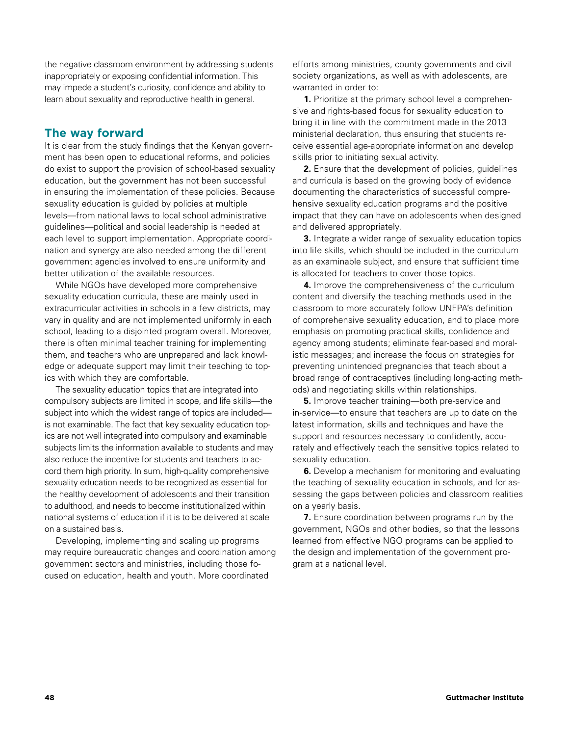the negative classroom environment by addressing students inappropriately or exposing confidential information. This may impede a student's curiosity, confidence and ability to learn about sexuality and reproductive health in general.

# **The way forward**

It is clear from the study findings that the Kenyan government has been open to educational reforms, and policies do exist to support the provision of school-based sexuality education, but the government has not been successful in ensuring the implementation of these policies. Because sexuality education is guided by policies at multiple levels—from national laws to local school administrative guidelines—political and social leadership is needed at each level to support implementation. Appropriate coordination and synergy are also needed among the different government agencies involved to ensure uniformity and better utilization of the available resources.

While NGOs have developed more comprehensive sexuality education curricula, these are mainly used in extracurricular activities in schools in a few districts, may vary in quality and are not implemented uniformly in each school, leading to a disjointed program overall. Moreover, there is often minimal teacher training for implementing them, and teachers who are unprepared and lack knowledge or adequate support may limit their teaching to topics with which they are comfortable.

The sexuality education topics that are integrated into compulsory subjects are limited in scope, and life skills—the subject into which the widest range of topics are included is not examinable. The fact that key sexuality education topics are not well integrated into compulsory and examinable subjects limits the information available to students and may also reduce the incentive for students and teachers to accord them high priority. In sum, high-quality comprehensive sexuality education needs to be recognized as essential for the healthy development of adolescents and their transition to adulthood, and needs to become institutionalized within national systems of education if it is to be delivered at scale on a sustained basis.

Developing, implementing and scaling up programs may require bureaucratic changes and coordination among government sectors and ministries, including those focused on education, health and youth. More coordinated

efforts among ministries, county governments and civil society organizations, as well as with adolescents, are warranted in order to:

**1.** Prioritize at the primary school level a comprehensive and rights-based focus for sexuality education to bring it in line with the commitment made in the 2013 ministerial declaration, thus ensuring that students receive essential age-appropriate information and develop skills prior to initiating sexual activity.

**2.** Ensure that the development of policies, guidelines and curricula is based on the growing body of evidence documenting the characteristics of successful comprehensive sexuality education programs and the positive impact that they can have on adolescents when designed and delivered appropriately.

**3.** Integrate a wider range of sexuality education topics into life skills, which should be included in the curriculum as an examinable subject, and ensure that sufficient time is allocated for teachers to cover those topics.

**4.** Improve the comprehensiveness of the curriculum content and diversify the teaching methods used in the classroom to more accurately follow UNFPA's definition of comprehensive sexuality education, and to place more emphasis on promoting practical skills, confidence and agency among students; eliminate fear-based and moralistic messages; and increase the focus on strategies for preventing unintended pregnancies that teach about a broad range of contraceptives (including long-acting methods) and negotiating skills within relationships.

**5.** Improve teacher training—both pre-service and in-service—to ensure that teachers are up to date on the latest information, skills and techniques and have the support and resources necessary to confidently, accurately and effectively teach the sensitive topics related to sexuality education.

**6.** Develop a mechanism for monitoring and evaluating the teaching of sexuality education in schools, and for assessing the gaps between policies and classroom realities on a yearly basis.

**7.** Ensure coordination between programs run by the government, NGOs and other bodies, so that the lessons learned from effective NGO programs can be applied to the design and implementation of the government program at a national level.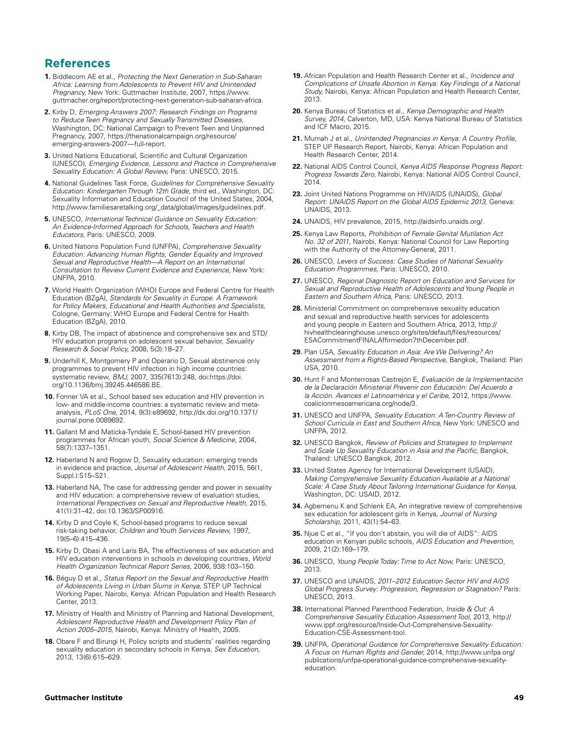# **References**

- **1.** Biddlecom AE et al., *Protecting the Next Generation in Sub-Saharan Africa: Learning from Adolescents to Prevent HIV and Unintended Pregnancy,* New York: Guttmacher Institute, 2007, https://www. guttmacher.org/report/protecting-next-generation-sub-saharan-africa.
- **2.** Kirby D, *Emerging Answers 2007: Research Findings on Programs to Reduce Teen Pregnancy and Sexually Transmitted Diseases,* Washington, DC: National Campaign to Prevent Teen and Unplanned Pregnancy, 2007, https://thenationalcampaign.org/resource/ emerging-answers-2007—full-report.
- **3.** United Nations Educational, Scientific and Cultural Organization (UNESCO)*, Emerging Evidence, Lessons and Practice in Comprehensive Sexuality Education: A Global Review,* Paris: UNESCO, 2015.
- **4.** National Guidelines Task Force, *Guidelines for Comprehensive Sexuality Education: Kindergarten Through 12th Grade,* third ed., Washington, DC: Sexuality Information and Education Council of the United States, 2004, http://www.familiesaretalking.org/\_data/global/images/guidelines.pdf.
- **5.** UNESCO, *International Technical Guidance on Sexuality Education: An Evidence-Informed Approach for Schools, Teachers and Health Educators,* Paris: UNESCO, 2009.
- **6.** United Nations Population Fund (UNFPA), *Comprehensive Sexuality Education: Advancing Human Rights, Gender Equality and Improved Sexual and Reproductive Health—A Report on an International Consultation to Review Current Evidence and Experience*, New York: UNFPA, 2010.
- **7.** World Health Organization (WHO) Europe and Federal Centre for Health Education (BZgA), *Standards for Sexuality in Europe. A Framework for Policy Makers, Educational and Health Authorities and Specialists*, Cologne, Germany: WHO Europe and Federal Centre for Health Education (BZgA), 2010.
- **8.** Kirby DB, The impact of abstinence and comprehensive sex and STD/ HIV education programs on adolescent sexual behavior, *Sexuality Research & Social Policy,* 2008, 5(3):18–27.
- **9.** Underhill K, Montgomery P and Operario D, Sexual abstinence only programmes to prevent HIV infection in high income countries: systematic review, *BMJ,* 2007, 335(7613):248, doi:https://doi. org/10.1136/bmj.39245.446586.BE.
- **10.** Fonner VA et al., School based sex education and HIV prevention in low- and middle-income countries: a systematic review and metaanalysis, *PLoS One,* 2014, 9(3):e89692, [http://dx.doi.org/10.1371/](http://dx.doi.org/10.1371/journal.pone.0089692) [journal.pone.0089692.](http://dx.doi.org/10.1371/journal.pone.0089692)
- **11.** Gallant M and Maticka-Tyndale E, School-based HIV prevention programmes for African youth, *Social Science & Medicine,* 2004, 58(7):1337–1351.
- **12.** Haberland N and Rogow D, Sexuality education: emerging trends in evidence and practice, *Journal of Adolescent Health,* 2015, 56(1, Suppl.):S15–S21.
- **13.** Haberland NA, The case for addressing gender and power in sexuality and HIV education: a comprehensive review of evaluation studies, *International Perspectives on Sexual and Reproductive Health,* 2015, 41(1):31–42, doi:10.1363/SP00916.
- **14.** Kirby D and Coyle K, School-based programs to reduce sexual risk-taking behavior, *Children and Youth Services Review,* 1997, 19(5–6):415–436.
- **15.** Kirby D, Obasi A and Laris BA, The effectiveness of sex education and HIV education interventions in schools in developing countries, *World Health Organization Technical Report Series,* 2006, 938:103–150.
- **16.** Béguy D et al., *Status Report on the Sexual and Reproductive Health of Adolescents Living in Urban Slums in Kenya,* STEP UP Technical Working Paper, Nairobi, Kenya: African Population and Health Research Center, 2013.
- **17.** Ministry of Health and Ministry of Planning and National Development, *Adolescent Reproductive Health and Development Policy Plan of Action 2005–2015,* Nairobi, Kenya: Ministry of Health, 2005.
- **18.** Obare F and Birungi H, Policy scripts and students' realities regarding sexuality education in secondary schools in Kenya, *Sex Education,* 2013, 13(6):615–629.
- **19.** African Population and Health Research Center et al., *Incidence and Complications of Unsafe Abortion in Kenya: Key Findings of a National Study,* Nairobi, Kenya: African Population and Health Research Center, 2013.
- **20.** Kenya Bureau of Statistics et al., *Kenya Demographic and Health Survey, 2014*, Calverton, MD, USA: Kenya National Bureau of Statistics and ICF Macro, 2015.
- **21.** Mumah J et al., *Unintended Pregnancies in Kenya: A Country Profile,*  STEP UP Research Report, Nairobi, Kenya: African Population and Health Research Center, 2014.
- **22.** National AIDS Control Council, *Kenya AIDS Response Progress Report: Progress Towards Zero,* Nairobi, Kenya: National AIDS Control Council, 2014.
- **23.** Joint United Nations Programme on HIV/AIDS (UNAIDS), *Global Report: UNAIDS Report on the Global AIDS Epidemic 2013,* Geneva: UNAIDS, 2013.
- **24.** UNAIDS, HIV prevalence, 2015, http://aidsinfo.unaids.org/.
- **25.** Kenya Law Reports, *Prohibition of Female Genital Mutilation Act No. 32 of 2011,* Nairobi, Kenya: National Council for Law Reporting with the Authority of the Attorney-General, 2011.
- **26.** UNESCO, *Levers of Success: Case Studies of National Sexuality Education Programmes,* Paris: UNESCO, 2010.
- **27.** UNESCO, *Regional Diagnostic Report on Education and Services for Sexual and Reproductive Health of Adolescents and Young People in Eastern and Southern Africa,* Paris: UNESCO, 2013.
- **28.** Ministerial Commitment on comprehensive sexuality education and sexual and reproductive health services for adolescents and young people in Eastern and Southern Africa, 2013, http:// hivhealthclearinghouse.unesco.org/sites/default/files/resources/ ESACommitmentFINALAffirmedon7thDecember.pdf.
- **29.** Plan USA, *Sexuality Education in Asia: Are We Delivering? An Assessment from a Rights-Based Perspective,* Bangkok, Thailand: Plan USA, 2010.
- **30.** Hunt F and Monterrosas Castrejón E, *Evaluación de la Implementación de la Declaración Ministerial Prevenir con Educación: Del Acuerdo a la Acción. Avances el Latinoamérica y el Caribe,* 2012, https://www. coalicionmesoamericana.org/node/3.
- **31.** UNESCO and UNFPA, *Sexuality Education: A Ten-Country Review of School Curricula in East and Southern Africa,* New York: UNESCO and UNFPA, 2012.
- **32.** UNESCO Bangkok, *Review of Policies and Strategies to Implement and Scale Up Sexuality Education in Asia and the Pacific,* Bangkok, Thailand: UNESCO Bangkok, 2012.
- **33.** United States Agency for International Development (USAID), *Making Comprehensive Sexuality Education Available at a National Scale: A Case Study About Tailoring International Guidance for Kenya,* Washington, DC: USAID, 2012.
- **34.** Agbemenu K and Schlenk EA, An integrative review of comprehensive sex education for adolescent girls in Kenya, *Journal of Nursing Scholarship,* 2011, 43(1):54–63.
- **35.** Njue C et al., "If you don't abstain, you will die of AIDS": AIDS education in Kenyan public schools, *AIDS Education and Prevention,* 2009, 21(2):169–179.
- **36.** UNESCO, *Young People Today: Time to Act Now,* Paris: UNESCO, 2013.
- **37.** UNESCO and UNAIDS, *2011–2012 Education Sector HIV and AIDS Global Progress Survey: Progression, Regression or Stagnation?* Paris: UNESCO, 2013.
- **38.** International Planned Parenthood Federation, *Inside & Out: A Comprehensive Sexuality Education Assessment Tool,* 2013, http:// www.ippf.org/resource/Inside-Out-Comprehensive-Sexuality-Education-CSE-Assessment-tool.
- **39.** UNFPA, *Operational Guidance for Comprehensive Sexuality Education: A Focus on Human Rights and Gender,* 2014, http://www.unfpa.org/ publications/unfpa-operational-guidance-comprehensive-sexualityeducation.

#### **Guttmacher Institute 49**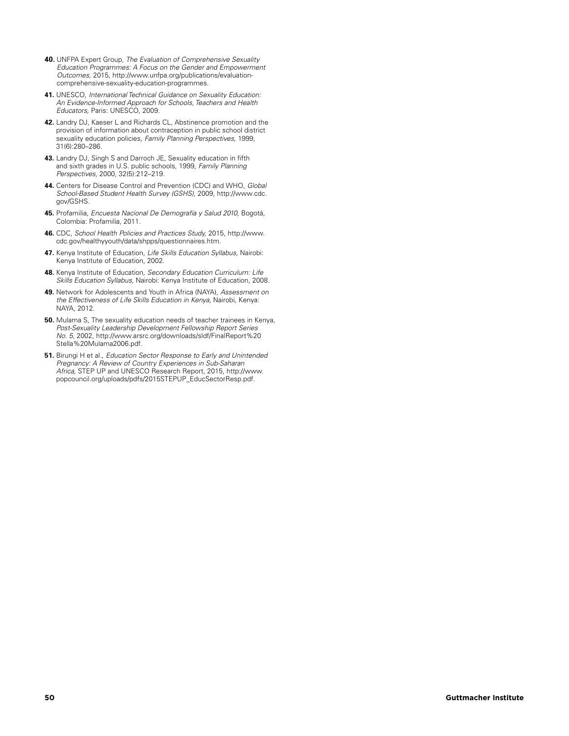- **40.** UNFPA Expert Group, *The Evaluation of Comprehensive Sexuality Education Programmes: A Focus on the Gender and Empowerment Outcomes,* 2015, http://www.unfpa.org/publications/evaluationcomprehensive-sexuality-education-programmes.
- **41.** UNESCO, *International Technical Guidance on Sexuality Education: An Evidence-Informed Approach for Schools, Teachers and Health Educators,* Paris: UNESCO, 2009.
- **42.** Landry DJ, Kaeser L and Richards CL, Abstinence promotion and the provision of information about contraception in public school district sexuality education policies, *Family Planning Perspectives,* 1999, 31(6):280–286.
- **43.** Landry DJ, Singh S and Darroch JE, Sexuality education in fifth and sixth grades in U.S. public schools, 1999, *Family Planning Perspectives,* 2000, 32(5):212–219.
- **44.** Centers for Disease Control and Prevention (CDC) and WHO, *Global School-Based Student Health Survey (GSHS),* 2009, http://www.cdc. gov/GSHS.
- **45.** Profamilia, *Encuesta Nacional De Demografía y Salud 2010,* Bogotá, Colombia: Profamilia, 2011.
- **46.** CDC, *School Health Policies and Practices Study,* 2015, http://www. cdc.gov/healthyyouth/data/shpps/questionnaires.htm.
- **47.** Kenya Institute of Education, *Life Skills Education Syllabus,* Nairobi: Kenya Institute of Education, 2002.
- **48.** Kenya Institute of Education, *Secondary Education Curriculum: Life Skills Education Syllabus,* Nairobi: Kenya Institute of Education, 2008.
- **49.** Network for Adolescents and Youth in Africa (NAYA), *Assessment on the Effectiveness of Life Skills Education in Kenya,* Nairobi, Kenya: NAYA, 2012.
- **50.** Mulama S, The sexuality education needs of teacher trainees in Kenya, *Post-Sexuality Leadership Development Fellowship Report Series No. 5,* 2002, http://www.arsrc.org/downloads/sldf/FinalReport%20 Stella%20Mulama2006.pdf.
- **51.** Birungi H et al., *Education Sector Response to Early and Unintended Pregnancy: A Review of Country Experiences in Sub-Saharan Africa,* STEP UP and UNESCO Research Report, 2015, http://www. popcouncil.org/uploads/pdfs/2015STEPUP\_EducSectorResp.pdf.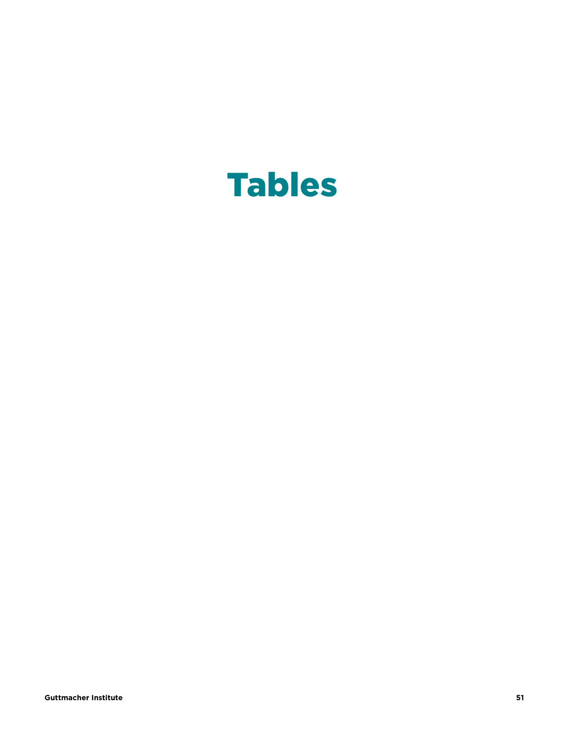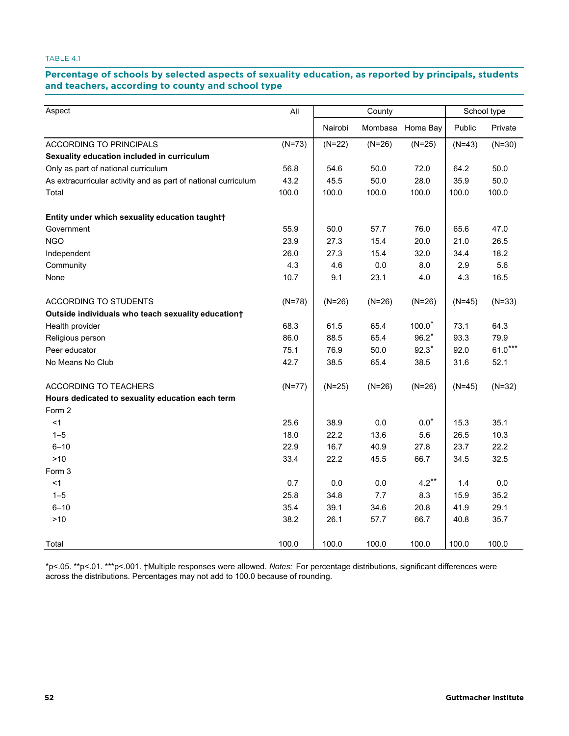# Percentage of schools by selected aspects of sexuality education, as reported by principals, students **teachers, according to county and school type and teachers, according to county and school type**

| Aspect                                                         | All      | County   |          |                  | School type |           |  |
|----------------------------------------------------------------|----------|----------|----------|------------------|-------------|-----------|--|
|                                                                |          | Nairobi  |          | Mombasa Homa Bay | Public      | Private   |  |
| <b>ACCORDING TO PRINCIPALS</b>                                 | $(N=73)$ | $(N=22)$ | $(N=26)$ | $(N=25)$         | $(N=43)$    | $(N=30)$  |  |
| Sexuality education included in curriculum                     |          |          |          |                  |             |           |  |
| Only as part of national curriculum                            | 56.8     | 54.6     | 50.0     | 72.0             | 64.2        | 50.0      |  |
| As extracurricular activity and as part of national curriculum | 43.2     | 45.5     | 50.0     | 28.0             | 35.9        | 50.0      |  |
| Total                                                          | 100.0    | 100.0    | 100.0    | 100.0            | 100.0       | 100.0     |  |
| Entity under which sexuality education taught†                 |          |          |          |                  |             |           |  |
| Government                                                     | 55.9     | 50.0     | 57.7     | 76.0             | 65.6        | 47.0      |  |
| <b>NGO</b>                                                     | 23.9     | 27.3     | 15.4     | 20.0             | 21.0        | 26.5      |  |
| Independent                                                    | 26.0     | 27.3     | 15.4     | 32.0             | 34.4        | 18.2      |  |
| Community                                                      | 4.3      | 4.6      | $0.0\,$  | 8.0              | 2.9         | 5.6       |  |
| None                                                           | 10.7     | 9.1      | 23.1     | 4.0              | 4.3         | 16.5      |  |
| ACCORDING TO STUDENTS                                          | $(N=78)$ | $(N=26)$ | $(N=26)$ | $(N=26)$         | $(N=45)$    | $(N=33)$  |  |
| Outside individuals who teach sexuality education+             |          |          |          |                  |             |           |  |
| Health provider                                                | 68.3     | 61.5     | 65.4     | $100.0*$         | 73.1        | 64.3      |  |
| Religious person                                               | 86.0     | 88.5     | 65.4     | $96.2*$          | 93.3        | 79.9      |  |
| Peer educator                                                  | 75.1     | 76.9     | 50.0     | $92.3*$          | 92.0        | $61.0***$ |  |
| No Means No Club                                               | 42.7     | 38.5     | 65.4     | 38.5             | 31.6        | 52.1      |  |
| <b>ACCORDING TO TEACHERS</b>                                   | $(N=77)$ | $(N=25)$ | $(N=26)$ | $(N=26)$         | $(N=45)$    | $(N=32)$  |  |
| Hours dedicated to sexuality education each term               |          |          |          |                  |             |           |  |
| Form 2                                                         |          |          |          |                  |             |           |  |
| <1                                                             | 25.6     | 38.9     | $0.0\,$  | $0.0*$           | 15.3        | 35.1      |  |
| $1 - 5$                                                        | 18.0     | 22.2     | 13.6     | 5.6              | 26.5        | 10.3      |  |
| $6 - 10$                                                       | 22.9     | 16.7     | 40.9     | 27.8             | 23.7        | 22.2      |  |
| $>10$                                                          | 33.4     | 22.2     | 45.5     | 66.7             | 34.5        | 32.5      |  |
| Form 3                                                         |          |          |          |                  |             |           |  |
| < 1                                                            | 0.7      | 0.0      | 0.0      | $4.2***$         | 1.4         | $0.0\,$   |  |
| $1 - 5$                                                        | 25.8     | 34.8     | 7.7      | 8.3              | 15.9        | 35.2      |  |
| $6 - 10$                                                       | 35.4     | 39.1     | 34.6     | 20.8             | 41.9        | 29.1      |  |
| $>10$                                                          | 38.2     | 26.1     | 57.7     | 66.7             | 40.8        | 35.7      |  |
| Total                                                          | 100.0    | 100.0    | 100.0    | 100.0            | 100.0       | 100.0     |  |

\*p<.05. \*\*p<.01. \*\*\*p<.001. †Multiple responses were allowed. *Notes:* For percentage distributions, significant differences were across the distributions. Percentages may not add to 100.0 because of rounding.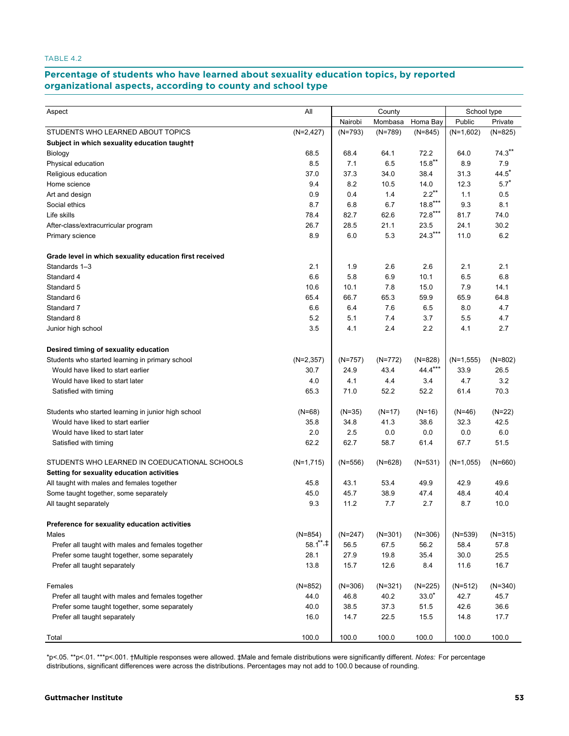#### **Percentage of students who have learned about sexuality education topics, by reported TABLE 4.2. Percentage of students who have sexuality education is student about sexuality education or students a**

|                                                         |                     |           |           |           | School type |           |  |
|---------------------------------------------------------|---------------------|-----------|-----------|-----------|-------------|-----------|--|
| Aspect                                                  | All                 |           | County    |           |             |           |  |
|                                                         |                     | Nairobi   | Mombasa   | Homa Bay  | Public      | Private   |  |
| STUDENTS WHO LEARNED ABOUT TOPICS                       | $(N=2, 427)$        | $(N=793)$ | $(N=789)$ | $(N=845)$ | $(N=1,602)$ | $(N=825)$ |  |
| Subject in which sexuality education taught+            |                     |           |           |           |             |           |  |
| Biology                                                 | 68.5                | 68.4      | 64.1      | 72.2      | 64.0        | $74.3***$ |  |
| Physical education                                      | 8.5                 | 7.1       | 6.5       | $15.8***$ | 8.9         | 7.9       |  |
| Religious education                                     | 37.0                | 37.3      | 34.0      | 38.4      | 31.3        | $44.5*$   |  |
| Home science                                            | 9.4                 | 8.2       | 10.5      | 14.0      | 12.3        | $5.7*$    |  |
| Art and design                                          | 0.9                 | 0.4       | 1.4       | $2.2***$  | 1.1         | 0.5       |  |
| Social ethics                                           | 8.7                 | 6.8       | 6.7       | $18.8***$ | 9.3         | 8.1       |  |
| Life skills                                             | 78.4                | 82.7      | 62.6      | $72.8***$ | 81.7        | 74.0      |  |
| After-class/extracurricular program                     | 26.7                | 28.5      | 21.1      | 23.5      | 24.1        | 30.2      |  |
| Primary science                                         | 8.9                 | 6.0       | 5.3       | $24.3***$ | 11.0        | 6.2       |  |
| Grade level in which sexuality education first received |                     |           |           |           |             |           |  |
| Standards 1-3                                           | 2.1                 | 1.9       | 2.6       | 2.6       | 2.1         | 2.1       |  |
| Standard 4                                              | 6.6                 | 5.8       | 6.9       | 10.1      | 6.5         | 6.8       |  |
| Standard 5                                              | 10.6                | 10.1      | 7.8       | 15.0      | 7.9         | 14.1      |  |
| Standard 6                                              | 65.4                | 66.7      | 65.3      | 59.9      | 65.9        | 64.8      |  |
| Standard 7                                              | 6.6                 | 6.4       | 7.6       | 6.5       | 8.0         | 4.7       |  |
| Standard 8                                              | 5.2                 | 5.1       | 7.4       | 3.7       | 5.5         | 4.7       |  |
| Junior high school                                      | 3.5                 | 4.1       | 2.4       | 2.2       | 4.1         | 2.7       |  |
| Desired timing of sexuality education                   |                     |           |           |           |             |           |  |
| Students who started learning in primary school         | $(N=2,357)$         | $(N=757)$ | $(N=772)$ | $(N=828)$ | $(N=1,555)$ | $(N=802)$ |  |
| Would have liked to start earlier                       | 30.7                | 24.9      | 43.4      | 44.4***   | 33.9        | 26.5      |  |
| Would have liked to start later                         | 4.0                 | 4.1       | 4.4       | 3.4       | 4.7         | 3.2       |  |
| Satisfied with timing                                   | 65.3                | 71.0      | 52.2      | 52.2      | 61.4        | 70.3      |  |
| Students who started learning in junior high school     | $(N=68)$            | (N=35)    | $(N=17)$  | $(N=16)$  | (N=46)      | $(N=22)$  |  |
| Would have liked to start earlier                       | 35.8                | 34.8      | 41.3      | 38.6      | 32.3        | 42.5      |  |
| Would have liked to start later                         | 2.0                 | 2.5       | 0.0       | 0.0       | 0.0         | 6.0       |  |
| Satisfied with timing                                   | 62.2                | 62.7      | 58.7      | 61.4      | 67.7        | 51.5      |  |
| STUDENTS WHO LEARNED IN COEDUCATIONAL SCHOOLS           | $(N=1,715)$         | $(N=556)$ | $(N=628)$ | $(N=531)$ | $(N=1,055)$ | $(N=660)$ |  |
| Setting for sexuality education activities              |                     |           |           |           |             |           |  |
| All taught with males and females together              | 45.8                | 43.1      | 53.4      | 49.9      | 42.9        | 49.6      |  |
| Some taught together, some separately                   | 45.0                | 45.7      | 38.9      | 47.4      | 48.4        | 40.4      |  |
| All taught separately                                   | 9.3                 | 11.2      | 7.7       | 2.7       | 8.7         | 10.0      |  |
| Preference for sexuality education activities           |                     |           |           |           |             |           |  |
| Males                                                   | $(N=854)$           | $(N=247)$ | $(N=301)$ | $(N=306)$ | $(N=539)$   | $(N=315)$ |  |
| Prefer all taught with males and females together       | $58.1^{\ast\ast}$ . | 56.5      | 67.5      | 56.2      | 58.4        | 57.8      |  |
| Prefer some taught together, some separately            | 28.1                | 27.9      | 19.8      | 35.4      | 30.0        | 25.5      |  |
| Prefer all taught separately                            | 13.8                | 15.7      | 12.6      | 8.4       | 11.6        | 16.7      |  |
| Females                                                 | $(N=852)$           | $(N=306)$ | $(N=321)$ | $(N=225)$ | (N=512)     | $(N=340)$ |  |
| Prefer all taught with males and females together       | 44.0                | 46.8      | 40.2      | $33.0*$   | 42.7        | 45.7      |  |
| Prefer some taught together, some separately            | 40.0                | 38.5      | 37.3      | 51.5      | 42.6        | 36.6      |  |
| Prefer all taught separately                            | 16.0                | 14.7      | 22.5      | 15.5      | 14.8        | 17.7      |  |
| Total                                                   | 100.0               | 100.0     | 100.0     | 100.0     | 100.0       | 100.0     |  |
|                                                         |                     |           |           |           |             |           |  |

\*p<.05. \*\*p<.01. \*\*\*p<.001. †Multiple responses were allowed. ‡Male and female distributions were significantly different. *Notes:* For percentage distributions, significant differences were across the distributions. Percentages may not add to 100.0 because of rounding.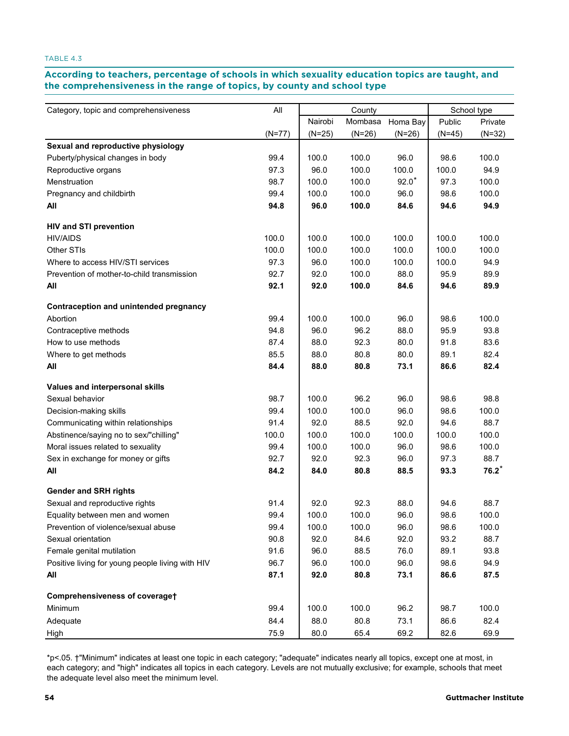# According to teachers, percentage of schools in which sexuality education topics are taught, and **the comprehensiveness in the range of topics, by county and school type comprehensiveness in the range of topics, by county and school type**

| Category, topic and comprehensiveness            | All      | County   |          |          | School type |          |  |
|--------------------------------------------------|----------|----------|----------|----------|-------------|----------|--|
|                                                  |          | Nairobi  | Mombasa  | Homa Bay | Public      | Private  |  |
|                                                  | $(N=77)$ | $(N=25)$ | $(N=26)$ | $(N=26)$ | $(N=45)$    | $(N=32)$ |  |
| Sexual and reproductive physiology               |          |          |          |          |             |          |  |
| Puberty/physical changes in body                 | 99.4     | 100.0    | 100.0    | 96.0     | 98.6        | 100.0    |  |
| Reproductive organs                              | 97.3     | 96.0     | 100.0    | 100.0    | 100.0       | 94.9     |  |
| Menstruation                                     | 98.7     | 100.0    | 100.0    | $92.0*$  | 97.3        | 100.0    |  |
| Pregnancy and childbirth                         | 99.4     | 100.0    | 100.0    | 96.0     | 98.6        | 100.0    |  |
| All                                              | 94.8     | 96.0     | 100.0    | 84.6     | 94.6        | 94.9     |  |
| <b>HIV and STI prevention</b>                    |          |          |          |          |             |          |  |
| <b>HIV/AIDS</b>                                  | 100.0    | 100.0    | 100.0    | 100.0    | 100.0       | 100.0    |  |
| Other STIs                                       | 100.0    | 100.0    | 100.0    | 100.0    | 100.0       | 100.0    |  |
| Where to access HIV/STI services                 | 97.3     | 96.0     | 100.0    | 100.0    | 100.0       | 94.9     |  |
| Prevention of mother-to-child transmission       | 92.7     | 92.0     | 100.0    | 88.0     | 95.9        | 89.9     |  |
| All                                              | 92.1     | 92.0     | 100.0    | 84.6     | 94.6        | 89.9     |  |
| Contraception and unintended pregnancy           |          |          |          |          |             |          |  |
| Abortion                                         | 99.4     | 100.0    | 100.0    | 96.0     | 98.6        | 100.0    |  |
| Contraceptive methods                            | 94.8     | 96.0     | 96.2     | 88.0     | 95.9        | 93.8     |  |
| How to use methods                               | 87.4     | 88.0     | 92.3     | 80.0     | 91.8        | 83.6     |  |
| Where to get methods                             | 85.5     | 88.0     | 80.8     | 80.0     | 89.1        | 82.4     |  |
| All                                              | 84.4     | 88.0     | 80.8     | 73.1     | 86.6        | 82.4     |  |
| Values and interpersonal skills                  |          |          |          |          |             |          |  |
| Sexual behavior                                  | 98.7     | 100.0    | 96.2     | 96.0     | 98.6        | 98.8     |  |
| Decision-making skills                           | 99.4     | 100.0    | 100.0    | 96.0     | 98.6        | 100.0    |  |
| Communicating within relationships               | 91.4     | 92.0     | 88.5     | 92.0     | 94.6        | 88.7     |  |
| Abstinence/saying no to sex/"chilling"           | 100.0    | 100.0    | 100.0    | 100.0    | 100.0       | 100.0    |  |
| Moral issues related to sexuality                | 99.4     | 100.0    | 100.0    | 96.0     | 98.6        | 100.0    |  |
| Sex in exchange for money or gifts               | 92.7     | 92.0     | 92.3     | 96.0     | 97.3        | 88.7     |  |
| All                                              | 84.2     | 84.0     | 80.8     | 88.5     | 93.3        | $76.2*$  |  |
| <b>Gender and SRH rights</b>                     |          |          |          |          |             |          |  |
| Sexual and reproductive rights                   | 91.4     | 92.0     | 92.3     | 88.0     | 94.6        | 88.7     |  |
| Equality between men and women                   | 99.4     | 100.0    | 100.0    | 96.0     | 98.6        | 100.0    |  |
| Prevention of violence/sexual abuse              | 99.4     | 100.0    | 100.0    | 96.0     | 98.6        | 100.0    |  |
| Sexual orientation                               | 90.8     | 92.0     | 84.6     | 92.0     | 93.2        | 88.7     |  |
| Female genital mutilation                        | 91.6     | 96.0     | 88.5     | 76.0     | 89.1        | 93.8     |  |
| Positive living for young people living with HIV | 96.7     | 96.0     | 100.0    | 96.0     | 98.6        | 94.9     |  |
| All                                              | 87.1     | 92.0     | 80.8     | 73.1     | 86.6        | 87.5     |  |
| Comprehensiveness of coveraget                   |          |          |          |          |             |          |  |
| Minimum                                          | 99.4     | 100.0    | 100.0    | 96.2     | 98.7        | 100.0    |  |
| Adequate                                         | 84.4     | 88.0     | 80.8     | 73.1     | 86.6        | 82.4     |  |
| High                                             | 75.9     | 80.0     | 65.4     | 69.2     | 82.6        | 69.9     |  |

\*p<.05. †"Minimum" indicates at least one topic in each category; "adequate" indicates nearly all topics, except one at most, in each category; and "high" indicates all topics in each category. Levels are not mutually exclusive; for example, schools that meet the adequate level also meet the minimum level.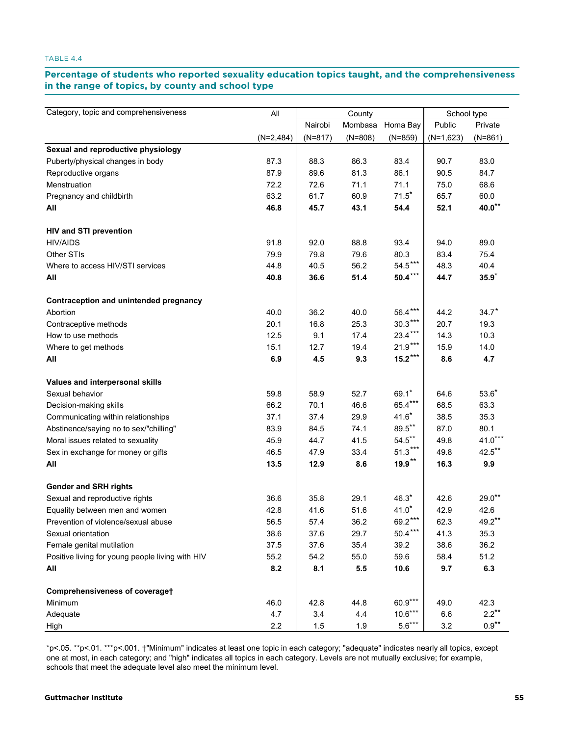# Percentage of students who reported sexuality education topics taught, and the comprehensiveness<br>in the range of tanies, by equativenal sebect tune **in the range of topics, by county and school type range of topics, by county and school type**

| Category, topic and comprehensiveness            |             | County    |           |           | School type |           |  |
|--------------------------------------------------|-------------|-----------|-----------|-----------|-------------|-----------|--|
|                                                  | All         | Nairobi   | Mombasa   | Homa Bay  | Public      | Private   |  |
|                                                  | $(N=2,484)$ | $(N=817)$ | $(N=808)$ | $(N=859)$ | $(N=1,623)$ | $(N=861)$ |  |
| Sexual and reproductive physiology               |             |           |           |           |             |           |  |
| Puberty/physical changes in body                 | 87.3        | 88.3      | 86.3      | 83.4      | 90.7        | 83.0      |  |
| Reproductive organs                              | 87.9        | 89.6      | 81.3      | 86.1      | 90.5        | 84.7      |  |
| Menstruation                                     | 72.2        | 72.6      | 71.1      | 71.1      | 75.0        | 68.6      |  |
| Pregnancy and childbirth                         | 63.2        | 61.7      | 60.9      | $71.5*$   | 65.7        | 60.0      |  |
| All                                              | 46.8        | 45.7      | 43.1      | 54.4      | 52.1        | $40.0***$ |  |
| <b>HIV and STI prevention</b>                    |             |           |           |           |             |           |  |
| <b>HIV/AIDS</b>                                  | 91.8        | 92.0      | 88.8      | 93.4      | 94.0        | 89.0      |  |
| Other STIs                                       | 79.9        | 79.8      | 79.6      | 80.3      | 83.4        | 75.4      |  |
| Where to access HIV/STI services                 | 44.8        | 40.5      | 56.2      | $54.5***$ | 48.3        | 40.4      |  |
| All                                              | 40.8        | 36.6      | 51.4      | $50.4***$ | 44.7        | $35.9*$   |  |
| Contraception and unintended pregnancy           |             |           |           |           |             |           |  |
| Abortion                                         | 40.0        | 36.2      | 40.0      | 56.4***   | 44.2        | $34.7*$   |  |
| Contraceptive methods                            | 20.1        | 16.8      | 25.3      | $30.3***$ | 20.7        | 19.3      |  |
| How to use methods                               | 12.5        | 9.1       | 17.4      | $23.4***$ | 14.3        | 10.3      |  |
| Where to get methods                             | 15.1        | 12.7      | 19.4      | $21.9***$ | 15.9        | 14.0      |  |
| All                                              | 6.9         | 4.5       | 9.3       | $15.2***$ | 8.6         | 4.7       |  |
| Values and interpersonal skills                  |             |           |           |           |             |           |  |
| Sexual behavior                                  | 59.8        | 58.9      | 52.7      | $69.1*$   | 64.6        | $53.6*$   |  |
| Decision-making skills                           | 66.2        | 70.1      | 46.6      | 65.4***   | 68.5        | 63.3      |  |
| Communicating within relationships               | 37.1        | 37.4      | 29.9      | $41.6*$   | 38.5        | 35.3      |  |
| Abstinence/saying no to sex/"chilling"           | 83.9        | 84.5      | 74.1      | $89.5***$ | 87.0        | 80.1      |  |
| Moral issues related to sexuality                | 45.9        | 44.7      | 41.5      | $54.5***$ | 49.8        | $41.0***$ |  |
| Sex in exchange for money or gifts               | 46.5        | 47.9      | 33.4      | $51.3***$ | 49.8        | $42.5***$ |  |
| All                                              | 13.5        | 12.9      | 8.6       | $19.9***$ | 16.3        | 9.9       |  |
| <b>Gender and SRH rights</b>                     |             |           |           |           |             |           |  |
| Sexual and reproductive rights                   | 36.6        | 35.8      | 29.1      | $46.3*$   | 42.6        | $29.0**$  |  |
| Equality between men and women                   | 42.8        | 41.6      | 51.6      | $41.0*$   | 42.9        | 42.6      |  |
| Prevention of violence/sexual abuse              | 56.5        | 57.4      | 36.2      | $69.2***$ | 62.3        | $49.2***$ |  |
| Sexual orientation                               | 38.6        | 37.6      | 29.7      | $50.4***$ | 41.3        | 35.3      |  |
| Female genital mutilation                        | 37.5        | 37.6      | 35.4      | 39.2      | 38.6        | 36.2      |  |
| Positive living for young people living with HIV | 55.2        | 54.2      | 55.0      | 59.6      | 58.4        | 51.2      |  |
| All                                              | 8.2         | 8.1       | $5.5\,$   | 10.6      | 9.7         | 6.3       |  |
| Comprehensiveness of coveraget                   |             |           |           |           |             |           |  |
| Minimum                                          | 46.0        | 42.8      | 44.8      | $60.9***$ | 49.0        | 42.3      |  |
| Adequate                                         | 4.7         | 3.4       | 4.4       | $10.6***$ | 6.6         | $2.2***$  |  |
| High                                             | 2.2         | 1.5       | 1.9       | $5.6***$  | $3.2\,$     | $0.9***$  |  |

\*p<.05. \*\*p<.01. \*\*\*p<.001. †"Minimum" indicates at least one topic in each category; "adequate" indicates nearly all topics, except one at most, in each category; and "high" indicates all topics in each category. Levels are not mutually exclusive; for example, schools that meet the adequate level also meet the minimum level.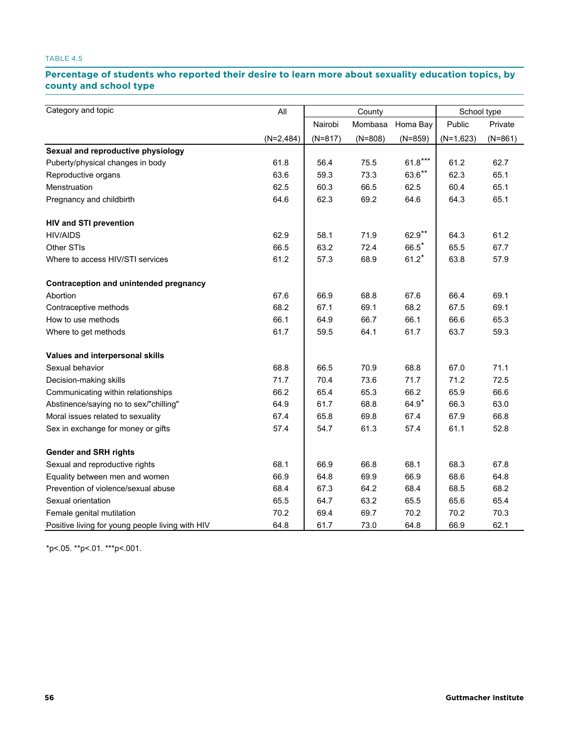# Percentage of students who reported their desire to learn more about sexuality education topics, by **county and school type school type**

| Category and topic                               | All         | County    |           |           | School type |           |  |
|--------------------------------------------------|-------------|-----------|-----------|-----------|-------------|-----------|--|
|                                                  |             | Nairobi   | Mombasa   | Homa Bay  | Public      | Private   |  |
|                                                  | $(N=2,484)$ | $(N=817)$ | $(N=808)$ | $(N=859)$ | $(N=1,623)$ | $(N=861)$ |  |
| Sexual and reproductive physiology               |             |           |           |           |             |           |  |
| Puberty/physical changes in body                 | 61.8        | 56.4      | 75.5      | $61.8***$ | 61.2        | 62.7      |  |
| Reproductive organs                              | 63.6        | 59.3      | 73.3      | $63.6***$ | 62.3        | 65.1      |  |
| Menstruation                                     | 62.5        | 60.3      | 66.5      | 62.5      | 60.4        | 65.1      |  |
| Pregnancy and childbirth                         | 64.6        | 62.3      | 69.2      | 64.6      | 64.3        | 65.1      |  |
| <b>HIV and STI prevention</b>                    |             |           |           |           |             |           |  |
| <b>HIV/AIDS</b>                                  | 62.9        | 58.1      | 71.9      | 62.9**    | 64.3        | 61.2      |  |
| Other STIs                                       | 66.5        | 63.2      | 72.4      | $66.5*$   | 65.5        | 67.7      |  |
| Where to access HIV/STI services                 | 61.2        | 57.3      | 68.9      | $61.2*$   | 63.8        | 57.9      |  |
| Contraception and unintended pregnancy           |             |           |           |           |             |           |  |
| Abortion                                         | 67.6        | 66.9      | 68.8      | 67.6      | 66.4        | 69.1      |  |
| Contraceptive methods                            | 68.2        | 67.1      | 69.1      | 68.2      | 67.5        | 69.1      |  |
| How to use methods                               | 66.1        | 64.9      | 66.7      | 66.1      | 66.6        | 65.3      |  |
| Where to get methods                             | 61.7        | 59.5      | 64.1      | 61.7      | 63.7        | 59.3      |  |
| Values and interpersonal skills                  |             |           |           |           |             |           |  |
| Sexual behavior                                  | 68.8        | 66.5      | 70.9      | 68.8      | 67.0        | 71.1      |  |
| Decision-making skills                           | 71.7        | 70.4      | 73.6      | 71.7      | 71.2        | 72.5      |  |
| Communicating within relationships               | 66.2        | 65.4      | 65.3      | 66.2      | 65.9        | 66.6      |  |
| Abstinence/saying no to sex/"chilling"           | 64.9        | 61.7      | 68.8      | $64.9*$   | 66.3        | 63.0      |  |
| Moral issues related to sexuality                | 67.4        | 65.8      | 69.8      | 67.4      | 67.9        | 66.8      |  |
| Sex in exchange for money or gifts               | 57.4        | 54.7      | 61.3      | 57.4      | 61.1        | 52.8      |  |
| <b>Gender and SRH rights</b>                     |             |           |           |           |             |           |  |
| Sexual and reproductive rights                   | 68.1        | 66.9      | 66.8      | 68.1      | 68.3        | 67.8      |  |
| Equality between men and women                   | 66.9        | 64.8      | 69.9      | 66.9      | 68.6        | 64.8      |  |
| Prevention of violence/sexual abuse              | 68.4        | 67.3      | 64.2      | 68.4      | 68.5        | 68.2      |  |
| Sexual orientation                               | 65.5        | 64.7      | 63.2      | 65.5      | 65.6        | 65.4      |  |
| Female genital mutilation                        | 70.2        | 69.4      | 69.7      | 70.2      | 70.2        | 70.3      |  |
| Positive living for young people living with HIV | 64.8        | 61.7      | 73.0      | 64.8      | 66.9        | 62.1      |  |

\*p<.05. \*\*p<.01. \*\*\*p<.001.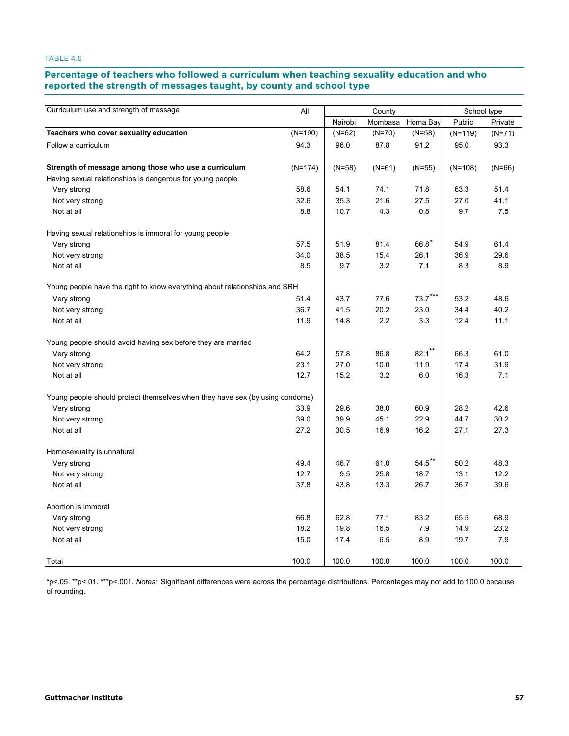#### **Percentage of teachers who followed a curriculum when teaching sexuality education and who**  reported the strength of messages taught, by county and school type **eported the strength of message.**

| Curriculum use and strength of message                                       | All       |          | County   |           | School type |          |  |
|------------------------------------------------------------------------------|-----------|----------|----------|-----------|-------------|----------|--|
|                                                                              |           | Nairobi  | Mombasa  | Homa Bay  | Public      | Private  |  |
| Teachers who cover sexuality education                                       | $(N=190)$ | $(N=62)$ | $(N=70)$ | $(N=58)$  | $(N=119)$   | $(N=71)$ |  |
| Follow a curriculum                                                          | 94.3      | 96.0     | 87.8     | 91.2      | 95.0        | 93.3     |  |
| Strength of message among those who use a curriculum                         | $(N=174)$ | $(N=58)$ | $(N=61)$ | $(N=55)$  | $(N=108)$   | $(N=66)$ |  |
| Having sexual relationships is dangerous for young people                    |           |          |          |           |             |          |  |
| Very strong                                                                  | 58.6      | 54.1     | 74.1     | 71.8      | 63.3        | 51.4     |  |
| Not very strong                                                              | 32.6      | 35.3     | 21.6     | 27.5      | 27.0        | 41.1     |  |
| Not at all                                                                   | 8.8       | 10.7     | 4.3      | 0.8       | 9.7         | 7.5      |  |
| Having sexual relationships is immoral for young people                      |           |          |          |           |             |          |  |
| Very strong                                                                  | 57.5      | 51.9     | 81.4     | $66.8*$   | 54.9        | 61.4     |  |
| Not very strong                                                              | 34.0      | 38.5     | 15.4     | 26.1      | 36.9        | 29.6     |  |
| Not at all                                                                   | 8.5       | 9.7      | 3.2      | 7.1       | 8.3         | 8.9      |  |
| Young people have the right to know everything about relationships and SRH   |           |          |          |           |             |          |  |
| Very strong                                                                  | 51.4      | 43.7     | 77.6     | $73.7***$ | 53.2        | 48.6     |  |
| Not very strong                                                              | 36.7      | 41.5     | 20.2     | 23.0      | 34.4        | 40.2     |  |
| Not at all                                                                   | 11.9      | 14.8     | 2.2      | 3.3       | 12.4        | 11.1     |  |
| Young people should avoid having sex before they are married                 |           |          |          |           |             |          |  |
| Very strong                                                                  | 64.2      | 57.8     | 86.8     | $82.1***$ | 66.3        | 61.0     |  |
| Not very strong                                                              | 23.1      | 27.0     | 10.0     | 11.9      | 17.4        | 31.9     |  |
| Not at all                                                                   | 12.7      | 15.2     | 3.2      | 6.0       | 16.3        | 7.1      |  |
| Young people should protect themselves when they have sex (by using condoms) |           |          |          |           |             |          |  |
| Very strong                                                                  | 33.9      | 29.6     | 38.0     | 60.9      | 28.2        | 42.6     |  |
| Not very strong                                                              | 39.0      | 39.9     | 45.1     | 22.9      | 44.7        | 30.2     |  |
| Not at all                                                                   | 27.2      | 30.5     | 16.9     | 16.2      | 27.1        | 27.3     |  |
| Homosexuality is unnatural                                                   |           |          |          |           |             |          |  |
| Very strong                                                                  | 49.4      | 46.7     | 61.0     | $54.5***$ | 50.2        | 48.3     |  |
| Not very strong                                                              | 12.7      | 9.5      | 25.8     | 18.7      | 13.1        | 12.2     |  |
| Not at all                                                                   | 37.8      | 43.8     | 13.3     | 26.7      | 36.7        | 39.6     |  |
| Abortion is immoral                                                          |           |          |          |           |             |          |  |
| Very strong                                                                  | 66.8      | 62.8     | 77.1     | 83.2      | 65.5        | 68.9     |  |
| Not very strong                                                              | 18.2      | 19.8     | 16.5     | 7.9       | 14.9        | 23.2     |  |
| Not at all                                                                   | 15.0      | 17.4     | 6.5      | 8.9       | 19.7        | 7.9      |  |
| Total                                                                        | 100.0     | 100.0    | 100.0    | 100.0     | 100.0       | 100.0    |  |

\*p<.05. \*\*p<.01. \*\*\*p<.001. *Notes:* Significant differences were across the percentage distributions. Percentages may not add to 100.0 because of rounding.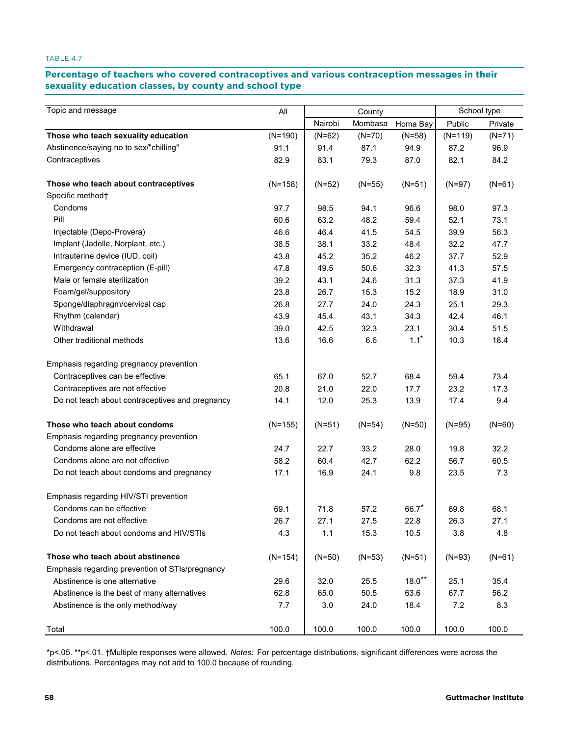# Percentage of teachers who covered contraceptives and various contraception messages in their **sexuality education classes, by county and school type education classes, by county and school type**

| Topic and message                               | All       |          | County   |          |           | School type |  |  |
|-------------------------------------------------|-----------|----------|----------|----------|-----------|-------------|--|--|
|                                                 |           | Nairobi  | Mombasa  | Homa Bay | Public    | Private     |  |  |
| Those who teach sexuality education             | $(N=190)$ | $(N=62)$ | $(N=70)$ | $(N=58)$ | $(N=119)$ | $(N=71)$    |  |  |
| Abstinence/saying no to sex/"chilling"          | 91.1      | 91.4     | 87.1     | 94.9     | 87.2      | 96.9        |  |  |
| Contraceptives                                  | 82.9      | 83.1     | 79.3     | 87.0     | 82.1      | 84.2        |  |  |
| Those who teach about contraceptives            | $(N=158)$ | $(N=52)$ | $(N=55)$ | $(N=51)$ | $(N=97)$  | $(N=61)$    |  |  |
| Specific method <sup>+</sup>                    |           |          |          |          |           |             |  |  |
| Condoms                                         | 97.7      | 98.5     | 94.1     | 96.6     | 98.0      | 97.3        |  |  |
| Pill                                            | 60.6      | 63.2     | 48.2     | 59.4     | 52.1      | 73.1        |  |  |
| Injectable (Depo-Provera)                       | 46.6      | 46.4     | 41.5     | 54.5     | 39.9      | 56.3        |  |  |
| Implant (Jadelle, Norplant, etc.)               | 38.5      | 38.1     | 33.2     | 48.4     | 32.2      | 47.7        |  |  |
| Intrauterine device (IUD, coil)                 | 43.8      | 45.2     | 35.2     | 46.2     | 37.7      | 52.9        |  |  |
| Emergency contraception (E-pill)                | 47.8      | 49.5     | 50.6     | 32.3     | 41.3      | 57.5        |  |  |
| Male or female sterilization                    | 39.2      | 43.1     | 24.6     | 31.3     | 37.3      | 41.9        |  |  |
| Foam/gel/suppository                            | 23.8      | 26.7     | 15.3     | 15.2     | 18.9      | 31.0        |  |  |
| Sponge/diaphragm/cervical cap                   | 26.8      | 27.7     | 24.0     | 24.3     | 25.1      | 29.3        |  |  |
| Rhythm (calendar)                               | 43.9      | 45.4     | 43.1     | 34.3     | 42.4      | 46.1        |  |  |
| Withdrawal                                      | 39.0      | 42.5     | 32.3     | 23.1     | 30.4      | 51.5        |  |  |
| Other traditional methods                       | 13.6      | 16.6     | 6.6      | $1.1*$   | 10.3      | 18.4        |  |  |
| Emphasis regarding pregnancy prevention         |           |          |          |          |           |             |  |  |
| Contraceptives can be effective                 | 65.1      | 67.0     | 52.7     | 68.4     | 59.4      | 73.4        |  |  |
| Contraceptives are not effective                | 20.8      | 21.0     | 22.0     | 17.7     | 23.2      | 17.3        |  |  |
| Do not teach about contraceptives and pregnancy | 14.1      | 12.0     | 25.3     | 13.9     | 17.4      | 9.4         |  |  |
| Those who teach about condoms                   | $(N=155)$ | $(N=51)$ | $(N=54)$ | $(N=50)$ | $(N=95)$  | $(N=60)$    |  |  |
| Emphasis regarding pregnancy prevention         |           |          |          |          |           |             |  |  |
| Condoms alone are effective                     | 24.7      | 22.7     | 33.2     | 28.0     | 19.8      | 32.2        |  |  |
| Condoms alone are not effective                 | 58.2      | 60.4     | 42.7     | 62.2     | 56.7      | 60.5        |  |  |
| Do not teach about condoms and pregnancy        | 17.1      | 16.9     | 24.1     | 9.8      | 23.5      | 7.3         |  |  |
| Emphasis regarding HIV/STI prevention           |           |          |          |          |           |             |  |  |
| Condoms can be effective                        | 69.1      | 71.8     | 57.2     | 66.7     | 69.8      | 68.1        |  |  |
| Condoms are not effective                       | 26.7      | 27.1     | 27.5     | 22.8     | 26.3      | 27.1        |  |  |
| Do not teach about condoms and HIV/STIs         | 4.3       | 1.1      | 15.3     | 10.5     | 3.8       | 4.8         |  |  |
| Those who teach about abstinence                | $(N=154)$ | $(N=50)$ | $(N=53)$ | $(N=51)$ | $(N=93)$  | $(N=61)$    |  |  |
| Emphasis regarding prevention of STIs/pregnancy |           |          |          |          |           |             |  |  |
| Abstinence is one alternative                   | 29.6      | 32.0     | 25.5     | $18.0**$ | 25.1      | 35.4        |  |  |
| Abstinence is the best of many alternatives     | 62.8      | 65.0     | 50.5     | 63.6     | 67.7      | 56.2        |  |  |
| Abstinence is the only method/way               | 7.7       | 3.0      | 24.0     | 18.4     | 7.2       | 8.3         |  |  |
| Total                                           | 100.0     | 100.0    | 100.0    | 100.0    | 100.0     | 100.0       |  |  |

\*p<.05. \*\*p<.01. †Multiple responses were allowed. *Notes:* For percentage distributions, significant differences were across the distributions. Percentages may not add to 100.0 because of rounding.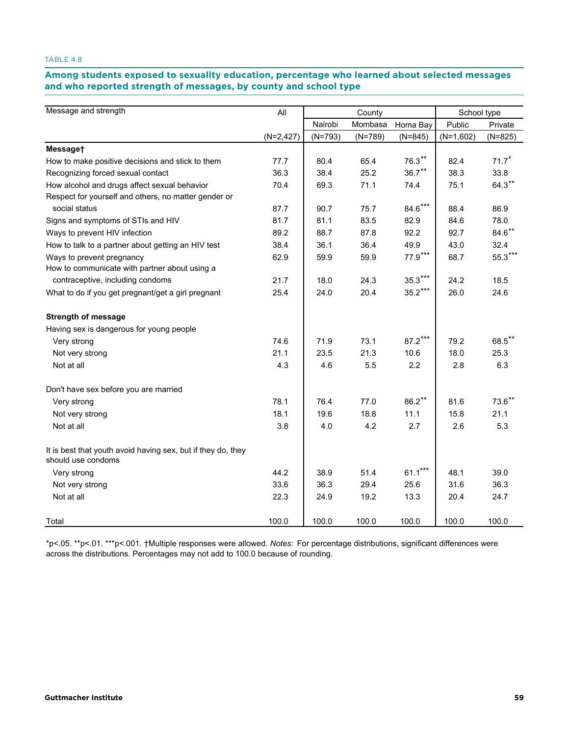# Among students exposed to sexuality education, percentage who learned about selected messages **and who reported strength of messages, by county and school type reported strength of messages, by county and school type**

| Message and strength                                                               | All         |           | County    |           | School type |           |  |
|------------------------------------------------------------------------------------|-------------|-----------|-----------|-----------|-------------|-----------|--|
|                                                                                    |             | Nairobi   | Mombasa   | Homa Bay  | Public      | Private   |  |
|                                                                                    | $(N=2,427)$ | $(N=793)$ | $(N=789)$ | $(N=845)$ | $(N=1,602)$ | $(N=825)$ |  |
| Messaget                                                                           |             |           |           |           |             |           |  |
| How to make positive decisions and stick to them                                   | 77.7        | 80.4      | 65.4      | $76.3***$ | 82.4        | $71.7*$   |  |
| Recognizing forced sexual contact                                                  | 36.3        | 38.4      | 25.2      | $36.7***$ | 38.3        | 33.8      |  |
| How alcohol and drugs affect sexual behavior                                       | 70.4        | 69.3      | 71.1      | 74.4      | 75.1        | $64.3**$  |  |
| Respect for yourself and others, no matter gender or                               |             |           |           |           |             |           |  |
| social status                                                                      | 87.7        | 90.7      | 75.7      | $84.6***$ | 88.4        | 86.9      |  |
| Signs and symptoms of STIs and HIV                                                 | 81.7        | 81.1      | 83.5      | 82.9      | 84.6        | 78.0      |  |
| Ways to prevent HIV infection                                                      | 89.2        | 88.7      | 87.8      | 92.2      | 92.7        | $84.6***$ |  |
| How to talk to a partner about getting an HIV test                                 | 38.4        | 36.1      | 36.4      | 49.9      | 43.0        | 32.4      |  |
| Ways to prevent pregnancy                                                          | 62.9        | 59.9      | 59.9      | 77.9***   | 68.7        | 55.3***   |  |
| How to communicate with partner about using a                                      |             |           |           |           |             |           |  |
| contraceptive, including condoms                                                   | 21.7        | 18.0      | 24.3      | $35.3***$ | 24.2        | 18.5      |  |
| What to do if you get pregnant/get a girl pregnant                                 | 25.4        | 24.0      | 20.4      | $35.2***$ | 26.0        | 24.6      |  |
| <b>Strength of message</b>                                                         |             |           |           |           |             |           |  |
| Having sex is dangerous for young people                                           |             |           |           |           |             |           |  |
| Very strong                                                                        | 74.6        | 71.9      | 73.1      | $87.2***$ | 79.2        | 68.5**    |  |
| Not very strong                                                                    | 21.1        | 23.5      | 21.3      | 10.6      | 18.0        | 25.3      |  |
| Not at all                                                                         | 4.3         | 4.6       | 5.5       | 2.2       | 2.8         | 6.3       |  |
| Don't have sex before you are married                                              |             |           |           |           |             |           |  |
| Very strong                                                                        | 78.1        | 76.4      | 77.0      | $86.2***$ | 81.6        | $73.6$ ** |  |
| Not very strong                                                                    | 18.1        | 19.6      | 18.8      | 11.1      | 15.8        | 21.1      |  |
| Not at all                                                                         | 3.8         | 4.0       | 4.2       | 2.7       | 2.6         | 5.3       |  |
| It is best that youth avoid having sex, but if they do, they<br>should use condoms |             |           |           |           |             |           |  |
| Very strong                                                                        | 44.2        | 38.9      | 51.4      | $61.1***$ | 48.1        | 39.0      |  |
| Not very strong                                                                    | 33.6        | 36.3      | 29.4      | 25.6      | 31.6        | 36.3      |  |
| Not at all                                                                         | 22.3        | 24.9      | 19.2      | 13.3      | 20.4        | 24.7      |  |
| Total                                                                              | 100.0       | 100.0     | 100.0     | 100.0     | 100.0       | 100.0     |  |

\*p<.05. \*\*p<.01. \*\*\*p<.001. †Multiple responses were allowed. *Notes:* For percentage distributions, significant differences were across the distributions. Percentages may not add to 100.0 because of rounding.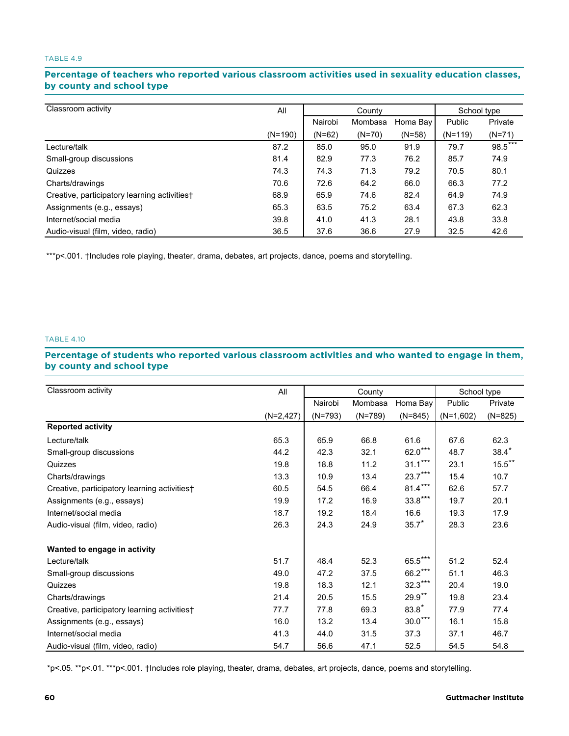# Percentage of teachers who reported various classroom activities used in sexuality education classes, **by county and school type county and school type**

| Classroom activity                           | All       | County   |          |          | School type |          |
|----------------------------------------------|-----------|----------|----------|----------|-------------|----------|
|                                              |           | Nairobi  | Mombasa  | Homa Bay | Public      | Private  |
|                                              | $(N=190)$ | $(N=62)$ | $(N=70)$ | $(N=58)$ | $(N=119)$   | $(N=71)$ |
| Lecture/talk                                 | 87.2      | 85.0     | 95.0     | 91.9     | 79.7        | 98.5***  |
| Small-group discussions                      | 81.4      | 82.9     | 77.3     | 76.2     | 85.7        | 74.9     |
| Quizzes                                      | 74.3      | 74.3     | 71.3     | 79.2     | 70.5        | 80.1     |
| Charts/drawings                              | 70.6      | 72.6     | 64.2     | 66.0     | 66.3        | 77.2     |
| Creative, participatory learning activities† | 68.9      | 65.9     | 74.6     | 82.4     | 64.9        | 74.9     |
| Assignments (e.g., essays)                   | 65.3      | 63.5     | 75.2     | 63.4     | 67.3        | 62.3     |
| Internet/social media                        | 39.8      | 41.0     | 41.3     | 28.1     | 43.8        | 33.8     |
| Audio-visual (film, video, radio)            | 36.5      | 37.6     | 36.6     | 27.9     | 32.5        | 42.6     |

\*\*\*p<.001. †Includes role playing, theater, drama, debates, art projects, dance, poems and storytelling.

#### TABLE 4.10

# Percentage of students who reported various classroom activities and who wanted to engage in them, **by county and school type county and school type**

| Classroom activity                           | All          | County    |           |           | School type |           |
|----------------------------------------------|--------------|-----------|-----------|-----------|-------------|-----------|
|                                              |              | Nairobi   | Mombasa   | Homa Bay  | Public      | Private   |
|                                              | $(N=2, 427)$ | $(N=793)$ | $(N=789)$ | $(N=845)$ | $(N=1,602)$ | $(N=825)$ |
| <b>Reported activity</b>                     |              |           |           |           |             |           |
| Lecture/talk                                 | 65.3         | 65.9      | 66.8      | 61.6      | 67.6        | 62.3      |
| Small-group discussions                      | 44.2         | 42.3      | 32.1      | $62.0***$ | 48.7        | $38.4*$   |
| Quizzes                                      | 19.8         | 18.8      | 11.2      | $31.1***$ | 23.1        | $15.5***$ |
| Charts/drawings                              | 13.3         | 10.9      | 13.4      | $23.7***$ | 15.4        | 10.7      |
| Creative, participatory learning activities† | 60.5         | 54.5      | 66.4      | $81.4***$ | 62.6        | 57.7      |
| Assignments (e.g., essays)                   | 19.9         | 17.2      | 16.9      | $33.8***$ | 19.7        | 20.1      |
| Internet/social media                        | 18.7         | 19.2      | 18.4      | 16.6      | 19.3        | 17.9      |
| Audio-visual (film, video, radio)            | 26.3         | 24.3      | 24.9      | $35.7*$   | 28.3        | 23.6      |
| Wanted to engage in activity                 |              |           |           |           |             |           |
| Lecture/talk                                 | 51.7         | 48.4      | 52.3      | $65.5***$ | 51.2        | 52.4      |
| Small-group discussions                      | 49.0         | 47.2      | 37.5      | $66.2***$ | 51.1        | 46.3      |
| Quizzes                                      | 19.8         | 18.3      | 12.1      | $32.3***$ | 20.4        | 19.0      |
| Charts/drawings                              | 21.4         | 20.5      | 15.5      | $29.9**$  | 19.8        | 23.4      |
| Creative, participatory learning activities† | 77.7         | 77.8      | 69.3      | $83.8*$   | 77.9        | 77.4      |
| Assignments (e.g., essays)                   | 16.0         | 13.2      | 13.4      | $30.0***$ | 16.1        | 15.8      |
| Internet/social media                        | 41.3         | 44.0      | 31.5      | 37.3      | 37.1        | 46.7      |
| Audio-visual (film, video, radio)            | 54.7         | 56.6      | 47.1      | 52.5      | 54.5        | 54.8      |

\*p<.05. \*\*p<.01. \*\*\*p<.001. †Includes role playing, theater, drama, debates, art projects, dance, poems and storytelling.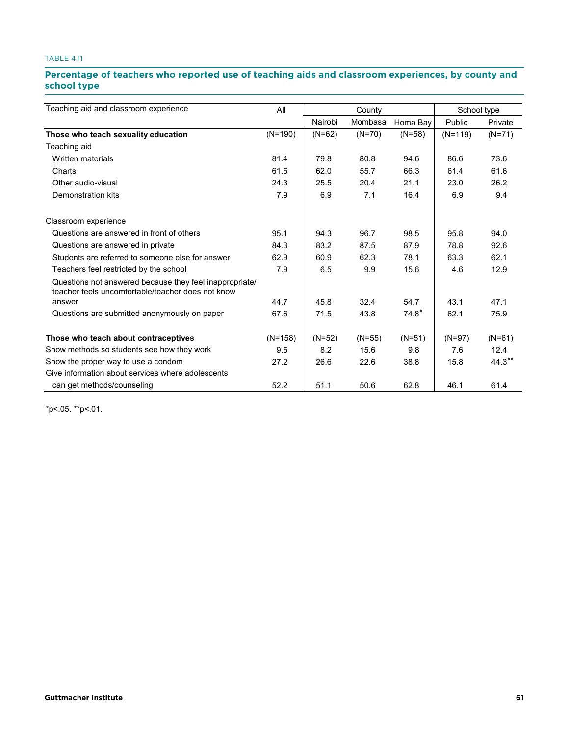# Percentage of teachers who reported use of teaching aids and classroom experiences, by county and **school type type**

| Teaching aid and classroom experience                                                                        | All       |          | County   |          | School type |          |  |
|--------------------------------------------------------------------------------------------------------------|-----------|----------|----------|----------|-------------|----------|--|
|                                                                                                              |           | Nairobi  | Mombasa  | Homa Bav | Public      | Private  |  |
| Those who teach sexuality education                                                                          | $(N=190)$ | $(N=62)$ | $(N=70)$ | $(N=58)$ | $(N=119)$   | $(N=71)$ |  |
| Teaching aid                                                                                                 |           |          |          |          |             |          |  |
| Written materials                                                                                            | 81.4      | 79.8     | 80.8     | 94.6     | 86.6        | 73.6     |  |
| Charts                                                                                                       | 61.5      | 62.0     | 55.7     | 66.3     | 61.4        | 61.6     |  |
| Other audio-visual                                                                                           | 24.3      | 25.5     | 20.4     | 21.1     | 23.0        | 26.2     |  |
| Demonstration kits                                                                                           | 7.9       | 6.9      | 7.1      | 16.4     | 6.9         | 9.4      |  |
| Classroom experience                                                                                         |           |          |          |          |             |          |  |
| Questions are answered in front of others                                                                    | 95.1      | 94.3     | 96.7     | 98.5     | 95.8        | 94.0     |  |
| Questions are answered in private                                                                            | 84.3      | 83.2     | 87.5     | 87.9     | 78.8        | 92.6     |  |
| Students are referred to someone else for answer                                                             | 62.9      | 60.9     | 62.3     | 78.1     | 63.3        | 62.1     |  |
| Teachers feel restricted by the school                                                                       | 7.9       | 6.5      | 9.9      | 15.6     | 4.6         | 12.9     |  |
| Questions not answered because they feel inappropriate/<br>teacher feels uncomfortable/teacher does not know |           |          |          |          |             |          |  |
| answer                                                                                                       | 44.7      | 45.8     | 32.4     | 54.7     | 43.1        | 47.1     |  |
| Questions are submitted anonymously on paper                                                                 | 67.6      | 71.5     | 43.8     | $74.8*$  | 62.1        | 75.9     |  |
| Those who teach about contraceptives                                                                         | $(N=158)$ | $(N=52)$ | $(N=55)$ | $(N=51)$ | $(N=97)$    | $(N=61)$ |  |
| Show methods so students see how they work                                                                   | 9.5       | 8.2      | 15.6     | 9.8      | 7.6         | 12.4     |  |
| Show the proper way to use a condom                                                                          | 27.2      | 26.6     | 22.6     | 38.8     | 15.8        | $44.3**$ |  |
| Give information about services where adolescents                                                            |           |          |          |          |             |          |  |
| can get methods/counseling                                                                                   | 52.2      | 51.1     | 50.6     | 62.8     | 46.1        | 61.4     |  |

\*p<.05. \*\*p<.01.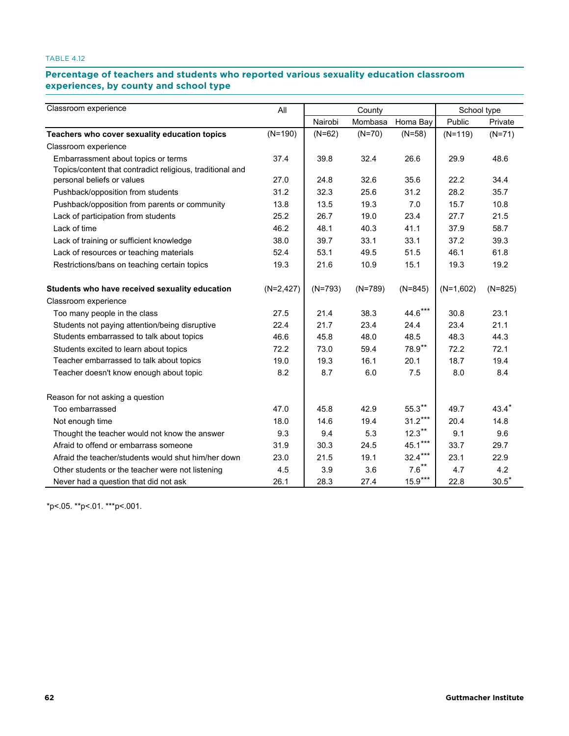# Percentage of teachers and students who reported various sexuality education classroom **experiences, by county and school type county and school type**

| Classroom experience                                      | All          |           | County    |           | School type |              |  |
|-----------------------------------------------------------|--------------|-----------|-----------|-----------|-------------|--------------|--|
|                                                           |              | Nairobi   | Mombasa   | Homa Bay  | Public      | Private      |  |
| Teachers who cover sexuality education topics             | $(N=190)$    | $(N=62)$  | $(N=70)$  | $(N=58)$  | $(N=119)$   | $(N=71)$     |  |
| Classroom experience                                      |              |           |           |           |             |              |  |
| Embarrassment about topics or terms                       | 37.4         | 39.8      | 32.4      | 26.6      | 29.9        | 48.6         |  |
| Topics/content that contradict religious, traditional and |              |           |           |           |             |              |  |
| personal beliefs or values                                | 27.0         | 24.8      | 32.6      | 35.6      | 22.2        | 34.4         |  |
| Pushback/opposition from students                         | 31.2         | 32.3      | 25.6      | 31.2      | 28.2        | 35.7         |  |
| Pushback/opposition from parents or community             | 13.8         | 13.5      | 19.3      | 7.0       | 15.7        | 10.8         |  |
| Lack of participation from students                       | 25.2         | 26.7      | 19.0      | 23.4      | 27.7        | 21.5         |  |
| Lack of time                                              | 46.2         | 48.1      | 40.3      | 41.1      | 37.9        | 58.7         |  |
| Lack of training or sufficient knowledge                  | 38.0         | 39.7      | 33.1      | 33.1      | 37.2        | 39.3         |  |
| Lack of resources or teaching materials                   | 52.4         | 53.1      | 49.5      | 51.5      | 46.1        | 61.8         |  |
| Restrictions/bans on teaching certain topics              | 19.3         | 21.6      | 10.9      | 15.1      | 19.3        | 19.2         |  |
| Students who have received sexuality education            | $(N=2, 427)$ | $(N=793)$ | $(N=789)$ | $(N=845)$ | $(N=1,602)$ | $(N=825)$    |  |
| Classroom experience                                      |              |           |           |           |             |              |  |
| Too many people in the class                              | 27.5         | 21.4      | 38.3      | $44.6***$ | 30.8        | 23.1         |  |
| Students not paying attention/being disruptive            | 22.4         | 21.7      | 23.4      | 24.4      | 23.4        | 21.1         |  |
| Students embarrassed to talk about topics                 | 46.6         | 45.8      | 48.0      | 48.5      | 48.3        | 44.3         |  |
| Students excited to learn about topics                    | 72.2         | 73.0      | 59.4      | 78.9**    | 72.2        | 72.1         |  |
| Teacher embarrassed to talk about topics                  | 19.0         | 19.3      | 16.1      | 20.1      | 18.7        | 19.4         |  |
| Teacher doesn't know enough about topic                   | 8.2          | 8.7       | 6.0       | 7.5       | 8.0         | 8.4          |  |
| Reason for not asking a question                          |              |           |           |           |             |              |  |
| Too embarrassed                                           | 47.0         | 45.8      | 42.9      | $55.3***$ | 49.7        | $43.4*$      |  |
| Not enough time                                           | 18.0         | 14.6      | 19.4      | $31.2***$ | 20.4        | 14.8         |  |
| Thought the teacher would not know the answer             | 9.3          | 9.4       | 5.3       | $12.3***$ | 9.1         | 9.6          |  |
| Afraid to offend or embarrass someone                     | 31.9         | 30.3      | 24.5      | $45.1***$ | 33.7        | 29.7         |  |
| Afraid the teacher/students would shut him/her down       | 23.0         | 21.5      | 19.1      | $32.4***$ | 23.1        | 22.9         |  |
| Other students or the teacher were not listening          | 4.5          | 3.9       | 3.6       | $7.6***$  | 4.7         | 4.2          |  |
| Never had a question that did not ask                     | 26.1         | 28.3      | 27.4      | $15.9***$ | 22.8        | $30.5^\star$ |  |

\*p<.05. \*\*p<.01. \*\*\*p<.001.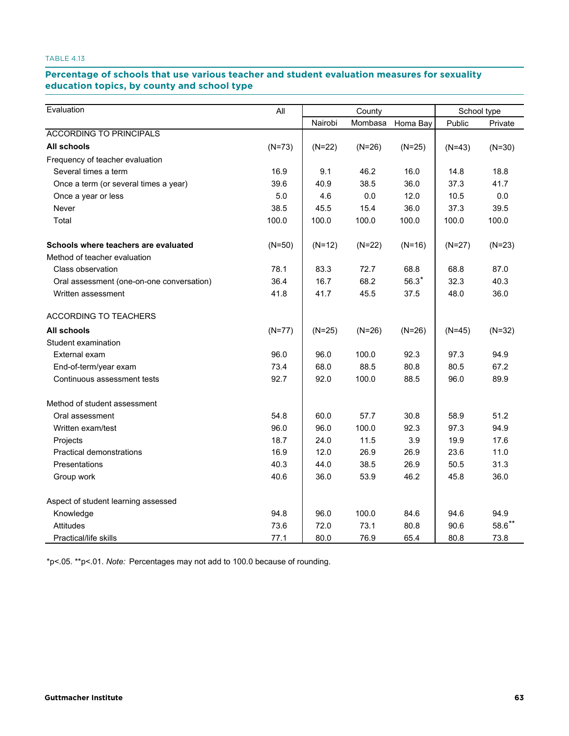# Percentage of schools that use various teacher and student evaluation measures for sexuality **education topics, by county and school type topics, by county and school type**

| Evaluation                                | All      | County   |          |          | School type |           |  |
|-------------------------------------------|----------|----------|----------|----------|-------------|-----------|--|
|                                           |          | Nairobi  | Mombasa  | Homa Bay | Public      | Private   |  |
| <b>ACCORDING TO PRINCIPALS</b>            |          |          |          |          |             |           |  |
| All schools                               | $(N=73)$ | $(N=22)$ | $(N=26)$ | $(N=25)$ | $(N=43)$    | $(N=30)$  |  |
| Frequency of teacher evaluation           |          |          |          |          |             |           |  |
| Several times a term                      | 16.9     | 9.1      | 46.2     | 16.0     | 14.8        | 18.8      |  |
| Once a term (or several times a year)     | 39.6     | 40.9     | 38.5     | 36.0     | 37.3        | 41.7      |  |
| Once a year or less                       | 5.0      | 4.6      | 0.0      | 12.0     | 10.5        | 0.0       |  |
| Never                                     | 38.5     | 45.5     | 15.4     | 36.0     | 37.3        | 39.5      |  |
| Total                                     | 100.0    | 100.0    | 100.0    | 100.0    | 100.0       | 100.0     |  |
| Schools where teachers are evaluated      | $(N=50)$ | $(N=12)$ | $(N=22)$ | $(N=16)$ | $(N=27)$    | $(N=23)$  |  |
| Method of teacher evaluation              |          |          |          |          |             |           |  |
| Class observation                         | 78.1     | 83.3     | 72.7     | 68.8     | 68.8        | 87.0      |  |
| Oral assessment (one-on-one conversation) | 36.4     | 16.7     | 68.2     | $56.3*$  | 32.3        | 40.3      |  |
| Written assessment                        | 41.8     | 41.7     | 45.5     | 37.5     | 48.0        | 36.0      |  |
| ACCORDING TO TEACHERS                     |          |          |          |          |             |           |  |
| <b>All schools</b>                        | $(N=77)$ | $(N=25)$ | $(N=26)$ | $(N=26)$ | $(N=45)$    | $(N=32)$  |  |
| Student examination                       |          |          |          |          |             |           |  |
| External exam                             | 96.0     | 96.0     | 100.0    | 92.3     | 97.3        | 94.9      |  |
| End-of-term/year exam                     | 73.4     | 68.0     | 88.5     | 80.8     | 80.5        | 67.2      |  |
| Continuous assessment tests               | 92.7     | 92.0     | 100.0    | 88.5     | 96.0        | 89.9      |  |
| Method of student assessment              |          |          |          |          |             |           |  |
| Oral assessment                           | 54.8     | 60.0     | 57.7     | 30.8     | 58.9        | 51.2      |  |
| Written exam/test                         | 96.0     | 96.0     | 100.0    | 92.3     | 97.3        | 94.9      |  |
| Projects                                  | 18.7     | 24.0     | 11.5     | 3.9      | 19.9        | 17.6      |  |
| <b>Practical demonstrations</b>           | 16.9     | 12.0     | 26.9     | 26.9     | 23.6        | 11.0      |  |
| Presentations                             | 40.3     | 44.0     | 38.5     | 26.9     | 50.5        | 31.3      |  |
| Group work                                | 40.6     | 36.0     | 53.9     | 46.2     | 45.8        | 36.0      |  |
| Aspect of student learning assessed       |          |          |          |          |             |           |  |
| Knowledge                                 | 94.8     | 96.0     | 100.0    | 84.6     | 94.6        | 94.9      |  |
| Attitudes                                 | 73.6     | 72.0     | 73.1     | 80.8     | 90.6        | $58.6$ ** |  |
| Practical/life skills                     | 77.1     | 80.0     | 76.9     | 65.4     | 80.8        | 73.8      |  |

\*p<.05. \*\*p<.01. *Note:* Percentages may not add to 100.0 because of rounding.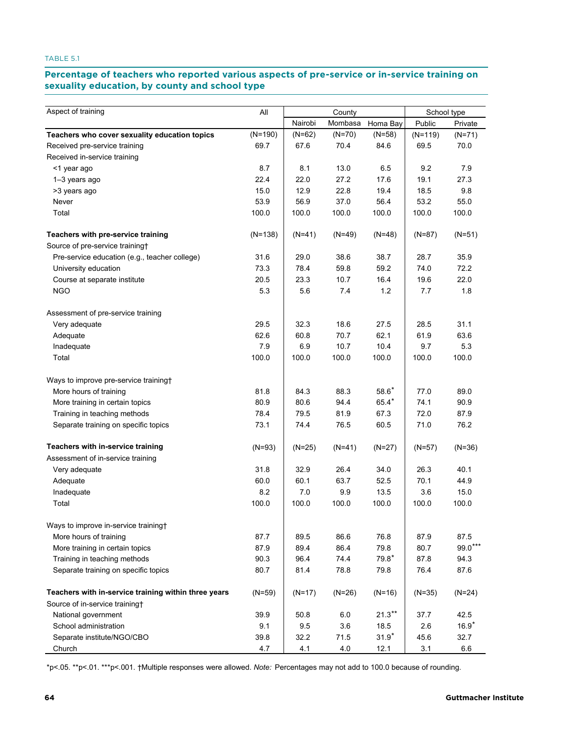# Percentage of teachers who reported various aspects of pre-service or in-service training on **sexuality education, by county and school type education, by county and school type**

| Aspect of training                                   | All       |          |          | County    |           | School type |
|------------------------------------------------------|-----------|----------|----------|-----------|-----------|-------------|
|                                                      |           | Nairobi  | Mombasa  | Homa Bay  | Public    | Private     |
| Teachers who cover sexuality education topics        | $(N=190)$ | $(N=62)$ | $(N=70)$ | $(N=58)$  | $(N=119)$ | $(N=71)$    |
| Received pre-service training                        | 69.7      | 67.6     | 70.4     | 84.6      | 69.5      | 70.0        |
| Received in-service training                         |           |          |          |           |           |             |
| <1 year ago                                          | 8.7       | 8.1      | 13.0     | 6.5       | 9.2       | 7.9         |
| 1-3 years ago                                        | 22.4      | 22.0     | 27.2     | 17.6      | 19.1      | 27.3        |
| >3 years ago                                         | 15.0      | 12.9     | 22.8     | 19.4      | 18.5      | 9.8         |
| Never                                                | 53.9      | 56.9     | 37.0     | 56.4      | 53.2      | 55.0        |
| Total                                                | 100.0     | 100.0    | 100.0    | 100.0     | 100.0     | 100.0       |
| Teachers with pre-service training                   | $(N=138)$ | $(N=41)$ | $(N=49)$ | $(N=48)$  | $(N=87)$  | $(N=51)$    |
| Source of pre-service training+                      |           |          |          |           |           |             |
| Pre-service education (e.g., teacher college)        | 31.6      | 29.0     | 38.6     | 38.7      | 28.7      | 35.9        |
| University education                                 | 73.3      | 78.4     | 59.8     | 59.2      | 74.0      | 72.2        |
| Course at separate institute                         | 20.5      | 23.3     | 10.7     | 16.4      | 19.6      | 22.0        |
| <b>NGO</b>                                           | 5.3       | 5.6      | 7.4      | 1.2       | 7.7       | 1.8         |
| Assessment of pre-service training                   |           |          |          |           |           |             |
| Very adequate                                        | 29.5      | 32.3     | 18.6     | 27.5      | 28.5      | 31.1        |
| Adequate                                             | 62.6      | 60.8     | 70.7     | 62.1      | 61.9      | 63.6        |
| Inadequate                                           | 7.9       | 6.9      | 10.7     | 10.4      | 9.7       | 5.3         |
| Total                                                | 100.0     | 100.0    | 100.0    | 100.0     | 100.0     | 100.0       |
| Ways to improve pre-service training+                |           |          |          |           |           |             |
| More hours of training                               | 81.8      | 84.3     | 88.3     | $58.6*$   | 77.0      | 89.0        |
| More training in certain topics                      | 80.9      | 80.6     | 94.4     | 65.4*     | 74.1      | 90.9        |
| Training in teaching methods                         | 78.4      | 79.5     | 81.9     | 67.3      | 72.0      | 87.9        |
| Separate training on specific topics                 | 73.1      | 74.4     | 76.5     | 60.5      | 71.0      | 76.2        |
| Teachers with in-service training                    | $(N=93)$  | $(N=25)$ | $(N=41)$ | $(N=27)$  | $(N=57)$  | $(N=36)$    |
| Assessment of in-service training                    |           |          |          |           |           |             |
| Very adequate                                        | 31.8      | 32.9     | 26.4     | 34.0      | 26.3      | 40.1        |
| Adequate                                             | 60.0      | 60.1     | 63.7     | 52.5      | 70.1      | 44.9        |
| Inadequate                                           | 8.2       | 7.0      | 9.9      | 13.5      | 3.6       | 15.0        |
| Total                                                | 100.0     | 100.0    | 100.0    | 100.0     | 100.0     | 100.0       |
| Ways to improve in-service training+                 |           |          |          |           |           |             |
| More hours of training                               | 87.7      | 89.5     | 86.6     | 76.8      | 87.9      | 87.5        |
| More training in certain topics                      | 87.9      | 89.4     | 86.4     | 79.8      | 80.7      | $99.0***$   |
| Training in teaching methods                         | 90.3      | 96.4     | 74.4     | $79.8*$   | 87.8      | 94.3        |
| Separate training on specific topics                 | 80.7      | 81.4     | 78.8     | 79.8      | 76.4      | 87.6        |
| Teachers with in-service training within three years | $(N=59)$  | $(N=17)$ | $(N=26)$ | $(N=16)$  | $(N=35)$  | $(N=24)$    |
| Source of in-service training†                       |           |          |          |           |           |             |
| National government                                  | 39.9      | 50.8     | $6.0\,$  | $21.3***$ | 37.7      | 42.5        |
| School administration                                | 9.1       | 9.5      | 3.6      | 18.5      | 2.6       | $16.9*$     |
| Separate institute/NGO/CBO                           | 39.8      | 32.2     | 71.5     | $31.9*$   | 45.6      | 32.7        |
| Church                                               | 4.7       | 4.1      | $4.0$    | 12.1      | 3.1       | $6.6\,$     |

\*p<.05. \*\*p<.01. \*\*\*p<.001. †Multiple responses were allowed. *Note:* Percentages may not add to 100.0 because of rounding.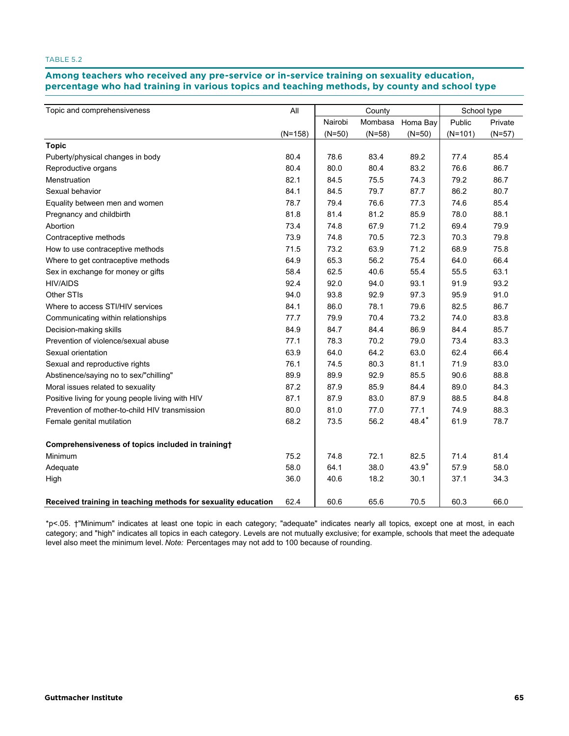Among teachers who received any pre-service or in-service training on sexuality education, **percentage who had training in various topics and teaching methods, by county and school type training in various topics and teaching methods, by county and school type**

| Topic and comprehensiveness                                   | All       | County   |          |          | School type |          |  |
|---------------------------------------------------------------|-----------|----------|----------|----------|-------------|----------|--|
|                                                               |           | Nairobi  | Mombasa  | Homa Bay | Public      | Private  |  |
|                                                               | $(N=158)$ | $(N=50)$ | $(N=58)$ | $(N=50)$ | $(N=101)$   | $(N=57)$ |  |
| <b>Topic</b>                                                  |           |          |          |          |             |          |  |
| Puberty/physical changes in body                              | 80.4      | 78.6     | 83.4     | 89.2     | 77.4        | 85.4     |  |
| Reproductive organs                                           | 80.4      | 80.0     | 80.4     | 83.2     | 76.6        | 86.7     |  |
| Menstruation                                                  | 82.1      | 84.5     | 75.5     | 74.3     | 79.2        | 86.7     |  |
| Sexual behavior                                               | 84.1      | 84.5     | 79.7     | 87.7     | 86.2        | 80.7     |  |
| Equality between men and women                                | 78.7      | 79.4     | 76.6     | 77.3     | 74.6        | 85.4     |  |
| Pregnancy and childbirth                                      | 81.8      | 81.4     | 81.2     | 85.9     | 78.0        | 88.1     |  |
| Abortion                                                      | 73.4      | 74.8     | 67.9     | 71.2     | 69.4        | 79.9     |  |
| Contraceptive methods                                         | 73.9      | 74.8     | 70.5     | 72.3     | 70.3        | 79.8     |  |
| How to use contraceptive methods                              | 71.5      | 73.2     | 63.9     | 71.2     | 68.9        | 75.8     |  |
| Where to get contraceptive methods                            | 64.9      | 65.3     | 56.2     | 75.4     | 64.0        | 66.4     |  |
| Sex in exchange for money or gifts                            | 58.4      | 62.5     | 40.6     | 55.4     | 55.5        | 63.1     |  |
| <b>HIV/AIDS</b>                                               | 92.4      | 92.0     | 94.0     | 93.1     | 91.9        | 93.2     |  |
| Other STIs                                                    | 94.0      | 93.8     | 92.9     | 97.3     | 95.9        | 91.0     |  |
| Where to access STI/HIV services                              | 84.1      | 86.0     | 78.1     | 79.6     | 82.5        | 86.7     |  |
| Communicating within relationships                            | 77.7      | 79.9     | 70.4     | 73.2     | 74.0        | 83.8     |  |
| Decision-making skills                                        | 84.9      | 84.7     | 84.4     | 86.9     | 84.4        | 85.7     |  |
| Prevention of violence/sexual abuse                           | 77.1      | 78.3     | 70.2     | 79.0     | 73.4        | 83.3     |  |
| Sexual orientation                                            | 63.9      | 64.0     | 64.2     | 63.0     | 62.4        | 66.4     |  |
| Sexual and reproductive rights                                | 76.1      | 74.5     | 80.3     | 81.1     | 71.9        | 83.0     |  |
| Abstinence/saying no to sex/"chilling"                        | 89.9      | 89.9     | 92.9     | 85.5     | 90.6        | 88.8     |  |
| Moral issues related to sexuality                             | 87.2      | 87.9     | 85.9     | 84.4     | 89.0        | 84.3     |  |
| Positive living for young people living with HIV              | 87.1      | 87.9     | 83.0     | 87.9     | 88.5        | 84.8     |  |
| Prevention of mother-to-child HIV transmission                | 80.0      | 81.0     | 77.0     | 77.1     | 74.9        | 88.3     |  |
| Female genital mutilation                                     | 68.2      | 73.5     | 56.2     | $48.4*$  | 61.9        | 78.7     |  |
| Comprehensiveness of topics included in training†             |           |          |          |          |             |          |  |
| Minimum                                                       | 75.2      | 74.8     | 72.1     | 82.5     | 71.4        | 81.4     |  |
| Adequate                                                      | 58.0      | 64.1     | 38.0     | 43.9*    | 57.9        | 58.0     |  |
| High                                                          | 36.0      | 40.6     | 18.2     | 30.1     | 37.1        | 34.3     |  |
| Received training in teaching methods for sexuality education | 62.4      | 60.6     | 65.6     | 70.5     | 60.3        | 66.0     |  |

\*p<.05. †"Minimum" indicates at least one topic in each category; "adequate" indicates nearly all topics, except one at most, in each category; and "high" indicates all topics in each category. Levels are not mutually exclusive; for example, schools that meet the adequate level also meet the minimum level. *Note:* Percentages may not add to 100 because of rounding.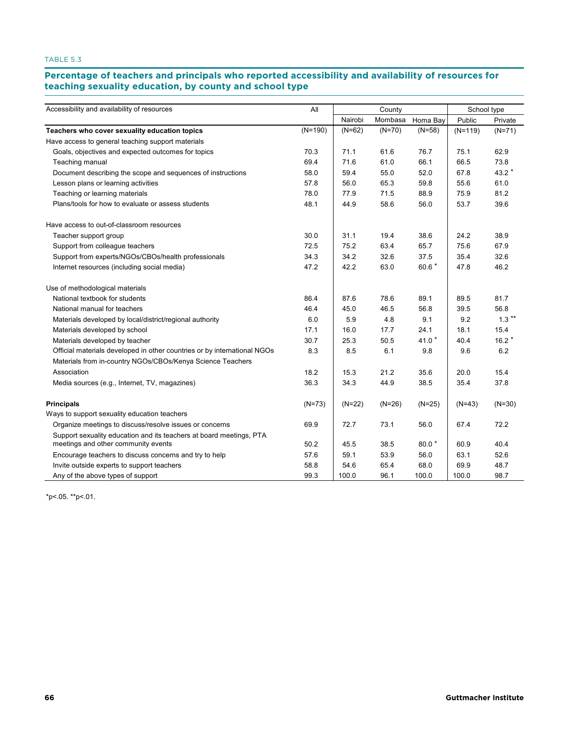# Percentage of teachers and principals who reported accessibility and availability of resources for<br>. **teaching sexuality education, by county and school type county and school type**

| Accessibility and availability of resources                                                                | All       |          | County   | School type |           |          |
|------------------------------------------------------------------------------------------------------------|-----------|----------|----------|-------------|-----------|----------|
|                                                                                                            |           | Nairobi  | Mombasa  | Homa Bay    | Public    | Private  |
| Teachers who cover sexuality education topics                                                              | $(N=190)$ | $(N=62)$ | $(N=70)$ | $(N=58)$    | $(N=119)$ | $(N=71)$ |
| Have access to general teaching support materials                                                          |           |          |          |             |           |          |
| Goals, objectives and expected outcomes for topics                                                         | 70.3      | 71.1     | 61.6     | 76.7        | 75.1      | 62.9     |
| Teaching manual                                                                                            | 69.4      | 71.6     | 61.0     | 66.1        | 66.5      | 73.8     |
| Document describing the scope and sequences of instructions                                                | 58.0      | 59.4     | 55.0     | 52.0        | 67.8      | 43.2 *   |
| Lesson plans or learning activities                                                                        | 57.8      | 56.0     | 65.3     | 59.8        | 55.6      | 61.0     |
| Teaching or learning materials                                                                             | 78.0      | 77.9     | 71.5     | 88.9        | 75.9      | 81.2     |
| Plans/tools for how to evaluate or assess students                                                         | 48.1      | 44.9     | 58.6     | 56.0        | 53.7      | 39.6     |
| Have access to out-of-classroom resources                                                                  |           |          |          |             |           |          |
| Teacher support group                                                                                      | 30.0      | 31.1     | 19.4     | 38.6        | 24.2      | 38.9     |
| Support from colleague teachers                                                                            | 72.5      | 75.2     | 63.4     | 65.7        | 75.6      | 67.9     |
| Support from experts/NGOs/CBOs/health professionals                                                        | 34.3      | 34.2     | 32.6     | 37.5        | 35.4      | 32.6     |
| Internet resources (including social media)                                                                | 47.2      | 42.2     | 63.0     | 60.6 *      | 47.8      | 46.2     |
| Use of methodological materials                                                                            |           |          |          |             |           |          |
| National textbook for students                                                                             | 86.4      | 87.6     | 78.6     | 89.1        | 89.5      | 81.7     |
| National manual for teachers                                                                               | 46.4      | 45.0     | 46.5     | 56.8        | 39.5      | 56.8     |
| Materials developed by local/district/regional authority                                                   | 6.0       | 5.9      | 4.8      | 9.1         | 9.2       | $1.3***$ |
| Materials developed by school                                                                              | 17.1      | 16.0     | 17.7     | 24.1        | 18.1      | 15.4     |
| Materials developed by teacher                                                                             | 30.7      | 25.3     | 50.5     | 41.0 $*$    | 40.4      | $16.2*$  |
| Official materials developed in other countries or by international NGOs                                   | 8.3       | 8.5      | 6.1      | 9.8         | 9.6       | 6.2      |
| Materials from in-country NGOs/CBOs/Kenya Science Teachers                                                 |           |          |          |             |           |          |
| Association                                                                                                | 18.2      | 15.3     | 21.2     | 35.6        | 20.0      | 15.4     |
| Media sources (e.g., Internet, TV, magazines)                                                              | 36.3      | 34.3     | 44.9     | 38.5        | 35.4      | 37.8     |
| <b>Principals</b>                                                                                          | $(N=73)$  | $(N=22)$ | $(N=26)$ | $(N=25)$    | $(N=43)$  | $(N=30)$ |
| Ways to support sexuality education teachers                                                               |           |          |          |             |           |          |
| Organize meetings to discuss/resolve issues or concerns                                                    | 69.9      | 72.7     | 73.1     | 56.0        | 67.4      | 72.2     |
| Support sexuality education and its teachers at board meetings, PTA<br>meetings and other community events | 50.2      | 45.5     | 38.5     | $80.0*$     | 60.9      | 40.4     |
| Encourage teachers to discuss concerns and try to help                                                     | 57.6      | 59.1     | 53.9     | 56.0        | 63.1      | 52.6     |
| Invite outside experts to support teachers                                                                 | 58.8      | 54.6     | 65.4     | 68.0        | 69.9      | 48.7     |
| Any of the above types of support                                                                          | 99.3      | 100.0    | 96.1     | 100.0       | 100.0     | 98.7     |
|                                                                                                            |           |          |          |             |           |          |

\*p<.05. \*\*p<.01.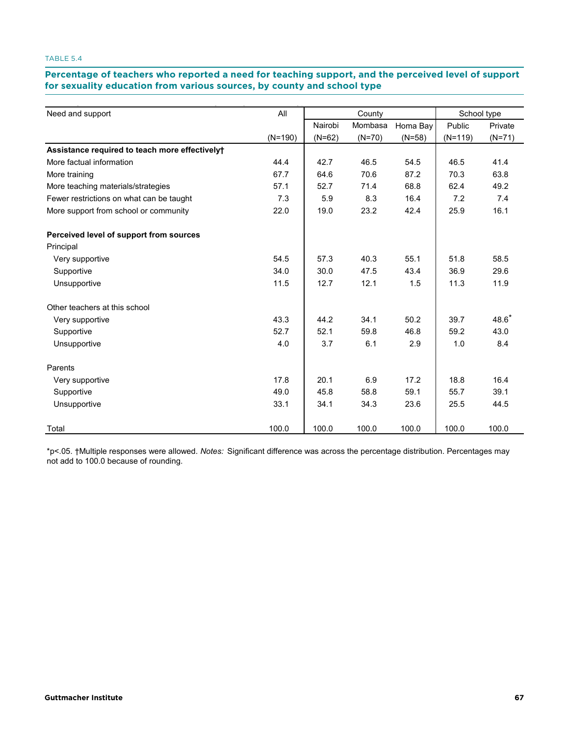# **Percentage of teachers who reported a need for teaching support, and the perceived level of support**  for sexuality education from various sources, by county and school type **the percentage of the percentage of teach**<br>————————————————————

| Need and support                               | All       |          | County   |          |           | School type |
|------------------------------------------------|-----------|----------|----------|----------|-----------|-------------|
|                                                |           | Nairobi  | Mombasa  | Homa Bay | Public    | Private     |
|                                                | $(N=190)$ | $(N=62)$ | $(N=70)$ | $(N=58)$ | $(N=119)$ | $(N=71)$    |
| Assistance required to teach more effectively+ |           |          |          |          |           |             |
| More factual information                       | 44.4      | 42.7     | 46.5     | 54.5     | 46.5      | 41.4        |
| More training                                  | 67.7      | 64.6     | 70.6     | 87.2     | 70.3      | 63.8        |
| More teaching materials/strategies             | 57.1      | 52.7     | 71.4     | 68.8     | 62.4      | 49.2        |
| Fewer restrictions on what can be taught       | 7.3       | 5.9      | 8.3      | 16.4     | 7.2       | 7.4         |
| More support from school or community          | 22.0      | 19.0     | 23.2     | 42.4     | 25.9      | 16.1        |
| Perceived level of support from sources        |           |          |          |          |           |             |
| Principal                                      |           |          |          |          |           |             |
| Very supportive                                | 54.5      | 57.3     | 40.3     | 55.1     | 51.8      | 58.5        |
| Supportive                                     | 34.0      | 30.0     | 47.5     | 43.4     | 36.9      | 29.6        |
| Unsupportive                                   | 11.5      | 12.7     | 12.1     | 1.5      | 11.3      | 11.9        |
| Other teachers at this school                  |           |          |          |          |           |             |
| Very supportive                                | 43.3      | 44.2     | 34.1     | 50.2     | 39.7      | $48.6*$     |
| Supportive                                     | 52.7      | 52.1     | 59.8     | 46.8     | 59.2      | 43.0        |
| Unsupportive                                   | 4.0       | 3.7      | 6.1      | 2.9      | 1.0       | 8.4         |
| Parents                                        |           |          |          |          |           |             |
| Very supportive                                | 17.8      | 20.1     | 6.9      | 17.2     | 18.8      | 16.4        |
| Supportive                                     | 49.0      | 45.8     | 58.8     | 59.1     | 55.7      | 39.1        |
| Unsupportive                                   | 33.1      | 34.1     | 34.3     | 23.6     | 25.5      | 44.5        |
| Total                                          | 100.0     | 100.0    | 100.0    | 100.0    | 100.0     | 100.0       |

\*p<.05. †Multiple responses were allowed. *Notes:* Significant difference was across the percentage distribution. Percentages may not add to 100.0 because of rounding.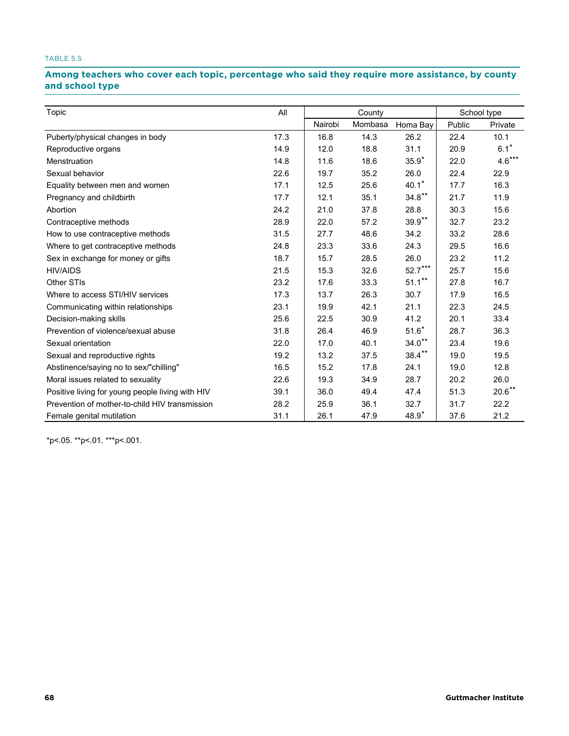# Among teachers who cover each topic, percentage who said they require more assistance, by county **and school type school type**

| Topic                                            | All  |         | County  |           |        | School type        |
|--------------------------------------------------|------|---------|---------|-----------|--------|--------------------|
|                                                  |      | Nairobi | Mombasa | Homa Bay  | Public | Private            |
| Puberty/physical changes in body                 | 17.3 | 16.8    | 14.3    | 26.2      | 22.4   | 10.1               |
| Reproductive organs                              | 14.9 | 12.0    | 18.8    | 31.1      | 20.9   | $6.1$ <sup>*</sup> |
| Menstruation                                     | 14.8 | 11.6    | 18.6    | $35.9*$   | 22.0   | $4.6***$           |
| Sexual behavior                                  | 22.6 | 19.7    | 35.2    | 26.0      | 22.4   | 22.9               |
| Equality between men and women                   | 17.1 | 12.5    | 25.6    | $40.1*$   | 17.7   | 16.3               |
| Pregnancy and childbirth                         | 17.7 | 12.1    | 35.1    | $34.8**$  | 21.7   | 11.9               |
| Abortion                                         | 24.2 | 21.0    | 37.8    | 28.8      | 30.3   | 15.6               |
| Contraceptive methods                            | 28.9 | 22.0    | 57.2    | $39.9**$  | 32.7   | 23.2               |
| How to use contraceptive methods                 | 31.5 | 27.7    | 48.6    | 34.2      | 33.2   | 28.6               |
| Where to get contraceptive methods               | 24.8 | 23.3    | 33.6    | 24.3      | 29.5   | 16.6               |
| Sex in exchange for money or gifts               | 18.7 | 15.7    | 28.5    | 26.0      | 23.2   | 11.2               |
| <b>HIV/AIDS</b>                                  | 21.5 | 15.3    | 32.6    | $52.7***$ | 25.7   | 15.6               |
| Other STIs                                       | 23.2 | 17.6    | 33.3    | $51.1***$ | 27.8   | 16.7               |
| Where to access STI/HIV services                 | 17.3 | 13.7    | 26.3    | 30.7      | 17.9   | 16.5               |
| Communicating within relationships               | 23.1 | 19.9    | 42.1    | 21.1      | 22.3   | 24.5               |
| Decision-making skills                           | 25.6 | 22.5    | 30.9    | 41.2      | 20.1   | 33.4               |
| Prevention of violence/sexual abuse              | 31.8 | 26.4    | 46.9    | $51.6*$   | 28.7   | 36.3               |
| Sexual orientation                               | 22.0 | 17.0    | 40.1    | $34.0**$  | 23.4   | 19.6               |
| Sexual and reproductive rights                   | 19.2 | 13.2    | 37.5    | $38.4***$ | 19.0   | 19.5               |
| Abstinence/saying no to sex/"chilling"           | 16.5 | 15.2    | 17.8    | 24.1      | 19.0   | 12.8               |
| Moral issues related to sexuality                | 22.6 | 19.3    | 34.9    | 28.7      | 20.2   | 26.0               |
| Positive living for young people living with HIV | 39.1 | 36.0    | 49.4    | 47.4      | 51.3   | $20.6**$           |
| Prevention of mother-to-child HIV transmission   | 28.2 | 25.9    | 36.1    | 32.7      | 31.7   | 22.2               |
| Female genital mutilation                        | 31.1 | 26.1    | 47.9    | $48.9*$   | 37.6   | 21.2               |

\*p<.05. \*\*p<.01. \*\*\*p<.001.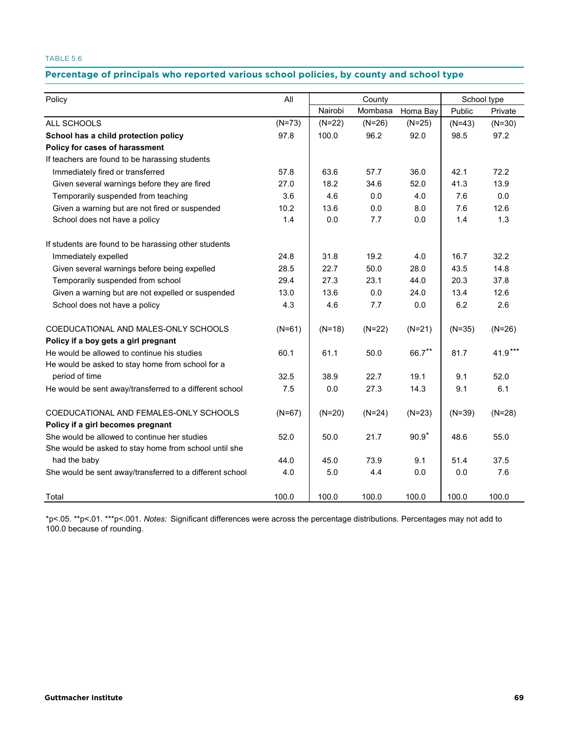# Percentage of principals who reported various school policies, by county and school type

| Policy                                                   | All      | County   |          |          | School type |           |  |
|----------------------------------------------------------|----------|----------|----------|----------|-------------|-----------|--|
|                                                          |          | Nairobi  | Mombasa  | Homa Bay | Public      | Private   |  |
| ALL SCHOOLS                                              | $(N=73)$ | $(N=22)$ | $(N=26)$ | $(N=25)$ | $(N=43)$    | $(N=30)$  |  |
| School has a child protection policy                     | 97.8     | 100.0    | 96.2     | 92.0     | 98.5        | 97.2      |  |
| Policy for cases of harassment                           |          |          |          |          |             |           |  |
| If teachers are found to be harassing students           |          |          |          |          |             |           |  |
| Immediately fired or transferred                         | 57.8     | 63.6     | 57.7     | 36.0     | 42.1        | 72.2      |  |
| Given several warnings before they are fired             | 27.0     | 18.2     | 34.6     | 52.0     | 41.3        | 13.9      |  |
| Temporarily suspended from teaching                      | 3.6      | 4.6      | 0.0      | 4.0      | 7.6         | 0.0       |  |
| Given a warning but are not fired or suspended           | 10.2     | 13.6     | 0.0      | 8.0      | 7.6         | 12.6      |  |
| School does not have a policy                            | 1.4      | 0.0      | 7.7      | 0.0      | 1.4         | 1.3       |  |
| If students are found to be harassing other students     |          |          |          |          |             |           |  |
| Immediately expelled                                     | 24.8     | 31.8     | 19.2     | 4.0      | 16.7        | 32.2      |  |
| Given several warnings before being expelled             | 28.5     | 22.7     | 50.0     | 28.0     | 43.5        | 14.8      |  |
| Temporarily suspended from school                        | 29.4     | 27.3     | 23.1     | 44.0     | 20.3        | 37.8      |  |
| Given a warning but are not expelled or suspended        | 13.0     | 13.6     | 0.0      | 24.0     | 13.4        | 12.6      |  |
| School does not have a policy                            | 4.3      | 4.6      | 7.7      | 0.0      | 6.2         | 2.6       |  |
| COEDUCATIONAL AND MALES-ONLY SCHOOLS                     | $(N=61)$ | $(N=18)$ | $(N=22)$ | $(N=21)$ | $(N=35)$    | $(N=26)$  |  |
| Policy if a boy gets a girl pregnant                     |          |          |          |          |             |           |  |
| He would be allowed to continue his studies              | 60.1     | 61.1     | 50.0     | 66.7**   | 81.7        | $41.9***$ |  |
| He would be asked to stay home from school for a         |          |          |          |          |             |           |  |
| period of time                                           | 32.5     | 38.9     | 22.7     | 19.1     | 9.1         | 52.0      |  |
| He would be sent away/transferred to a different school  | 7.5      | 0.0      | 27.3     | 14.3     | 9.1         | 6.1       |  |
| COEDUCATIONAL AND FEMALES-ONLY SCHOOLS                   | $(N=67)$ | $(N=20)$ | $(N=24)$ | $(N=23)$ | $(N=39)$    | $(N=28)$  |  |
| Policy if a girl becomes pregnant                        |          |          |          |          |             |           |  |
| She would be allowed to continue her studies             | 52.0     | 50.0     | 21.7     | $90.9*$  | 48.6        | 55.0      |  |
| She would be asked to stay home from school until she    |          |          |          |          |             |           |  |
| had the baby                                             | 44.0     | 45.0     | 73.9     | 9.1      | 51.4        | 37.5      |  |
| She would be sent away/transferred to a different school | 4.0      | 5.0      | 4.4      | 0.0      | 0.0         | 7.6       |  |
| Total                                                    | 100.0    | 100.0    | 100.0    | 100.0    | 100.0       | 100.0     |  |

\*p<.05. \*\*p<.01. \*\*\*p<.001. *Notes:* Significant differences were across the percentage distributions. Percentages may not add to 100.0 because of rounding.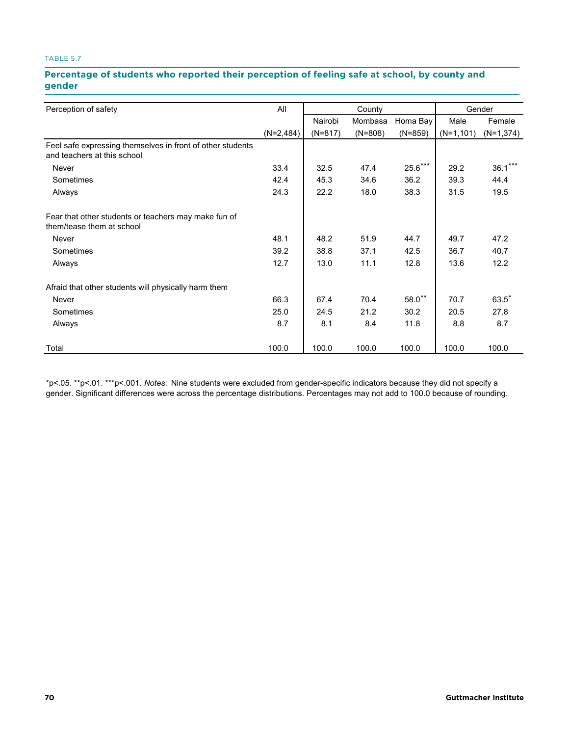#### **Percentage of students who reported their perception of feeling safe at school, by county and gender**  $\bf 5.7.$  Percentage of students who reported their perception of feeling safe at school, by county and school type

|                                                                                           | All         |           |           | Gender    |              |             |
|-------------------------------------------------------------------------------------------|-------------|-----------|-----------|-----------|--------------|-------------|
| Perception of safety                                                                      |             |           | County    |           |              |             |
|                                                                                           |             | Nairobi   | Mombasa   | Homa Bay  | Male         | Female      |
|                                                                                           | $(N=2,484)$ | $(N=817)$ | $(N=808)$ | $(N=859)$ | $(N=1, 101)$ | $(N=1,374)$ |
| Feel safe expressing themselves in front of other students<br>and teachers at this school |             |           |           |           |              |             |
| <b>Never</b>                                                                              | 33.4        | 32.5      | 47.4      | $25.6***$ | 29.2         | $36.1***$   |
| Sometimes                                                                                 | 42.4        | 45.3      | 34.6      | 36.2      | 39.3         | 44.4        |
| Always                                                                                    | 24.3        | 22.2      | 18.0      | 38.3      | 31.5         | 19.5        |
| Fear that other students or teachers may make fun of<br>them/tease them at school         |             |           |           |           |              |             |
| Never                                                                                     | 48.1        | 48.2      | 51.9      | 44.7      | 49.7         | 47.2        |
| Sometimes                                                                                 | 39.2        | 38.8      | 37.1      | 42.5      | 36.7         | 40.7        |
| Always                                                                                    | 12.7        | 13.0      | 11.1      | 12.8      | 13.6         | 12.2        |
| Afraid that other students will physically harm them                                      |             |           |           |           |              |             |
| Never                                                                                     | 66.3        | 67.4      | 70.4      | $58.0**$  | 70.7         | $63.5*$     |
| Sometimes                                                                                 | 25.0        | 24.5      | 21.2      | 30.2      | 20.5         | 27.8        |
| Always                                                                                    | 8.7         | 8.1       | 8.4       | 11.8      | 8.8          | 8.7         |
| Total                                                                                     | 100.0       | 100.0     | 100.0     | 100.0     | 100.0        | 100.0       |

\*p<.05. \*\*p<.01. \*\*\*p<.001. *Notes:* Nine students were excluded from gender-specific indicators because they did not specify a gender. Significant differences were across the percentage distributions. Percentages may not add to 100.0 because of rounding.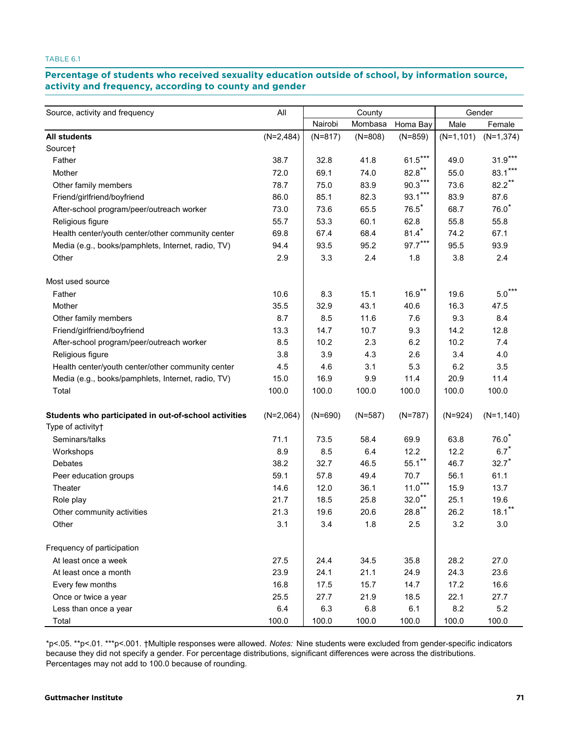#### TABLE 6.1

# Percentage of students who received sexuality education outside of school, by information source, **activity and frequency, according to county and gender frequency, according to county and gender**

|                                                       |             |           |                   |                      | Gender       |              |
|-------------------------------------------------------|-------------|-----------|-------------------|----------------------|--------------|--------------|
| Source, activity and frequency                        | All         | Nairobi   | County<br>Mombasa | Homa Bay             | Male         | Female       |
| <b>All students</b>                                   | $(N=2,484)$ | $(N=817)$ | $(N=808)$         | $(N=859)$            | $(N=1, 101)$ | $(N=1,374)$  |
| Source†                                               |             |           |                   |                      |              |              |
| Father                                                | 38.7        | 32.8      | 41.8              | $61.5***$            | 49.0         | $31.9***$    |
| Mother                                                | 72.0        | 69.1      | 74.0              | $82.8***$            | 55.0         | 83.1         |
| Other family members                                  | 78.7        | 75.0      | 83.9              | $90.3***$            | 73.6         | $82.2$ **    |
| Friend/girlfriend/boyfriend                           | 86.0        | 85.1      | 82.3              | $93.1***$            | 83.9         | 87.6         |
| After-school program/peer/outreach worker             | 73.0        | 73.6      | 65.5              | $76.5*$              | 68.7         | $76.0*$      |
| Religious figure                                      | 55.7        | 53.3      | 60.1              | 62.8                 | 55.8         | 55.8         |
| Health center/youth center/other community center     | 69.8        | 67.4      | 68.4              | $81.4*$              | 74.2         | 67.1         |
| Media (e.g., books/pamphlets, Internet, radio, TV)    | 94.4        | 93.5      | 95.2              | $97.7***$            | 95.5         | 93.9         |
| Other                                                 | 2.9         | 3.3       | 2.4               | 1.8                  | 3.8          | 2.4          |
| Most used source                                      |             |           |                   |                      |              |              |
| Father                                                | 10.6        | 8.3       | 15.1              | $16.9***$            | 19.6         | $5.0***$     |
| Mother                                                | 35.5        | 32.9      | 43.1              | 40.6                 | 16.3         | 47.5         |
| Other family members                                  | 8.7         | 8.5       | 11.6              | 7.6                  | 9.3          | 8.4          |
| Friend/girlfriend/boyfriend                           | 13.3        | 14.7      | 10.7              | 9.3                  | 14.2         | 12.8         |
| After-school program/peer/outreach worker             | 8.5         | 10.2      | 2.3               | 6.2                  | 10.2         | 7.4          |
| Religious figure                                      | 3.8         | 3.9       | 4.3               | 2.6                  | 3.4          | 4.0          |
| Health center/youth center/other community center     | 4.5         | 4.6       | 3.1               | 5.3                  | 6.2          | 3.5          |
| Media (e.g., books/pamphlets, Internet, radio, TV)    | 15.0        | 16.9      | 9.9               | 11.4                 | 20.9         | 11.4         |
| Total                                                 | 100.0       | 100.0     | 100.0             | 100.0                | 100.0        | 100.0        |
| Students who participated in out-of-school activities | $(N=2,064)$ | $(N=690)$ | $(N=587)$         | $(N=787)$            | $(N=924)$    | $(N=1, 140)$ |
| Type of activity+                                     |             |           |                   |                      |              |              |
| Seminars/talks                                        | 71.1        | 73.5      | 58.4              | 69.9                 | 63.8         | $76.0*$      |
| Workshops                                             | 8.9         | 8.5       | 6.4               | 12.2                 | 12.2         | 6.7          |
| Debates                                               | 38.2        | 32.7      | 46.5              | $55.1$ **            | 46.7         | $32.7*$      |
| Peer education groups                                 | 59.1        | 57.8      | 49.4              | 70.7                 | 56.1         | 61.1         |
| Theater                                               | 14.6        | 12.0      | 36.1              | $11.0***$            | 15.9         | 13.7         |
| Role play                                             | 21.7        | 18.5      | 25.8              | $32.0$ **            | 25.1         | 19.6         |
| Other community activities                            | 21.3        | 19.6      | 20.6              | $28.8$ <sup>**</sup> | 26.2         | $18.1***$    |
| Other                                                 | 3.1         | 3.4       | 1.8               | 2.5                  | 3.2          | 3.0          |
| Frequency of participation                            |             |           |                   |                      |              |              |
| At least once a week                                  | 27.5        | 24.4      | 34.5              | 35.8                 | 28.2         | 27.0         |
| At least once a month                                 | 23.9        | 24.1      | 21.1              | 24.9                 | 24.3         | 23.6         |
| Every few months                                      | 16.8        | 17.5      | 15.7              | 14.7                 | 17.2         | 16.6         |
| Once or twice a year                                  | 25.5        | 27.7      | 21.9              | 18.5                 | 22.1         | 27.7         |
| Less than once a year                                 | $6.4\,$     | 6.3       | 6.8               | 6.1                  | 8.2          | 5.2          |
| Total                                                 | 100.0       | 100.0     | 100.0             | 100.0                | 100.0        | 100.0        |

\*p<.05. \*\*p<.01. \*\*\*p<.001. †Multiple responses were allowed. *Notes:* Nine students were excluded from gender-specific indicators because they did not specify a gender. For percentage distributions, significant differences were across the distributions. Percentages may not add to 100.0 because of rounding.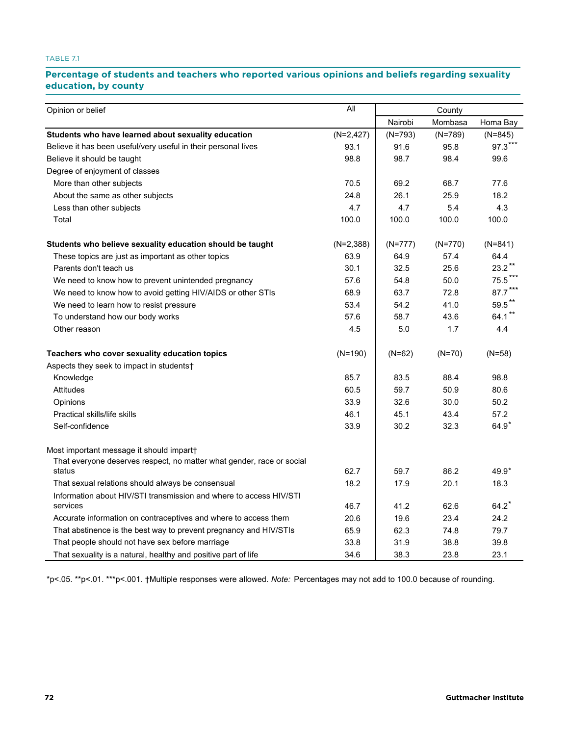TABLE 7.1

# Percentage of students and teachers who reported various opinions and beliefs regarding sexuality **education, by county by county**

| Opinion or belief                                                     | All          |           | County    |           |  |
|-----------------------------------------------------------------------|--------------|-----------|-----------|-----------|--|
|                                                                       |              | Nairobi   | Mombasa   | Homa Bay  |  |
| Students who have learned about sexuality education                   | $(N=2, 427)$ | $(N=793)$ | $(N=789)$ | $(N=845)$ |  |
| Believe it has been useful/very useful in their personal lives        | 93.1         | 91.6      | 95.8      | $97.3***$ |  |
| Believe it should be taught                                           | 98.8         | 98.7      | 98.4      | 99.6      |  |
| Degree of enjoyment of classes                                        |              |           |           |           |  |
| More than other subjects                                              | 70.5         | 69.2      | 68.7      | 77.6      |  |
| About the same as other subjects                                      | 24.8         | 26.1      | 25.9      | 18.2      |  |
| Less than other subjects                                              | 4.7          | 4.7       | 5.4       | 4.3       |  |
| Total                                                                 | 100.0        | 100.0     | 100.0     | 100.0     |  |
| Students who believe sexuality education should be taught             | $(N=2,388)$  | $(N=777)$ | $(N=770)$ | $(N=841)$ |  |
| These topics are just as important as other topics                    | 63.9         | 64.9      | 57.4      | 64.4      |  |
| Parents don't teach us                                                | 30.1         | 32.5      | 25.6      | $23.2***$ |  |
| We need to know how to prevent unintended pregnancy                   | 57.6         | 54.8      | 50.0      | 75.5***   |  |
| We need to know how to avoid getting HIV/AIDS or other STIs           | 68.9         | 63.7      | 72.8      | $87.7***$ |  |
| We need to learn how to resist pressure                               | 53.4         | 54.2      | 41.0      | $59.5***$ |  |
| To understand how our body works                                      | 57.6         | 58.7      | 43.6      | 64.1**    |  |
| Other reason                                                          | 4.5          | 5.0       | 1.7       | 4.4       |  |
| Teachers who cover sexuality education topics                         | $(N=190)$    | $(N=62)$  | $(N=70)$  | $(N=58)$  |  |
| Aspects they seek to impact in students†                              |              |           |           |           |  |
| Knowledge                                                             | 85.7         | 83.5      | 88.4      | 98.8      |  |
| <b>Attitudes</b>                                                      | 60.5         | 59.7      | 50.9      | 80.6      |  |
| Opinions                                                              | 33.9         | 32.6      | 30.0      | 50.2      |  |
| Practical skills/life skills                                          | 46.1         | 45.1      | 43.4      | 57.2      |  |
| Self-confidence                                                       | 33.9         | 30.2      | 32.3      | $64.9*$   |  |
| Most important message it should impart                               |              |           |           |           |  |
| That everyone deserves respect, no matter what gender, race or social |              |           |           |           |  |
| status                                                                | 62.7         | 59.7      | 86.2      | $49.9*$   |  |
| That sexual relations should always be consensual                     | 18.2         | 17.9      | 20.1      | 18.3      |  |
| Information about HIV/STI transmission and where to access HIV/STI    |              |           |           |           |  |
| services                                                              | 46.7         | 41.2      | 62.6      | 64.2      |  |
| Accurate information on contraceptives and where to access them       | 20.6         | 19.6      | 23.4      | 24.2      |  |
| That abstinence is the best way to prevent pregnancy and HIV/STIs     | 65.9         | 62.3      | 74.8      | 79.7      |  |
| That people should not have sex before marriage                       | 33.8         | 31.9      | 38.8      | 39.8      |  |
| That sexuality is a natural, healthy and positive part of life        | 34.6         | 38.3      | 23.8      | 23.1      |  |

\*p<.05. \*\*p<.01. \*\*\*p<.001. †Multiple responses were allowed. *Note:* Percentages may not add to 100.0 because of rounding.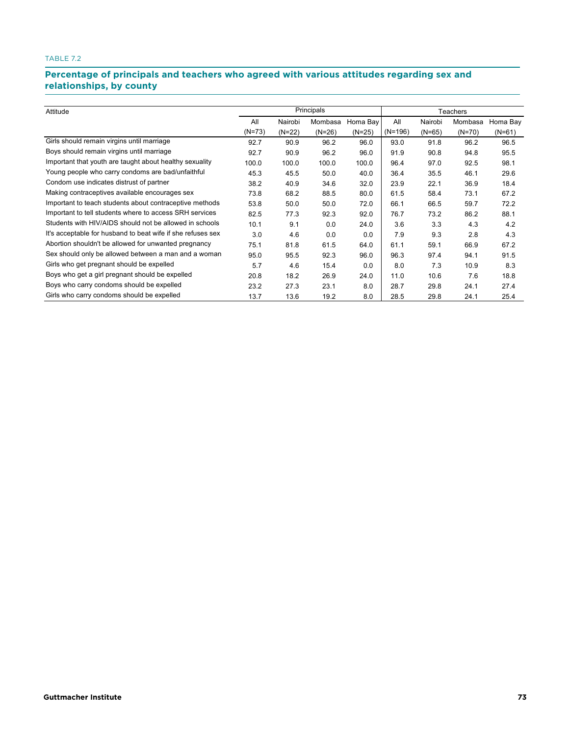## TABLE 7.2

## **Percentage of principals and teachers who agreed with various attitudes regarding sex and relationships, by county TABLE 7.2. Percentage of principals and teachers who agreed with various attitudes regarding sex and relationships, by county**

| Attitude                                                    | Principals |          |          |          | Teachers  |          |          |          |
|-------------------------------------------------------------|------------|----------|----------|----------|-----------|----------|----------|----------|
|                                                             | All        | Nairobi  | Mombasa  | Homa Bay | All       | Nairobi  | Mombasa  | Homa Bay |
|                                                             | $(N=73)$   | $(N=22)$ | $(N=26)$ | $(N=25)$ | $(N=196)$ | $(N=65)$ | $(N=70)$ | $(N=61)$ |
| Girls should remain virgins until marriage                  | 92.7       | 90.9     | 96.2     | 96.0     | 93.0      | 91.8     | 96.2     | 96.5     |
| Boys should remain virgins until marriage                   | 92.7       | 90.9     | 96.2     | 96.0     | 91.9      | 90.8     | 94.8     | 95.5     |
| Important that youth are taught about healthy sexuality     | 100.0      | 100.0    | 100.0    | 100.0    | 96.4      | 97.0     | 92.5     | 98.1     |
| Young people who carry condoms are bad/unfaithful           | 45.3       | 45.5     | 50.0     | 40.0     | 36.4      | 35.5     | 46.1     | 29.6     |
| Condom use indicates distrust of partner                    | 38.2       | 40.9     | 34.6     | 32.0     | 23.9      | 22.1     | 36.9     | 18.4     |
| Making contraceptives available encourages sex              | 73.8       | 68.2     | 88.5     | 80.0     | 61.5      | 58.4     | 73.1     | 67.2     |
| Important to teach students about contraceptive methods     | 53.8       | 50.0     | 50.0     | 72.0     | 66.1      | 66.5     | 59.7     | 72.2     |
| Important to tell students where to access SRH services     | 82.5       | 77.3     | 92.3     | 92.0     | 76.7      | 73.2     | 86.2     | 88.1     |
| Students with HIV/AIDS should not be allowed in schools     | 10.1       | 9.1      | 0.0      | 24.0     | 3.6       | 3.3      | 4.3      | 4.2      |
| It's acceptable for husband to beat wife if she refuses sex | 3.0        | 4.6      | 0.0      | 0.0      | 7.9       | 9.3      | 2.8      | 4.3      |
| Abortion shouldn't be allowed for unwanted pregnancy        | 75.1       | 81.8     | 61.5     | 64.0     | 61.1      | 59.1     | 66.9     | 67.2     |
| Sex should only be allowed between a man and a woman        | 95.0       | 95.5     | 92.3     | 96.0     | 96.3      | 97.4     | 94.1     | 91.5     |
| Girls who get pregnant should be expelled                   | 5.7        | 4.6      | 15.4     | 0.0      | 8.0       | 7.3      | 10.9     | 8.3      |
| Boys who get a girl pregnant should be expelled             | 20.8       | 18.2     | 26.9     | 24.0     | 11.0      | 10.6     | 7.6      | 18.8     |
| Boys who carry condoms should be expelled                   | 23.2       | 27.3     | 23.1     | 8.0      | 28.7      | 29.8     | 24.1     | 27.4     |
| Girls who carry condoms should be expelled                  | 13.7       | 13.6     | 19.2     | 8.0      | 28.5      | 29.8     | 24.1     | 25.4     |